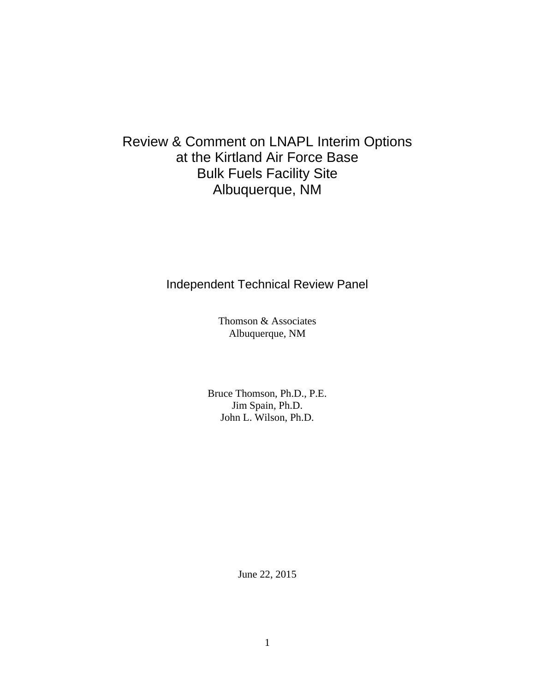## Review & Comment on LNAPL Interim Options at the Kirtland Air Force Base Bulk Fuels Facility Site Albuquerque, NM

Independent Technical Review Panel

Thomson & Associates Albuquerque, NM

Bruce Thomson, Ph.D., P.E. Jim Spain, Ph.D. John L. Wilson, Ph.D.

June 22, 2015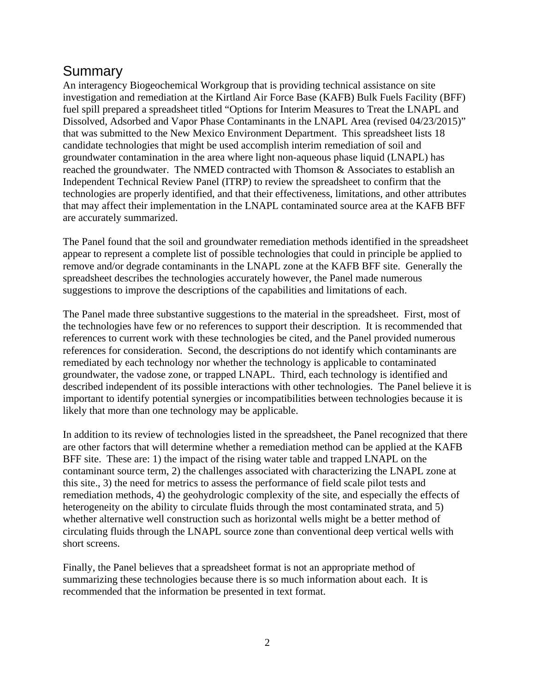## Summary

An interagency Biogeochemical Workgroup that is providing technical assistance on site investigation and remediation at the Kirtland Air Force Base (KAFB) Bulk Fuels Facility (BFF) fuel spill prepared a spreadsheet titled "Options for Interim Measures to Treat the LNAPL and Dissolved, Adsorbed and Vapor Phase Contaminants in the LNAPL Area (revised 04/23/2015)" that was submitted to the New Mexico Environment Department. This spreadsheet lists 18 candidate technologies that might be used accomplish interim remediation of soil and groundwater contamination in the area where light non-aqueous phase liquid (LNAPL) has reached the groundwater. The NMED contracted with Thomson & Associates to establish an Independent Technical Review Panel (ITRP) to review the spreadsheet to confirm that the technologies are properly identified, and that their effectiveness, limitations, and other attributes that may affect their implementation in the LNAPL contaminated source area at the KAFB BFF are accurately summarized.

The Panel found that the soil and groundwater remediation methods identified in the spreadsheet appear to represent a complete list of possible technologies that could in principle be applied to remove and/or degrade contaminants in the LNAPL zone at the KAFB BFF site. Generally the spreadsheet describes the technologies accurately however, the Panel made numerous suggestions to improve the descriptions of the capabilities and limitations of each.

The Panel made three substantive suggestions to the material in the spreadsheet. First, most of the technologies have few or no references to support their description. It is recommended that references to current work with these technologies be cited, and the Panel provided numerous references for consideration. Second, the descriptions do not identify which contaminants are remediated by each technology nor whether the technology is applicable to contaminated groundwater, the vadose zone, or trapped LNAPL. Third, each technology is identified and described independent of its possible interactions with other technologies. The Panel believe it is important to identify potential synergies or incompatibilities between technologies because it is likely that more than one technology may be applicable.

In addition to its review of technologies listed in the spreadsheet, the Panel recognized that there are other factors that will determine whether a remediation method can be applied at the KAFB BFF site. These are: 1) the impact of the rising water table and trapped LNAPL on the contaminant source term, 2) the challenges associated with characterizing the LNAPL zone at this site., 3) the need for metrics to assess the performance of field scale pilot tests and remediation methods, 4) the geohydrologic complexity of the site, and especially the effects of heterogeneity on the ability to circulate fluids through the most contaminated strata, and 5) whether alternative well construction such as horizontal wells might be a better method of circulating fluids through the LNAPL source zone than conventional deep vertical wells with short screens.

Finally, the Panel believes that a spreadsheet format is not an appropriate method of summarizing these technologies because there is so much information about each. It is recommended that the information be presented in text format.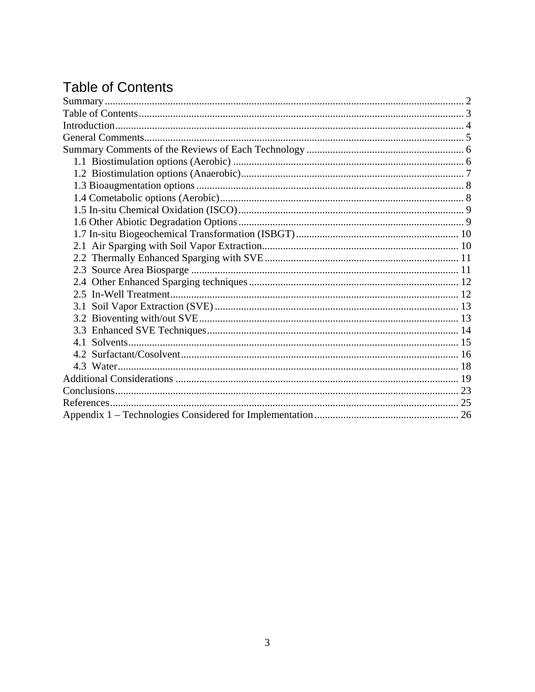# **Table of Contents**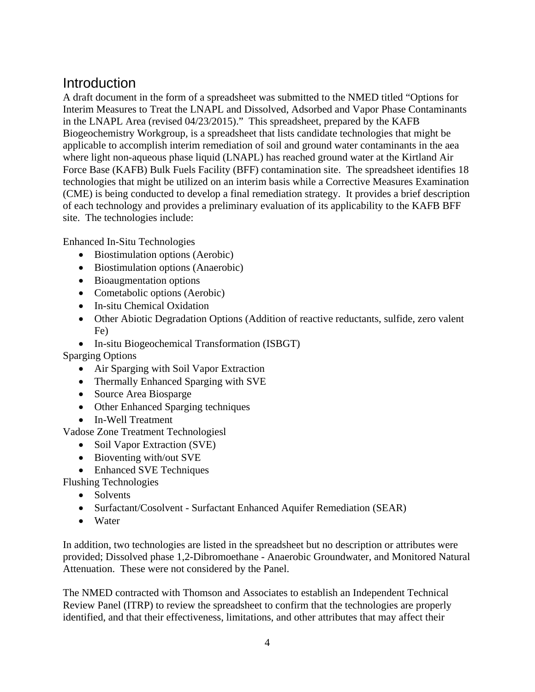# **Introduction**

A draft document in the form of a spreadsheet was submitted to the NMED titled "Options for Interim Measures to Treat the LNAPL and Dissolved, Adsorbed and Vapor Phase Contaminants in the LNAPL Area (revised 04/23/2015)." This spreadsheet, prepared by the KAFB Biogeochemistry Workgroup, is a spreadsheet that lists candidate technologies that might be applicable to accomplish interim remediation of soil and ground water contaminants in the aea where light non-aqueous phase liquid (LNAPL) has reached ground water at the Kirtland Air Force Base (KAFB) Bulk Fuels Facility (BFF) contamination site. The spreadsheet identifies 18 technologies that might be utilized on an interim basis while a Corrective Measures Examination (CME) is being conducted to develop a final remediation strategy. It provides a brief description of each technology and provides a preliminary evaluation of its applicability to the KAFB BFF site. The technologies include:

Enhanced In-Situ Technologies

- Biostimulation options (Aerobic)
- Biostimulation options (Anaerobic)
- Bioaugmentation options
- Cometabolic options (Aerobic)
- In-situ Chemical Oxidation
- Other Abiotic Degradation Options (Addition of reactive reductants, sulfide, zero valent Fe)
- In-situ Biogeochemical Transformation (ISBGT)

Sparging Options

- Air Sparging with Soil Vapor Extraction
- Thermally Enhanced Sparging with SVE
- Source Area Biosparge
- Other Enhanced Sparging techniques
- In-Well Treatment

Vadose Zone Treatment Technologiesl

- Soil Vapor Extraction (SVE)
- Bioventing with/out SVE
- Enhanced SVE Techniques

Flushing Technologies

- Solvents
- Surfactant/Cosolvent Surfactant Enhanced Aquifer Remediation (SEAR)
- Water

In addition, two technologies are listed in the spreadsheet but no description or attributes were provided; Dissolved phase 1,2-Dibromoethane - Anaerobic Groundwater, and Monitored Natural Attenuation. These were not considered by the Panel.

The NMED contracted with Thomson and Associates to establish an Independent Technical Review Panel (ITRP) to review the spreadsheet to confirm that the technologies are properly identified, and that their effectiveness, limitations, and other attributes that may affect their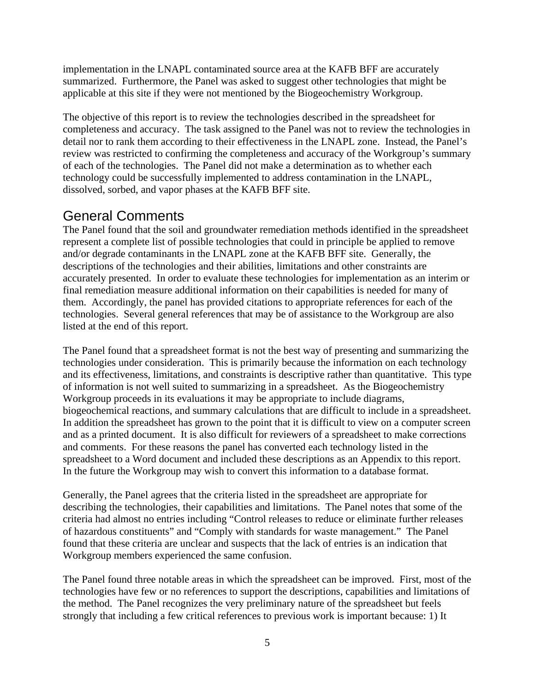implementation in the LNAPL contaminated source area at the KAFB BFF are accurately summarized. Furthermore, the Panel was asked to suggest other technologies that might be applicable at this site if they were not mentioned by the Biogeochemistry Workgroup.

The objective of this report is to review the technologies described in the spreadsheet for completeness and accuracy. The task assigned to the Panel was not to review the technologies in detail nor to rank them according to their effectiveness in the LNAPL zone. Instead, the Panel's review was restricted to confirming the completeness and accuracy of the Workgroup's summary of each of the technologies. The Panel did not make a determination as to whether each technology could be successfully implemented to address contamination in the LNAPL, dissolved, sorbed, and vapor phases at the KAFB BFF site.

## General Comments

The Panel found that the soil and groundwater remediation methods identified in the spreadsheet represent a complete list of possible technologies that could in principle be applied to remove and/or degrade contaminants in the LNAPL zone at the KAFB BFF site. Generally, the descriptions of the technologies and their abilities, limitations and other constraints are accurately presented. In order to evaluate these technologies for implementation as an interim or final remediation measure additional information on their capabilities is needed for many of them. Accordingly, the panel has provided citations to appropriate references for each of the technologies. Several general references that may be of assistance to the Workgroup are also listed at the end of this report.

The Panel found that a spreadsheet format is not the best way of presenting and summarizing the technologies under consideration. This is primarily because the information on each technology and its effectiveness, limitations, and constraints is descriptive rather than quantitative. This type of information is not well suited to summarizing in a spreadsheet. As the Biogeochemistry Workgroup proceeds in its evaluations it may be appropriate to include diagrams, biogeochemical reactions, and summary calculations that are difficult to include in a spreadsheet. In addition the spreadsheet has grown to the point that it is difficult to view on a computer screen and as a printed document. It is also difficult for reviewers of a spreadsheet to make corrections and comments. For these reasons the panel has converted each technology listed in the spreadsheet to a Word document and included these descriptions as an Appendix to this report. In the future the Workgroup may wish to convert this information to a database format.

Generally, the Panel agrees that the criteria listed in the spreadsheet are appropriate for describing the technologies, their capabilities and limitations. The Panel notes that some of the criteria had almost no entries including "Control releases to reduce or eliminate further releases of hazardous constituents" and "Comply with standards for waste management." The Panel found that these criteria are unclear and suspects that the lack of entries is an indication that Workgroup members experienced the same confusion.

The Panel found three notable areas in which the spreadsheet can be improved. First, most of the technologies have few or no references to support the descriptions, capabilities and limitations of the method. The Panel recognizes the very preliminary nature of the spreadsheet but feels strongly that including a few critical references to previous work is important because: 1) It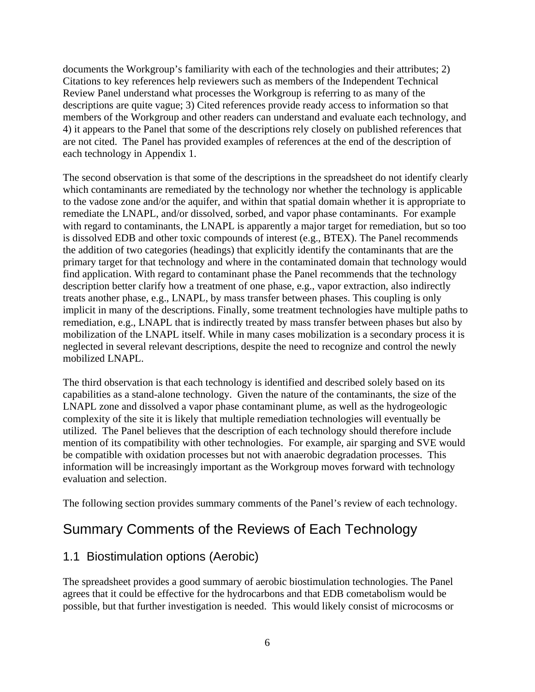documents the Workgroup's familiarity with each of the technologies and their attributes; 2) Citations to key references help reviewers such as members of the Independent Technical Review Panel understand what processes the Workgroup is referring to as many of the descriptions are quite vague; 3) Cited references provide ready access to information so that members of the Workgroup and other readers can understand and evaluate each technology, and 4) it appears to the Panel that some of the descriptions rely closely on published references that are not cited. The Panel has provided examples of references at the end of the description of each technology in Appendix 1.

The second observation is that some of the descriptions in the spreadsheet do not identify clearly which contaminants are remediated by the technology nor whether the technology is applicable to the vadose zone and/or the aquifer, and within that spatial domain whether it is appropriate to remediate the LNAPL, and/or dissolved, sorbed, and vapor phase contaminants. For example with regard to contaminants, the LNAPL is apparently a major target for remediation, but so too is dissolved EDB and other toxic compounds of interest (e.g., BTEX). The Panel recommends the addition of two categories (headings) that explicitly identify the contaminants that are the primary target for that technology and where in the contaminated domain that technology would find application. With regard to contaminant phase the Panel recommends that the technology description better clarify how a treatment of one phase, e.g., vapor extraction, also indirectly treats another phase, e.g., LNAPL, by mass transfer between phases. This coupling is only implicit in many of the descriptions. Finally, some treatment technologies have multiple paths to remediation, e.g., LNAPL that is indirectly treated by mass transfer between phases but also by mobilization of the LNAPL itself. While in many cases mobilization is a secondary process it is neglected in several relevant descriptions, despite the need to recognize and control the newly mobilized LNAPL.

The third observation is that each technology is identified and described solely based on its capabilities as a stand-alone technology. Given the nature of the contaminants, the size of the LNAPL zone and dissolved a vapor phase contaminant plume, as well as the hydrogeologic complexity of the site it is likely that multiple remediation technologies will eventually be utilized. The Panel believes that the description of each technology should therefore include mention of its compatibility with other technologies. For example, air sparging and SVE would be compatible with oxidation processes but not with anaerobic degradation processes. This information will be increasingly important as the Workgroup moves forward with technology evaluation and selection.

The following section provides summary comments of the Panel's review of each technology.

## Summary Comments of the Reviews of Each Technology

### 1.1 Biostimulation options (Aerobic)

The spreadsheet provides a good summary of aerobic biostimulation technologies. The Panel agrees that it could be effective for the hydrocarbons and that EDB cometabolism would be possible, but that further investigation is needed. This would likely consist of microcosms or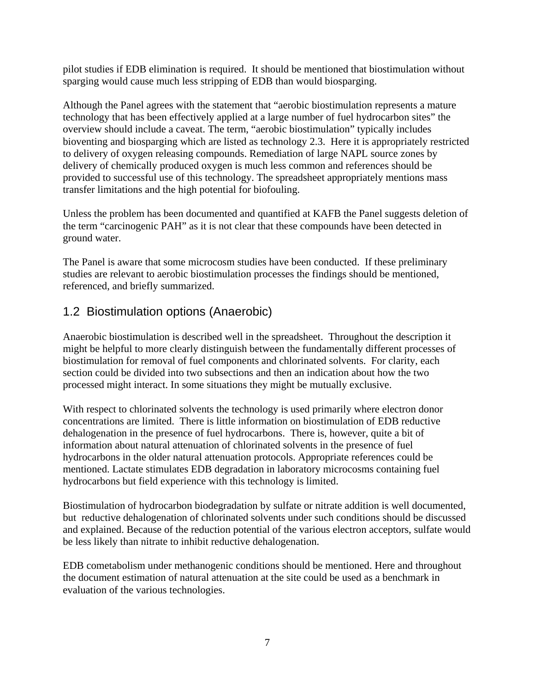pilot studies if EDB elimination is required. It should be mentioned that biostimulation without sparging would cause much less stripping of EDB than would biosparging.

Although the Panel agrees with the statement that "aerobic biostimulation represents a mature technology that has been effectively applied at a large number of fuel hydrocarbon sites" the overview should include a caveat. The term, "aerobic biostimulation" typically includes bioventing and biosparging which are listed as technology 2.3. Here it is appropriately restricted to delivery of oxygen releasing compounds. Remediation of large NAPL source zones by delivery of chemically produced oxygen is much less common and references should be provided to successful use of this technology. The spreadsheet appropriately mentions mass transfer limitations and the high potential for biofouling.

Unless the problem has been documented and quantified at KAFB the Panel suggests deletion of the term "carcinogenic PAH" as it is not clear that these compounds have been detected in ground water.

The Panel is aware that some microcosm studies have been conducted. If these preliminary studies are relevant to aerobic biostimulation processes the findings should be mentioned, referenced, and briefly summarized.

### 1.2 Biostimulation options (Anaerobic)

Anaerobic biostimulation is described well in the spreadsheet. Throughout the description it might be helpful to more clearly distinguish between the fundamentally different processes of biostimulation for removal of fuel components and chlorinated solvents. For clarity, each section could be divided into two subsections and then an indication about how the two processed might interact. In some situations they might be mutually exclusive.

With respect to chlorinated solvents the technology is used primarily where electron donor concentrations are limited. There is little information on biostimulation of EDB reductive dehalogenation in the presence of fuel hydrocarbons. There is, however, quite a bit of information about natural attenuation of chlorinated solvents in the presence of fuel hydrocarbons in the older natural attenuation protocols. Appropriate references could be mentioned. Lactate stimulates EDB degradation in laboratory microcosms containing fuel hydrocarbons but field experience with this technology is limited.

Biostimulation of hydrocarbon biodegradation by sulfate or nitrate addition is well documented, but reductive dehalogenation of chlorinated solvents under such conditions should be discussed and explained. Because of the reduction potential of the various electron acceptors, sulfate would be less likely than nitrate to inhibit reductive dehalogenation.

EDB cometabolism under methanogenic conditions should be mentioned. Here and throughout the document estimation of natural attenuation at the site could be used as a benchmark in evaluation of the various technologies.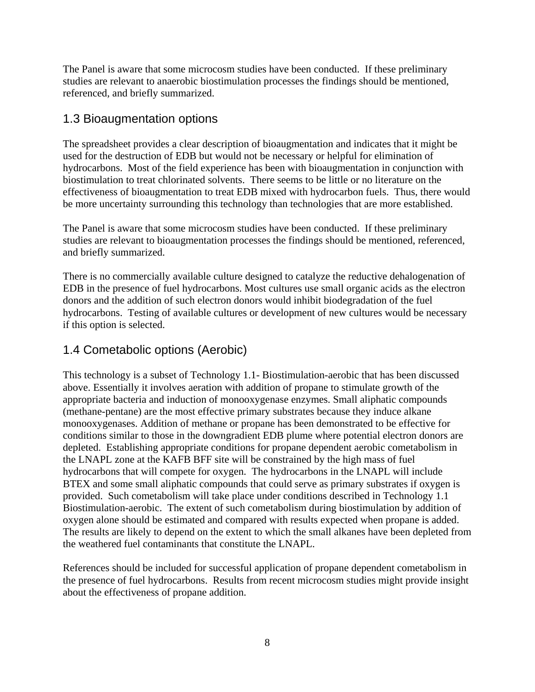The Panel is aware that some microcosm studies have been conducted. If these preliminary studies are relevant to anaerobic biostimulation processes the findings should be mentioned, referenced, and briefly summarized.

#### 1.3 Bioaugmentation options

The spreadsheet provides a clear description of bioaugmentation and indicates that it might be used for the destruction of EDB but would not be necessary or helpful for elimination of hydrocarbons. Most of the field experience has been with bioaugmentation in conjunction with biostimulation to treat chlorinated solvents. There seems to be little or no literature on the effectiveness of bioaugmentation to treat EDB mixed with hydrocarbon fuels. Thus, there would be more uncertainty surrounding this technology than technologies that are more established.

The Panel is aware that some microcosm studies have been conducted. If these preliminary studies are relevant to bioaugmentation processes the findings should be mentioned, referenced, and briefly summarized.

There is no commercially available culture designed to catalyze the reductive dehalogenation of EDB in the presence of fuel hydrocarbons. Most cultures use small organic acids as the electron donors and the addition of such electron donors would inhibit biodegradation of the fuel hydrocarbons. Testing of available cultures or development of new cultures would be necessary if this option is selected.

## 1.4 Cometabolic options (Aerobic)

This technology is a subset of Technology 1.1- Biostimulation-aerobic that has been discussed above. Essentially it involves aeration with addition of propane to stimulate growth of the appropriate bacteria and induction of monooxygenase enzymes. Small aliphatic compounds (methane-pentane) are the most effective primary substrates because they induce alkane monooxygenases. Addition of methane or propane has been demonstrated to be effective for conditions similar to those in the downgradient EDB plume where potential electron donors are depleted. Establishing appropriate conditions for propane dependent aerobic cometabolism in the LNAPL zone at the KAFB BFF site will be constrained by the high mass of fuel hydrocarbons that will compete for oxygen. The hydrocarbons in the LNAPL will include BTEX and some small aliphatic compounds that could serve as primary substrates if oxygen is provided. Such cometabolism will take place under conditions described in Technology 1.1 Biostimulation-aerobic. The extent of such cometabolism during biostimulation by addition of oxygen alone should be estimated and compared with results expected when propane is added. The results are likely to depend on the extent to which the small alkanes have been depleted from the weathered fuel contaminants that constitute the LNAPL.

References should be included for successful application of propane dependent cometabolism in the presence of fuel hydrocarbons. Results from recent microcosm studies might provide insight about the effectiveness of propane addition.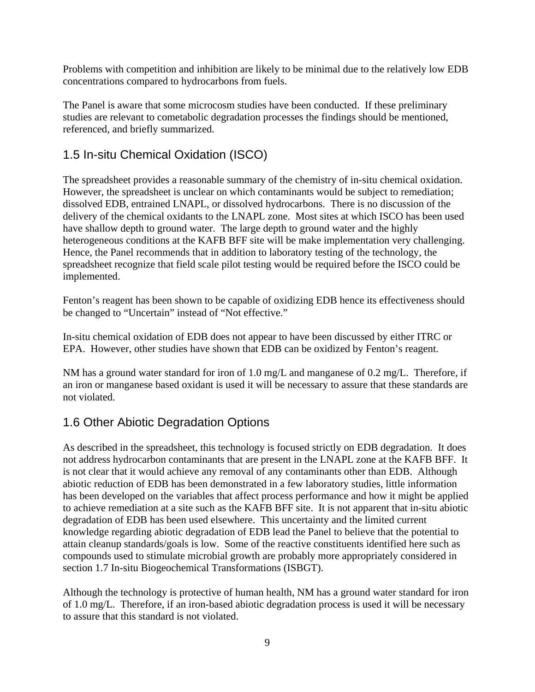Problems with competition and inhibition are likely to be minimal due to the relatively low EDB concentrations compared to hydrocarbons from fuels.

The Panel is aware that some microcosm studies have been conducted. If these preliminary studies are relevant to cometabolic degradation processes the findings should be mentioned, referenced, and briefly summarized.

## 1.5 In-situ Chemical Oxidation (ISCO)

The spreadsheet provides a reasonable summary of the chemistry of in-situ chemical oxidation. However, the spreadsheet is unclear on which contaminants would be subject to remediation; dissolved EDB, entrained LNAPL, or dissolved hydrocarbons. There is no discussion of the delivery of the chemical oxidants to the LNAPL zone. Most sites at which ISCO has been used have shallow depth to ground water. The large depth to ground water and the highly heterogeneous conditions at the KAFB BFF site will be make implementation very challenging. Hence, the Panel recommends that in addition to laboratory testing of the technology, the spreadsheet recognize that field scale pilot testing would be required before the ISCO could be implemented.

Fenton's reagent has been shown to be capable of oxidizing EDB hence its effectiveness should be changed to "Uncertain" instead of "Not effective."

In-situ chemical oxidation of EDB does not appear to have been discussed by either ITRC or EPA. However, other studies have shown that EDB can be oxidized by Fenton's reagent.

NM has a ground water standard for iron of 1.0 mg/L and manganese of 0.2 mg/L. Therefore, if an iron or manganese based oxidant is used it will be necessary to assure that these standards are not violated.

## 1.6 Other Abiotic Degradation Options

As described in the spreadsheet, this technology is focused strictly on EDB degradation. It does not address hydrocarbon contaminants that are present in the LNAPL zone at the KAFB BFF. It is not clear that it would achieve any removal of any contaminants other than EDB. Although abiotic reduction of EDB has been demonstrated in a few laboratory studies, little information has been developed on the variables that affect process performance and how it might be applied to achieve remediation at a site such as the KAFB BFF site. It is not apparent that in-situ abiotic degradation of EDB has been used elsewhere. This uncertainty and the limited current knowledge regarding abiotic degradation of EDB lead the Panel to believe that the potential to attain cleanup standards/goals is low. Some of the reactive constituents identified here such as compounds used to stimulate microbial growth are probably more appropriately considered in section 1.7 In-situ Biogeochemical Transformations (ISBGT).

Although the technology is protective of human health, NM has a ground water standard for iron of 1.0 mg/L. Therefore, if an iron-based abiotic degradation process is used it will be necessary to assure that this standard is not violated.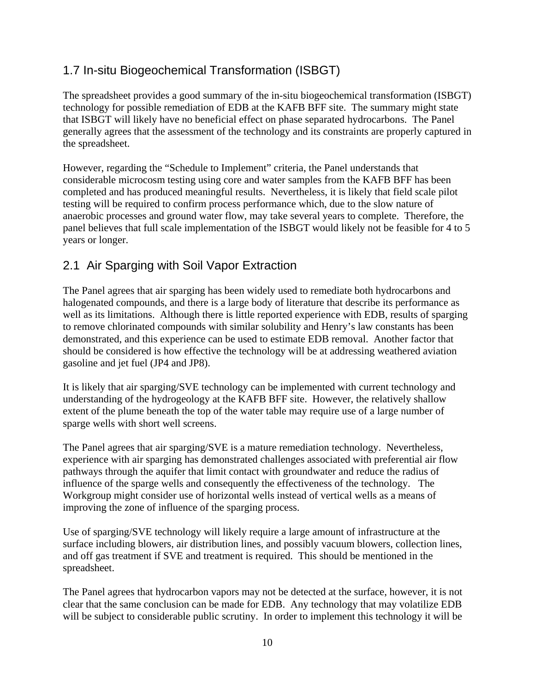## 1.7 In-situ Biogeochemical Transformation (ISBGT)

The spreadsheet provides a good summary of the in-situ biogeochemical transformation (ISBGT) technology for possible remediation of EDB at the KAFB BFF site. The summary might state that ISBGT will likely have no beneficial effect on phase separated hydrocarbons. The Panel generally agrees that the assessment of the technology and its constraints are properly captured in the spreadsheet.

However, regarding the "Schedule to Implement" criteria, the Panel understands that considerable microcosm testing using core and water samples from the KAFB BFF has been completed and has produced meaningful results. Nevertheless, it is likely that field scale pilot testing will be required to confirm process performance which, due to the slow nature of anaerobic processes and ground water flow, may take several years to complete. Therefore, the panel believes that full scale implementation of the ISBGT would likely not be feasible for 4 to 5 years or longer.

## 2.1 Air Sparging with Soil Vapor Extraction

The Panel agrees that air sparging has been widely used to remediate both hydrocarbons and halogenated compounds, and there is a large body of literature that describe its performance as well as its limitations. Although there is little reported experience with EDB, results of sparging to remove chlorinated compounds with similar solubility and Henry's law constants has been demonstrated, and this experience can be used to estimate EDB removal. Another factor that should be considered is how effective the technology will be at addressing weathered aviation gasoline and jet fuel (JP4 and JP8).

It is likely that air sparging/SVE technology can be implemented with current technology and understanding of the hydrogeology at the KAFB BFF site. However, the relatively shallow extent of the plume beneath the top of the water table may require use of a large number of sparge wells with short well screens.

The Panel agrees that air sparging/SVE is a mature remediation technology. Nevertheless, experience with air sparging has demonstrated challenges associated with preferential air flow pathways through the aquifer that limit contact with groundwater and reduce the radius of influence of the sparge wells and consequently the effectiveness of the technology. The Workgroup might consider use of horizontal wells instead of vertical wells as a means of improving the zone of influence of the sparging process.

Use of sparging/SVE technology will likely require a large amount of infrastructure at the surface including blowers, air distribution lines, and possibly vacuum blowers, collection lines, and off gas treatment if SVE and treatment is required. This should be mentioned in the spreadsheet.

The Panel agrees that hydrocarbon vapors may not be detected at the surface, however, it is not clear that the same conclusion can be made for EDB. Any technology that may volatilize EDB will be subject to considerable public scrutiny. In order to implement this technology it will be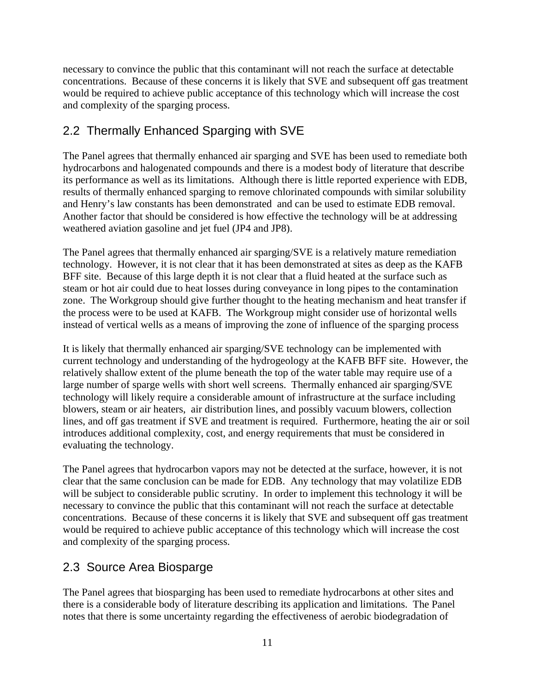necessary to convince the public that this contaminant will not reach the surface at detectable concentrations. Because of these concerns it is likely that SVE and subsequent off gas treatment would be required to achieve public acceptance of this technology which will increase the cost and complexity of the sparging process.

## 2.2 Thermally Enhanced Sparging with SVE

The Panel agrees that thermally enhanced air sparging and SVE has been used to remediate both hydrocarbons and halogenated compounds and there is a modest body of literature that describe its performance as well as its limitations. Although there is little reported experience with EDB, results of thermally enhanced sparging to remove chlorinated compounds with similar solubility and Henry's law constants has been demonstrated and can be used to estimate EDB removal. Another factor that should be considered is how effective the technology will be at addressing weathered aviation gasoline and jet fuel (JP4 and JP8).

The Panel agrees that thermally enhanced air sparging/SVE is a relatively mature remediation technology. However, it is not clear that it has been demonstrated at sites as deep as the KAFB BFF site. Because of this large depth it is not clear that a fluid heated at the surface such as steam or hot air could due to heat losses during conveyance in long pipes to the contamination zone. The Workgroup should give further thought to the heating mechanism and heat transfer if the process were to be used at KAFB. The Workgroup might consider use of horizontal wells instead of vertical wells as a means of improving the zone of influence of the sparging process

It is likely that thermally enhanced air sparging/SVE technology can be implemented with current technology and understanding of the hydrogeology at the KAFB BFF site. However, the relatively shallow extent of the plume beneath the top of the water table may require use of a large number of sparge wells with short well screens. Thermally enhanced air sparging/SVE technology will likely require a considerable amount of infrastructure at the surface including blowers, steam or air heaters, air distribution lines, and possibly vacuum blowers, collection lines, and off gas treatment if SVE and treatment is required. Furthermore, heating the air or soil introduces additional complexity, cost, and energy requirements that must be considered in evaluating the technology.

The Panel agrees that hydrocarbon vapors may not be detected at the surface, however, it is not clear that the same conclusion can be made for EDB. Any technology that may volatilize EDB will be subject to considerable public scrutiny. In order to implement this technology it will be necessary to convince the public that this contaminant will not reach the surface at detectable concentrations. Because of these concerns it is likely that SVE and subsequent off gas treatment would be required to achieve public acceptance of this technology which will increase the cost and complexity of the sparging process.

## 2.3 Source Area Biosparge

The Panel agrees that biosparging has been used to remediate hydrocarbons at other sites and there is a considerable body of literature describing its application and limitations. The Panel notes that there is some uncertainty regarding the effectiveness of aerobic biodegradation of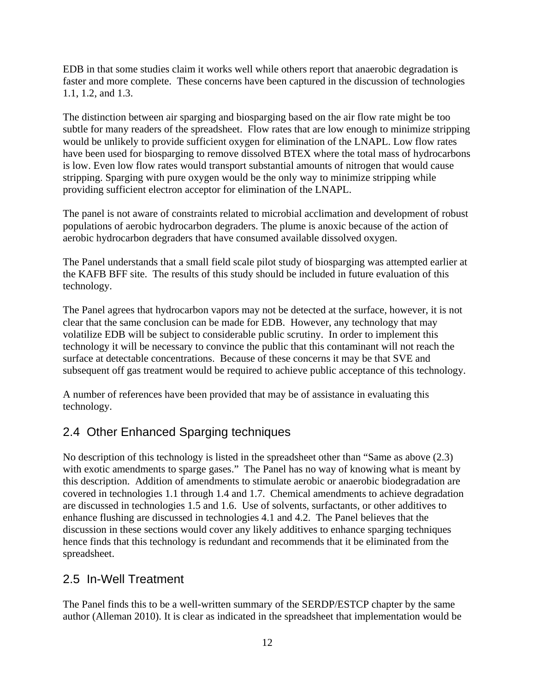EDB in that some studies claim it works well while others report that anaerobic degradation is faster and more complete. These concerns have been captured in the discussion of technologies 1.1, 1.2, and 1.3.

The distinction between air sparging and biosparging based on the air flow rate might be too subtle for many readers of the spreadsheet. Flow rates that are low enough to minimize stripping would be unlikely to provide sufficient oxygen for elimination of the LNAPL. Low flow rates have been used for biosparging to remove dissolved BTEX where the total mass of hydrocarbons is low. Even low flow rates would transport substantial amounts of nitrogen that would cause stripping. Sparging with pure oxygen would be the only way to minimize stripping while providing sufficient electron acceptor for elimination of the LNAPL.

The panel is not aware of constraints related to microbial acclimation and development of robust populations of aerobic hydrocarbon degraders. The plume is anoxic because of the action of aerobic hydrocarbon degraders that have consumed available dissolved oxygen.

The Panel understands that a small field scale pilot study of biosparging was attempted earlier at the KAFB BFF site. The results of this study should be included in future evaluation of this technology.

The Panel agrees that hydrocarbon vapors may not be detected at the surface, however, it is not clear that the same conclusion can be made for EDB. However, any technology that may volatilize EDB will be subject to considerable public scrutiny. In order to implement this technology it will be necessary to convince the public that this contaminant will not reach the surface at detectable concentrations. Because of these concerns it may be that SVE and subsequent off gas treatment would be required to achieve public acceptance of this technology.

A number of references have been provided that may be of assistance in evaluating this technology.

## 2.4 Other Enhanced Sparging techniques

No description of this technology is listed in the spreadsheet other than "Same as above (2.3) with exotic amendments to sparge gases." The Panel has no way of knowing what is meant by this description. Addition of amendments to stimulate aerobic or anaerobic biodegradation are covered in technologies 1.1 through 1.4 and 1.7. Chemical amendments to achieve degradation are discussed in technologies 1.5 and 1.6. Use of solvents, surfactants, or other additives to enhance flushing are discussed in technologies 4.1 and 4.2. The Panel believes that the discussion in these sections would cover any likely additives to enhance sparging techniques hence finds that this technology is redundant and recommends that it be eliminated from the spreadsheet.

#### 2.5 In-Well Treatment

The Panel finds this to be a well-written summary of the SERDP/ESTCP chapter by the same author (Alleman 2010). It is clear as indicated in the spreadsheet that implementation would be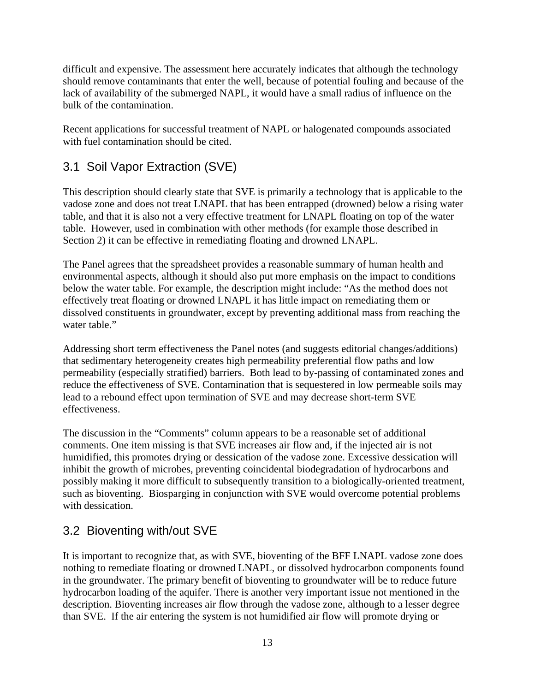difficult and expensive. The assessment here accurately indicates that although the technology should remove contaminants that enter the well, because of potential fouling and because of the lack of availability of the submerged NAPL, it would have a small radius of influence on the bulk of the contamination.

Recent applications for successful treatment of NAPL or halogenated compounds associated with fuel contamination should be cited.

## 3.1 Soil Vapor Extraction (SVE)

This description should clearly state that SVE is primarily a technology that is applicable to the vadose zone and does not treat LNAPL that has been entrapped (drowned) below a rising water table, and that it is also not a very effective treatment for LNAPL floating on top of the water table. However, used in combination with other methods (for example those described in Section 2) it can be effective in remediating floating and drowned LNAPL.

The Panel agrees that the spreadsheet provides a reasonable summary of human health and environmental aspects, although it should also put more emphasis on the impact to conditions below the water table. For example, the description might include: "As the method does not effectively treat floating or drowned LNAPL it has little impact on remediating them or dissolved constituents in groundwater, except by preventing additional mass from reaching the water table."

Addressing short term effectiveness the Panel notes (and suggests editorial changes/additions) that sedimentary heterogeneity creates high permeability preferential flow paths and low permeability (especially stratified) barriers. Both lead to by-passing of contaminated zones and reduce the effectiveness of SVE. Contamination that is sequestered in low permeable soils may lead to a rebound effect upon termination of SVE and may decrease short-term SVE effectiveness.

The discussion in the "Comments" column appears to be a reasonable set of additional comments. One item missing is that SVE increases air flow and, if the injected air is not humidified, this promotes drying or dessication of the vadose zone. Excessive dessication will inhibit the growth of microbes, preventing coincidental biodegradation of hydrocarbons and possibly making it more difficult to subsequently transition to a biologically-oriented treatment, such as bioventing. Biosparging in conjunction with SVE would overcome potential problems with dessication.

## 3.2 Bioventing with/out SVE

It is important to recognize that, as with SVE, bioventing of the BFF LNAPL vadose zone does nothing to remediate floating or drowned LNAPL, or dissolved hydrocarbon components found in the groundwater. The primary benefit of bioventing to groundwater will be to reduce future hydrocarbon loading of the aquifer. There is another very important issue not mentioned in the description. Bioventing increases air flow through the vadose zone, although to a lesser degree than SVE. If the air entering the system is not humidified air flow will promote drying or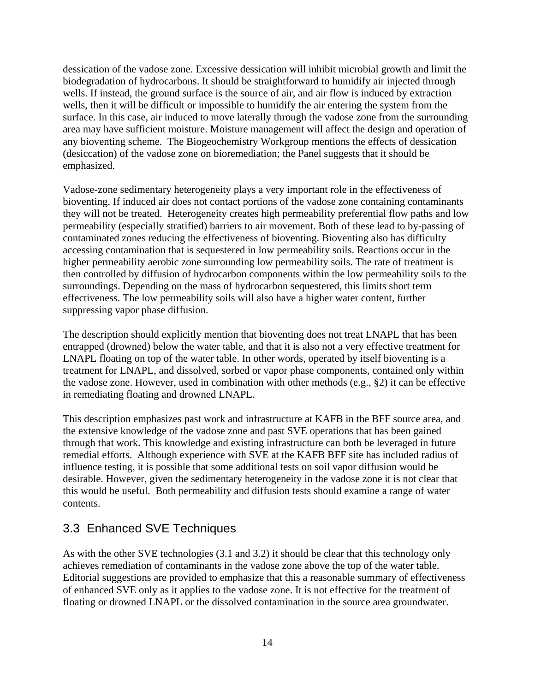dessication of the vadose zone. Excessive dessication will inhibit microbial growth and limit the biodegradation of hydrocarbons. It should be straightforward to humidify air injected through wells. If instead, the ground surface is the source of air, and air flow is induced by extraction wells, then it will be difficult or impossible to humidify the air entering the system from the surface. In this case, air induced to move laterally through the vadose zone from the surrounding area may have sufficient moisture. Moisture management will affect the design and operation of any bioventing scheme. The Biogeochemistry Workgroup mentions the effects of dessication (desiccation) of the vadose zone on bioremediation; the Panel suggests that it should be emphasized.

Vadose-zone sedimentary heterogeneity plays a very important role in the effectiveness of bioventing. If induced air does not contact portions of the vadose zone containing contaminants they will not be treated. Heterogeneity creates high permeability preferential flow paths and low permeability (especially stratified) barriers to air movement. Both of these lead to by-passing of contaminated zones reducing the effectiveness of bioventing. Bioventing also has difficulty accessing contamination that is sequestered in low permeability soils. Reactions occur in the higher permeability aerobic zone surrounding low permeability soils. The rate of treatment is then controlled by diffusion of hydrocarbon components within the low permeability soils to the surroundings. Depending on the mass of hydrocarbon sequestered, this limits short term effectiveness. The low permeability soils will also have a higher water content, further suppressing vapor phase diffusion.

The description should explicitly mention that bioventing does not treat LNAPL that has been entrapped (drowned) below the water table, and that it is also not a very effective treatment for LNAPL floating on top of the water table. In other words, operated by itself bioventing is a treatment for LNAPL, and dissolved, sorbed or vapor phase components, contained only within the vadose zone. However, used in combination with other methods (e.g., §2) it can be effective in remediating floating and drowned LNAPL.

This description emphasizes past work and infrastructure at KAFB in the BFF source area, and the extensive knowledge of the vadose zone and past SVE operations that has been gained through that work. This knowledge and existing infrastructure can both be leveraged in future remedial efforts. Although experience with SVE at the KAFB BFF site has included radius of influence testing, it is possible that some additional tests on soil vapor diffusion would be desirable. However, given the sedimentary heterogeneity in the vadose zone it is not clear that this would be useful. Both permeability and diffusion tests should examine a range of water contents.

### 3.3 Enhanced SVE Techniques

As with the other SVE technologies (3.1 and 3.2) it should be clear that this technology only achieves remediation of contaminants in the vadose zone above the top of the water table. Editorial suggestions are provided to emphasize that this a reasonable summary of effectiveness of enhanced SVE only as it applies to the vadose zone. It is not effective for the treatment of floating or drowned LNAPL or the dissolved contamination in the source area groundwater.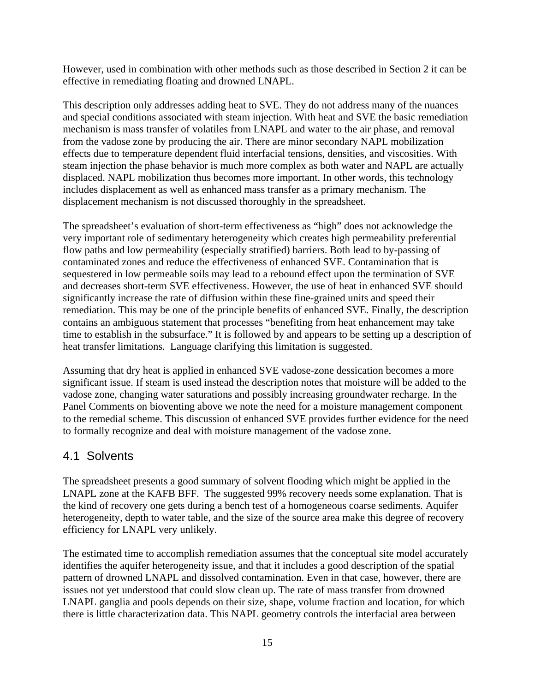However, used in combination with other methods such as those described in Section 2 it can be effective in remediating floating and drowned LNAPL.

This description only addresses adding heat to SVE. They do not address many of the nuances and special conditions associated with steam injection. With heat and SVE the basic remediation mechanism is mass transfer of volatiles from LNAPL and water to the air phase, and removal from the vadose zone by producing the air. There are minor secondary NAPL mobilization effects due to temperature dependent fluid interfacial tensions, densities, and viscosities. With steam injection the phase behavior is much more complex as both water and NAPL are actually displaced. NAPL mobilization thus becomes more important. In other words, this technology includes displacement as well as enhanced mass transfer as a primary mechanism. The displacement mechanism is not discussed thoroughly in the spreadsheet.

The spreadsheet's evaluation of short-term effectiveness as "high" does not acknowledge the very important role of sedimentary heterogeneity which creates high permeability preferential flow paths and low permeability (especially stratified) barriers. Both lead to by-passing of contaminated zones and reduce the effectiveness of enhanced SVE. Contamination that is sequestered in low permeable soils may lead to a rebound effect upon the termination of SVE and decreases short-term SVE effectiveness. However, the use of heat in enhanced SVE should significantly increase the rate of diffusion within these fine-grained units and speed their remediation. This may be one of the principle benefits of enhanced SVE. Finally, the description contains an ambiguous statement that processes "benefiting from heat enhancement may take time to establish in the subsurface." It is followed by and appears to be setting up a description of heat transfer limitations. Language clarifying this limitation is suggested.

Assuming that dry heat is applied in enhanced SVE vadose-zone dessication becomes a more significant issue. If steam is used instead the description notes that moisture will be added to the vadose zone, changing water saturations and possibly increasing groundwater recharge. In the Panel Comments on bioventing above we note the need for a moisture management component to the remedial scheme. This discussion of enhanced SVE provides further evidence for the need to formally recognize and deal with moisture management of the vadose zone.

#### 4.1 Solvents

The spreadsheet presents a good summary of solvent flooding which might be applied in the LNAPL zone at the KAFB BFF. The suggested 99% recovery needs some explanation. That is the kind of recovery one gets during a bench test of a homogeneous coarse sediments. Aquifer heterogeneity, depth to water table, and the size of the source area make this degree of recovery efficiency for LNAPL very unlikely.

The estimated time to accomplish remediation assumes that the conceptual site model accurately identifies the aquifer heterogeneity issue, and that it includes a good description of the spatial pattern of drowned LNAPL and dissolved contamination. Even in that case, however, there are issues not yet understood that could slow clean up. The rate of mass transfer from drowned LNAPL ganglia and pools depends on their size, shape, volume fraction and location, for which there is little characterization data. This NAPL geometry controls the interfacial area between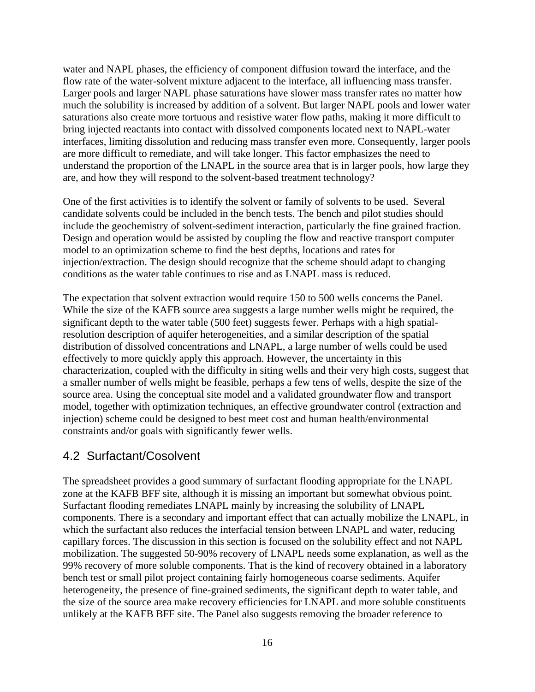water and NAPL phases, the efficiency of component diffusion toward the interface, and the flow rate of the water-solvent mixture adjacent to the interface, all influencing mass transfer. Larger pools and larger NAPL phase saturations have slower mass transfer rates no matter how much the solubility is increased by addition of a solvent. But larger NAPL pools and lower water saturations also create more tortuous and resistive water flow paths, making it more difficult to bring injected reactants into contact with dissolved components located next to NAPL-water interfaces, limiting dissolution and reducing mass transfer even more. Consequently, larger pools are more difficult to remediate, and will take longer. This factor emphasizes the need to understand the proportion of the LNAPL in the source area that is in larger pools, how large they are, and how they will respond to the solvent-based treatment technology?

One of the first activities is to identify the solvent or family of solvents to be used. Several candidate solvents could be included in the bench tests. The bench and pilot studies should include the geochemistry of solvent-sediment interaction, particularly the fine grained fraction. Design and operation would be assisted by coupling the flow and reactive transport computer model to an optimization scheme to find the best depths, locations and rates for injection/extraction. The design should recognize that the scheme should adapt to changing conditions as the water table continues to rise and as LNAPL mass is reduced.

The expectation that solvent extraction would require 150 to 500 wells concerns the Panel. While the size of the KAFB source area suggests a large number wells might be required, the significant depth to the water table (500 feet) suggests fewer. Perhaps with a high spatialresolution description of aquifer heterogeneities, and a similar description of the spatial distribution of dissolved concentrations and LNAPL, a large number of wells could be used effectively to more quickly apply this approach. However, the uncertainty in this characterization, coupled with the difficulty in siting wells and their very high costs, suggest that a smaller number of wells might be feasible, perhaps a few tens of wells, despite the size of the source area. Using the conceptual site model and a validated groundwater flow and transport model, together with optimization techniques, an effective groundwater control (extraction and injection) scheme could be designed to best meet cost and human health/environmental constraints and/or goals with significantly fewer wells.

#### 4.2 Surfactant/Cosolvent

The spreadsheet provides a good summary of surfactant flooding appropriate for the LNAPL zone at the KAFB BFF site, although it is missing an important but somewhat obvious point. Surfactant flooding remediates LNAPL mainly by increasing the solubility of LNAPL components. There is a secondary and important effect that can actually mobilize the LNAPL, in which the surfactant also reduces the interfacial tension between LNAPL and water, reducing capillary forces. The discussion in this section is focused on the solubility effect and not NAPL mobilization. The suggested 50-90% recovery of LNAPL needs some explanation, as well as the 99% recovery of more soluble components. That is the kind of recovery obtained in a laboratory bench test or small pilot project containing fairly homogeneous coarse sediments. Aquifer heterogeneity, the presence of fine-grained sediments, the significant depth to water table, and the size of the source area make recovery efficiencies for LNAPL and more soluble constituents unlikely at the KAFB BFF site. The Panel also suggests removing the broader reference to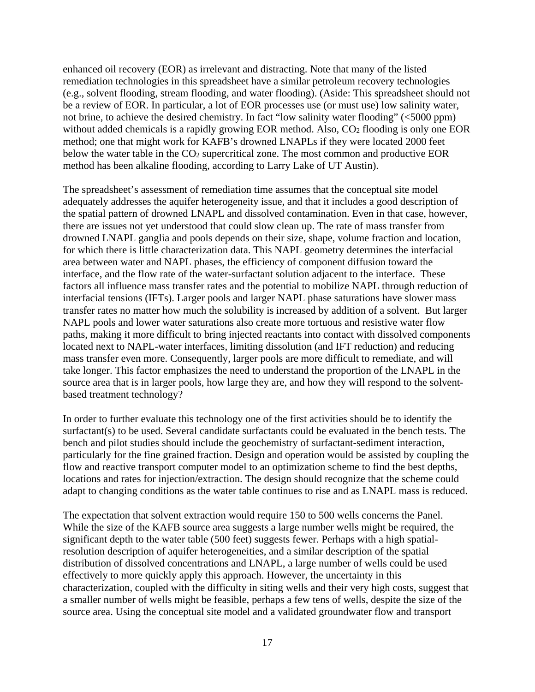enhanced oil recovery (EOR) as irrelevant and distracting. Note that many of the listed remediation technologies in this spreadsheet have a similar petroleum recovery technologies (e.g., solvent flooding, stream flooding, and water flooding). (Aside: This spreadsheet should not be a review of EOR. In particular, a lot of EOR processes use (or must use) low salinity water, not brine, to achieve the desired chemistry. In fact "low salinity water flooding" (<5000 ppm) without added chemicals is a rapidly growing EOR method. Also,  $CO<sub>2</sub>$  flooding is only one EOR method; one that might work for KAFB's drowned LNAPLs if they were located 2000 feet below the water table in the CO<sub>2</sub> supercritical zone. The most common and productive EOR method has been alkaline flooding, according to Larry Lake of UT Austin).

The spreadsheet's assessment of remediation time assumes that the conceptual site model adequately addresses the aquifer heterogeneity issue, and that it includes a good description of the spatial pattern of drowned LNAPL and dissolved contamination. Even in that case, however, there are issues not yet understood that could slow clean up. The rate of mass transfer from drowned LNAPL ganglia and pools depends on their size, shape, volume fraction and location, for which there is little characterization data. This NAPL geometry determines the interfacial area between water and NAPL phases, the efficiency of component diffusion toward the interface, and the flow rate of the water-surfactant solution adjacent to the interface. These factors all influence mass transfer rates and the potential to mobilize NAPL through reduction of interfacial tensions (IFTs). Larger pools and larger NAPL phase saturations have slower mass transfer rates no matter how much the solubility is increased by addition of a solvent. But larger NAPL pools and lower water saturations also create more tortuous and resistive water flow paths, making it more difficult to bring injected reactants into contact with dissolved components located next to NAPL-water interfaces, limiting dissolution (and IFT reduction) and reducing mass transfer even more. Consequently, larger pools are more difficult to remediate, and will take longer. This factor emphasizes the need to understand the proportion of the LNAPL in the source area that is in larger pools, how large they are, and how they will respond to the solventbased treatment technology?

In order to further evaluate this technology one of the first activities should be to identify the surfactant(s) to be used. Several candidate surfactants could be evaluated in the bench tests. The bench and pilot studies should include the geochemistry of surfactant-sediment interaction, particularly for the fine grained fraction. Design and operation would be assisted by coupling the flow and reactive transport computer model to an optimization scheme to find the best depths, locations and rates for injection/extraction. The design should recognize that the scheme could adapt to changing conditions as the water table continues to rise and as LNAPL mass is reduced.

The expectation that solvent extraction would require 150 to 500 wells concerns the Panel. While the size of the KAFB source area suggests a large number wells might be required, the significant depth to the water table (500 feet) suggests fewer. Perhaps with a high spatialresolution description of aquifer heterogeneities, and a similar description of the spatial distribution of dissolved concentrations and LNAPL, a large number of wells could be used effectively to more quickly apply this approach. However, the uncertainty in this characterization, coupled with the difficulty in siting wells and their very high costs, suggest that a smaller number of wells might be feasible, perhaps a few tens of wells, despite the size of the source area. Using the conceptual site model and a validated groundwater flow and transport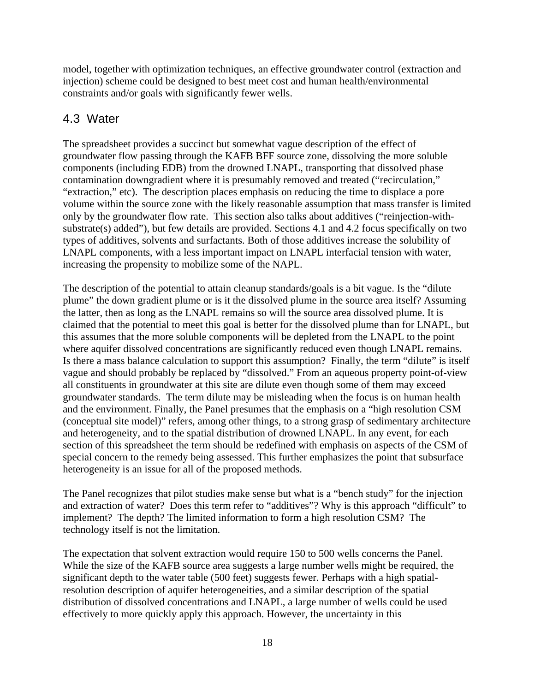model, together with optimization techniques, an effective groundwater control (extraction and injection) scheme could be designed to best meet cost and human health/environmental constraints and/or goals with significantly fewer wells.

### 4.3 Water

The spreadsheet provides a succinct but somewhat vague description of the effect of groundwater flow passing through the KAFB BFF source zone, dissolving the more soluble components (including EDB) from the drowned LNAPL, transporting that dissolved phase contamination downgradient where it is presumably removed and treated ("recirculation," "extraction," etc). The description places emphasis on reducing the time to displace a pore volume within the source zone with the likely reasonable assumption that mass transfer is limited only by the groundwater flow rate. This section also talks about additives ("reinjection-withsubstrate(s) added"), but few details are provided. Sections 4.1 and 4.2 focus specifically on two types of additives, solvents and surfactants. Both of those additives increase the solubility of LNAPL components, with a less important impact on LNAPL interfacial tension with water, increasing the propensity to mobilize some of the NAPL.

The description of the potential to attain cleanup standards/goals is a bit vague. Is the "dilute plume" the down gradient plume or is it the dissolved plume in the source area itself? Assuming the latter, then as long as the LNAPL remains so will the source area dissolved plume. It is claimed that the potential to meet this goal is better for the dissolved plume than for LNAPL, but this assumes that the more soluble components will be depleted from the LNAPL to the point where aquifer dissolved concentrations are significantly reduced even though LNAPL remains. Is there a mass balance calculation to support this assumption? Finally, the term "dilute" is itself vague and should probably be replaced by "dissolved." From an aqueous property point-of-view all constituents in groundwater at this site are dilute even though some of them may exceed groundwater standards. The term dilute may be misleading when the focus is on human health and the environment. Finally, the Panel presumes that the emphasis on a "high resolution CSM (conceptual site model)" refers, among other things, to a strong grasp of sedimentary architecture and heterogeneity, and to the spatial distribution of drowned LNAPL. In any event, for each section of this spreadsheet the term should be redefined with emphasis on aspects of the CSM of special concern to the remedy being assessed. This further emphasizes the point that subsurface heterogeneity is an issue for all of the proposed methods.

The Panel recognizes that pilot studies make sense but what is a "bench study" for the injection and extraction of water? Does this term refer to "additives"? Why is this approach "difficult" to implement? The depth? The limited information to form a high resolution CSM? The technology itself is not the limitation.

The expectation that solvent extraction would require 150 to 500 wells concerns the Panel. While the size of the KAFB source area suggests a large number wells might be required, the significant depth to the water table (500 feet) suggests fewer. Perhaps with a high spatialresolution description of aquifer heterogeneities, and a similar description of the spatial distribution of dissolved concentrations and LNAPL, a large number of wells could be used effectively to more quickly apply this approach. However, the uncertainty in this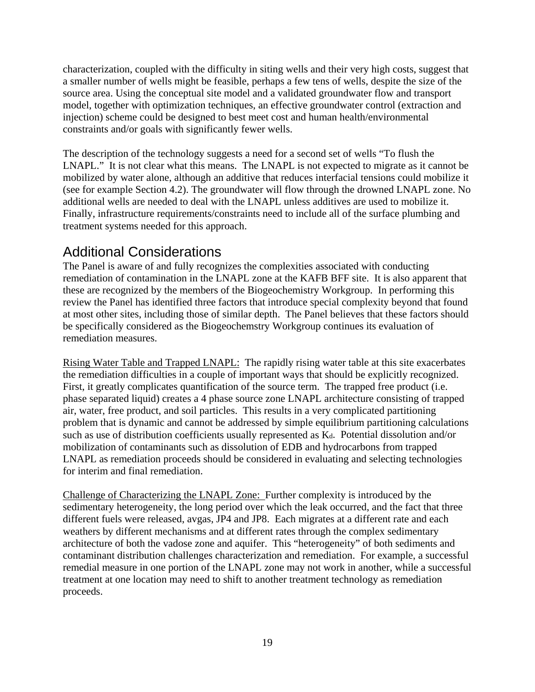characterization, coupled with the difficulty in siting wells and their very high costs, suggest that a smaller number of wells might be feasible, perhaps a few tens of wells, despite the size of the source area. Using the conceptual site model and a validated groundwater flow and transport model, together with optimization techniques, an effective groundwater control (extraction and injection) scheme could be designed to best meet cost and human health/environmental constraints and/or goals with significantly fewer wells.

The description of the technology suggests a need for a second set of wells "To flush the LNAPL." It is not clear what this means. The LNAPL is not expected to migrate as it cannot be mobilized by water alone, although an additive that reduces interfacial tensions could mobilize it (see for example Section 4.2). The groundwater will flow through the drowned LNAPL zone. No additional wells are needed to deal with the LNAPL unless additives are used to mobilize it. Finally, infrastructure requirements/constraints need to include all of the surface plumbing and treatment systems needed for this approach.

## Additional Considerations

The Panel is aware of and fully recognizes the complexities associated with conducting remediation of contamination in the LNAPL zone at the KAFB BFF site. It is also apparent that these are recognized by the members of the Biogeochemistry Workgroup. In performing this review the Panel has identified three factors that introduce special complexity beyond that found at most other sites, including those of similar depth. The Panel believes that these factors should be specifically considered as the Biogeochemstry Workgroup continues its evaluation of remediation measures.

Rising Water Table and Trapped LNAPL: The rapidly rising water table at this site exacerbates the remediation difficulties in a couple of important ways that should be explicitly recognized. First, it greatly complicates quantification of the source term. The trapped free product (i.e. phase separated liquid) creates a 4 phase source zone LNAPL architecture consisting of trapped air, water, free product, and soil particles. This results in a very complicated partitioning problem that is dynamic and cannot be addressed by simple equilibrium partitioning calculations such as use of distribution coefficients usually represented as  $K_d$ . Potential dissolution and/or mobilization of contaminants such as dissolution of EDB and hydrocarbons from trapped LNAPL as remediation proceeds should be considered in evaluating and selecting technologies for interim and final remediation.

Challenge of Characterizing the LNAPL Zone: Further complexity is introduced by the sedimentary heterogeneity, the long period over which the leak occurred, and the fact that three different fuels were released, avgas, JP4 and JP8. Each migrates at a different rate and each weathers by different mechanisms and at different rates through the complex sedimentary architecture of both the vadose zone and aquifer. This "heterogeneity" of both sediments and contaminant distribution challenges characterization and remediation. For example, a successful remedial measure in one portion of the LNAPL zone may not work in another, while a successful treatment at one location may need to shift to another treatment technology as remediation proceeds.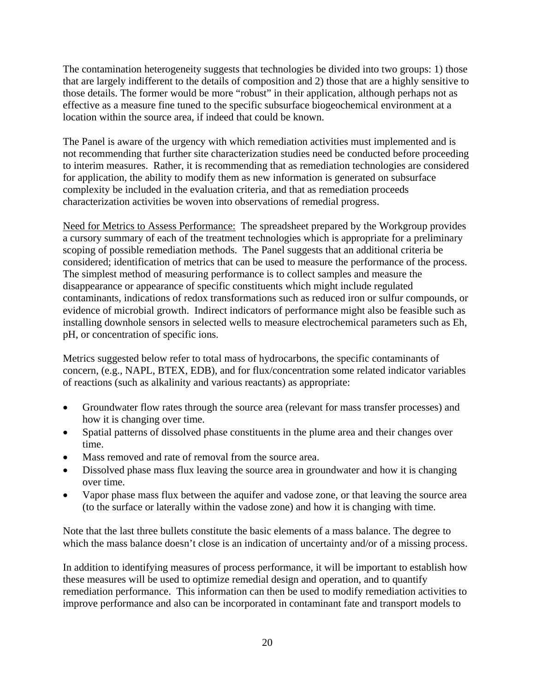The contamination heterogeneity suggests that technologies be divided into two groups: 1) those that are largely indifferent to the details of composition and 2) those that are a highly sensitive to those details. The former would be more "robust" in their application, although perhaps not as effective as a measure fine tuned to the specific subsurface biogeochemical environment at a location within the source area, if indeed that could be known.

The Panel is aware of the urgency with which remediation activities must implemented and is not recommending that further site characterization studies need be conducted before proceeding to interim measures. Rather, it is recommending that as remediation technologies are considered for application, the ability to modify them as new information is generated on subsurface complexity be included in the evaluation criteria, and that as remediation proceeds characterization activities be woven into observations of remedial progress.

Need for Metrics to Assess Performance: The spreadsheet prepared by the Workgroup provides a cursory summary of each of the treatment technologies which is appropriate for a preliminary scoping of possible remediation methods. The Panel suggests that an additional criteria be considered; identification of metrics that can be used to measure the performance of the process. The simplest method of measuring performance is to collect samples and measure the disappearance or appearance of specific constituents which might include regulated contaminants, indications of redox transformations such as reduced iron or sulfur compounds, or evidence of microbial growth. Indirect indicators of performance might also be feasible such as installing downhole sensors in selected wells to measure electrochemical parameters such as Eh, pH, or concentration of specific ions.

Metrics suggested below refer to total mass of hydrocarbons, the specific contaminants of concern, (e.g., NAPL, BTEX, EDB), and for flux/concentration some related indicator variables of reactions (such as alkalinity and various reactants) as appropriate:

- Groundwater flow rates through the source area (relevant for mass transfer processes) and how it is changing over time.
- Spatial patterns of dissolved phase constituents in the plume area and their changes over time.
- Mass removed and rate of removal from the source area.
- Dissolved phase mass flux leaving the source area in groundwater and how it is changing over time.
- Vapor phase mass flux between the aquifer and vadose zone, or that leaving the source area (to the surface or laterally within the vadose zone) and how it is changing with time.

Note that the last three bullets constitute the basic elements of a mass balance. The degree to which the mass balance doesn't close is an indication of uncertainty and/or of a missing process.

In addition to identifying measures of process performance, it will be important to establish how these measures will be used to optimize remedial design and operation, and to quantify remediation performance. This information can then be used to modify remediation activities to improve performance and also can be incorporated in contaminant fate and transport models to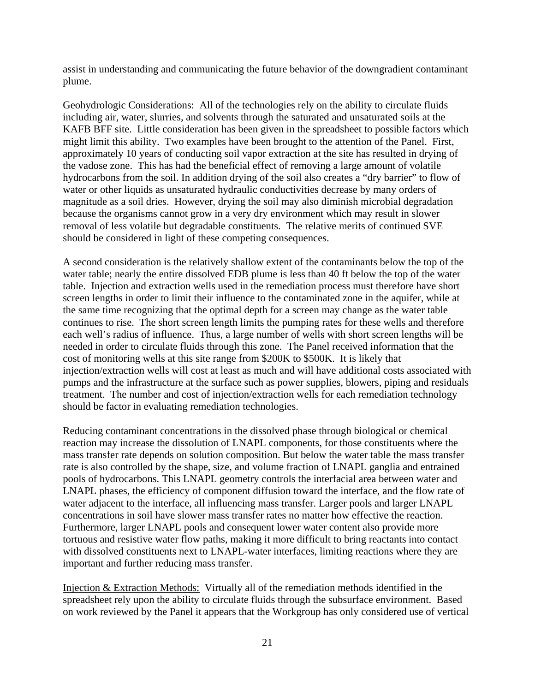assist in understanding and communicating the future behavior of the downgradient contaminant plume.

Geohydrologic Considerations: All of the technologies rely on the ability to circulate fluids including air, water, slurries, and solvents through the saturated and unsaturated soils at the KAFB BFF site. Little consideration has been given in the spreadsheet to possible factors which might limit this ability. Two examples have been brought to the attention of the Panel. First, approximately 10 years of conducting soil vapor extraction at the site has resulted in drying of the vadose zone. This has had the beneficial effect of removing a large amount of volatile hydrocarbons from the soil. In addition drying of the soil also creates a "dry barrier" to flow of water or other liquids as unsaturated hydraulic conductivities decrease by many orders of magnitude as a soil dries. However, drying the soil may also diminish microbial degradation because the organisms cannot grow in a very dry environment which may result in slower removal of less volatile but degradable constituents. The relative merits of continued SVE should be considered in light of these competing consequences.

A second consideration is the relatively shallow extent of the contaminants below the top of the water table; nearly the entire dissolved EDB plume is less than 40 ft below the top of the water table. Injection and extraction wells used in the remediation process must therefore have short screen lengths in order to limit their influence to the contaminated zone in the aquifer, while at the same time recognizing that the optimal depth for a screen may change as the water table continues to rise. The short screen length limits the pumping rates for these wells and therefore each well's radius of influence. Thus, a large number of wells with short screen lengths will be needed in order to circulate fluids through this zone. The Panel received information that the cost of monitoring wells at this site range from \$200K to \$500K. It is likely that injection/extraction wells will cost at least as much and will have additional costs associated with pumps and the infrastructure at the surface such as power supplies, blowers, piping and residuals treatment. The number and cost of injection/extraction wells for each remediation technology should be factor in evaluating remediation technologies.

Reducing contaminant concentrations in the dissolved phase through biological or chemical reaction may increase the dissolution of LNAPL components, for those constituents where the mass transfer rate depends on solution composition. But below the water table the mass transfer rate is also controlled by the shape, size, and volume fraction of LNAPL ganglia and entrained pools of hydrocarbons. This LNAPL geometry controls the interfacial area between water and LNAPL phases, the efficiency of component diffusion toward the interface, and the flow rate of water adjacent to the interface, all influencing mass transfer. Larger pools and larger LNAPL concentrations in soil have slower mass transfer rates no matter how effective the reaction. Furthermore, larger LNAPL pools and consequent lower water content also provide more tortuous and resistive water flow paths, making it more difficult to bring reactants into contact with dissolved constituents next to LNAPL-water interfaces, limiting reactions where they are important and further reducing mass transfer.

Injection & Extraction Methods: Virtually all of the remediation methods identified in the spreadsheet rely upon the ability to circulate fluids through the subsurface environment. Based on work reviewed by the Panel it appears that the Workgroup has only considered use of vertical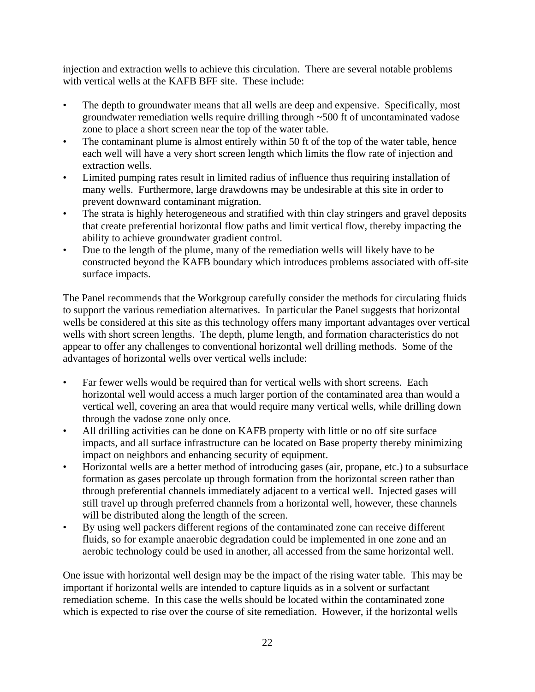injection and extraction wells to achieve this circulation. There are several notable problems with vertical wells at the KAFB BFF site. These include:

- The depth to groundwater means that all wells are deep and expensive. Specifically, most groundwater remediation wells require drilling through ~500 ft of uncontaminated vadose zone to place a short screen near the top of the water table.
- The contaminant plume is almost entirely within 50 ft of the top of the water table, hence each well will have a very short screen length which limits the flow rate of injection and extraction wells.
- Limited pumping rates result in limited radius of influence thus requiring installation of many wells. Furthermore, large drawdowns may be undesirable at this site in order to prevent downward contaminant migration.
- The strata is highly heterogeneous and stratified with thin clay stringers and gravel deposits that create preferential horizontal flow paths and limit vertical flow, thereby impacting the ability to achieve groundwater gradient control.
- Due to the length of the plume, many of the remediation wells will likely have to be constructed beyond the KAFB boundary which introduces problems associated with off-site surface impacts.

The Panel recommends that the Workgroup carefully consider the methods for circulating fluids to support the various remediation alternatives. In particular the Panel suggests that horizontal wells be considered at this site as this technology offers many important advantages over vertical wells with short screen lengths. The depth, plume length, and formation characteristics do not appear to offer any challenges to conventional horizontal well drilling methods. Some of the advantages of horizontal wells over vertical wells include:

- Far fewer wells would be required than for vertical wells with short screens. Each horizontal well would access a much larger portion of the contaminated area than would a vertical well, covering an area that would require many vertical wells, while drilling down through the vadose zone only once.
- All drilling activities can be done on KAFB property with little or no off site surface impacts, and all surface infrastructure can be located on Base property thereby minimizing impact on neighbors and enhancing security of equipment.
- Horizontal wells are a better method of introducing gases (air, propane, etc.) to a subsurface formation as gases percolate up through formation from the horizontal screen rather than through preferential channels immediately adjacent to a vertical well. Injected gases will still travel up through preferred channels from a horizontal well, however, these channels will be distributed along the length of the screen.
- By using well packers different regions of the contaminated zone can receive different fluids, so for example anaerobic degradation could be implemented in one zone and an aerobic technology could be used in another, all accessed from the same horizontal well.

One issue with horizontal well design may be the impact of the rising water table. This may be important if horizontal wells are intended to capture liquids as in a solvent or surfactant remediation scheme. In this case the wells should be located within the contaminated zone which is expected to rise over the course of site remediation. However, if the horizontal wells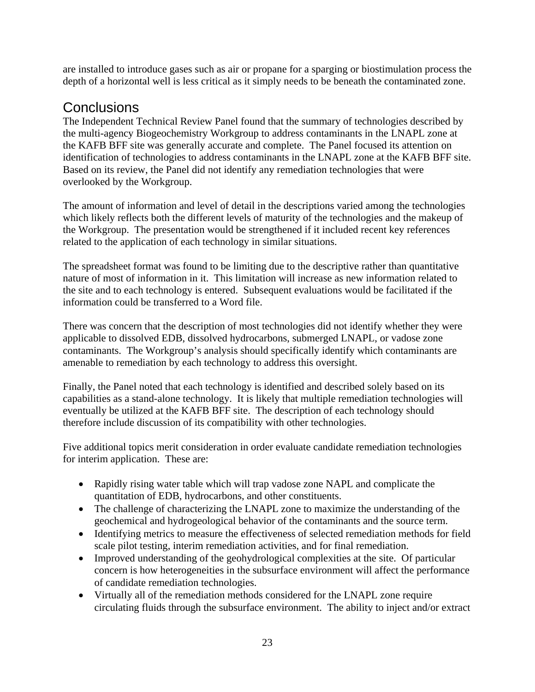are installed to introduce gases such as air or propane for a sparging or biostimulation process the depth of a horizontal well is less critical as it simply needs to be beneath the contaminated zone.

## **Conclusions**

The Independent Technical Review Panel found that the summary of technologies described by the multi-agency Biogeochemistry Workgroup to address contaminants in the LNAPL zone at the KAFB BFF site was generally accurate and complete. The Panel focused its attention on identification of technologies to address contaminants in the LNAPL zone at the KAFB BFF site. Based on its review, the Panel did not identify any remediation technologies that were overlooked by the Workgroup.

The amount of information and level of detail in the descriptions varied among the technologies which likely reflects both the different levels of maturity of the technologies and the makeup of the Workgroup. The presentation would be strengthened if it included recent key references related to the application of each technology in similar situations.

The spreadsheet format was found to be limiting due to the descriptive rather than quantitative nature of most of information in it. This limitation will increase as new information related to the site and to each technology is entered. Subsequent evaluations would be facilitated if the information could be transferred to a Word file.

There was concern that the description of most technologies did not identify whether they were applicable to dissolved EDB, dissolved hydrocarbons, submerged LNAPL, or vadose zone contaminants. The Workgroup's analysis should specifically identify which contaminants are amenable to remediation by each technology to address this oversight.

Finally, the Panel noted that each technology is identified and described solely based on its capabilities as a stand-alone technology. It is likely that multiple remediation technologies will eventually be utilized at the KAFB BFF site. The description of each technology should therefore include discussion of its compatibility with other technologies.

Five additional topics merit consideration in order evaluate candidate remediation technologies for interim application. These are:

- Rapidly rising water table which will trap vadose zone NAPL and complicate the quantitation of EDB, hydrocarbons, and other constituents.
- The challenge of characterizing the LNAPL zone to maximize the understanding of the geochemical and hydrogeological behavior of the contaminants and the source term.
- Identifying metrics to measure the effectiveness of selected remediation methods for field scale pilot testing, interim remediation activities, and for final remediation.
- Improved understanding of the geohydrological complexities at the site. Of particular concern is how heterogeneities in the subsurface environment will affect the performance of candidate remediation technologies.
- Virtually all of the remediation methods considered for the LNAPL zone require circulating fluids through the subsurface environment. The ability to inject and/or extract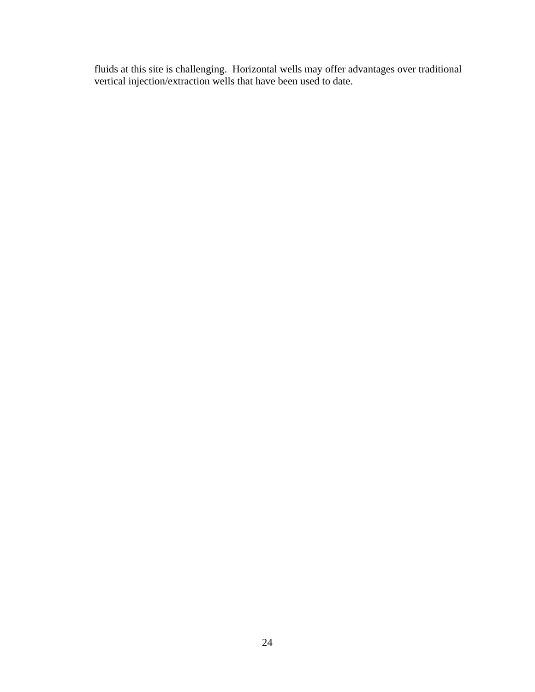fluids at this site is challenging. Horizontal wells may offer advantages over traditional vertical injection/extraction wells that have been used to date.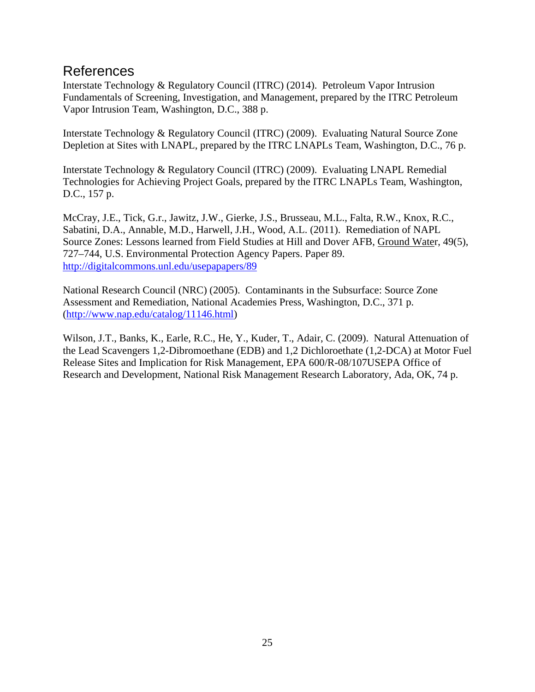## References

Interstate Technology & Regulatory Council (ITRC) (2014). Petroleum Vapor Intrusion Fundamentals of Screening, Investigation, and Management, prepared by the ITRC Petroleum Vapor Intrusion Team, Washington, D.C., 388 p.

Interstate Technology & Regulatory Council (ITRC) (2009). Evaluating Natural Source Zone Depletion at Sites with LNAPL, prepared by the ITRC LNAPLs Team, Washington, D.C., 76 p.

Interstate Technology & Regulatory Council (ITRC) (2009). Evaluating LNAPL Remedial Technologies for Achieving Project Goals, prepared by the ITRC LNAPLs Team, Washington, D.C., 157 p.

McCray, J.E., Tick, G.r., Jawitz, J.W., Gierke, J.S., Brusseau, M.L., Falta, R.W., Knox, R.C., Sabatini, D.A., Annable, M.D., Harwell, J.H., Wood, A.L. (2011). Remediation of NAPL Source Zones: Lessons learned from Field Studies at Hill and Dover AFB, Ground Water, 49(5), 727–744, U.S. Environmental Protection Agency Papers. Paper 89. http://digitalcommons.unl.edu/usepapapers/89

National Research Council (NRC) (2005). Contaminants in the Subsurface: Source Zone Assessment and Remediation, National Academies Press, Washington, D.C., 371 p. (http://www.nap.edu/catalog/11146.html)

Wilson, J.T., Banks, K., Earle, R.C., He, Y., Kuder, T., Adair, C. (2009). Natural Attenuation of the Lead Scavengers 1,2-Dibromoethane (EDB) and 1,2 Dichloroethate (1,2-DCA) at Motor Fuel Release Sites and Implication for Risk Management, EPA 600/R-08/107USEPA Office of Research and Development, National Risk Management Research Laboratory, Ada, OK, 74 p.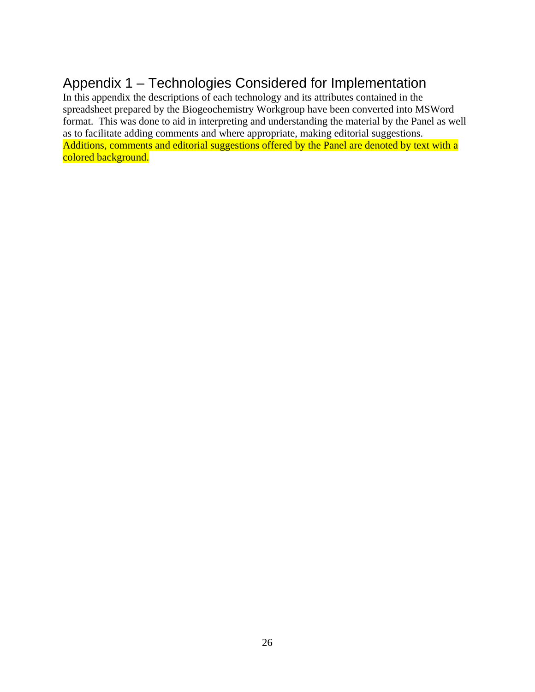# Appendix 1 – Technologies Considered for Implementation

In this appendix the descriptions of each technology and its attributes contained in the spreadsheet prepared by the Biogeochemistry Workgroup have been converted into MSWord format. This was done to aid in interpreting and understanding the material by the Panel as well as to facilitate adding comments and where appropriate, making editorial suggestions. Additions, comments and editorial suggestions offered by the Panel are denoted by text with a colored background.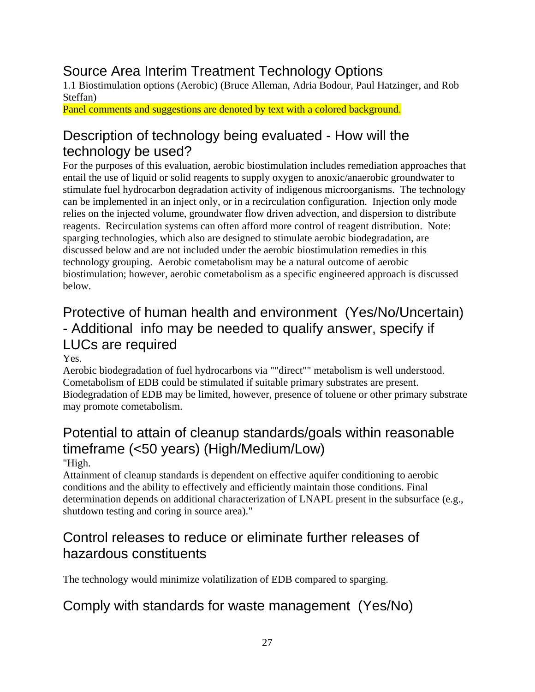# Source Area Interim Treatment Technology Options

1.1 Biostimulation options (Aerobic) (Bruce Alleman, Adria Bodour, Paul Hatzinger, and Rob Steffan)

Panel comments and suggestions are denoted by text with a colored background.

# Description of technology being evaluated - How will the technology be used?

For the purposes of this evaluation, aerobic biostimulation includes remediation approaches that entail the use of liquid or solid reagents to supply oxygen to anoxic/anaerobic groundwater to stimulate fuel hydrocarbon degradation activity of indigenous microorganisms. The technology can be implemented in an inject only, or in a recirculation configuration. Injection only mode relies on the injected volume, groundwater flow driven advection, and dispersion to distribute reagents. Recirculation systems can often afford more control of reagent distribution. Note: sparging technologies, which also are designed to stimulate aerobic biodegradation, are discussed below and are not included under the aerobic biostimulation remedies in this technology grouping. Aerobic cometabolism may be a natural outcome of aerobic biostimulation; however, aerobic cometabolism as a specific engineered approach is discussed below.

# Protective of human health and environment (Yes/No/Uncertain) - Additional info may be needed to qualify answer, specify if LUCs are required

Yes.

Aerobic biodegradation of fuel hydrocarbons via ""direct"" metabolism is well understood. Cometabolism of EDB could be stimulated if suitable primary substrates are present. Biodegradation of EDB may be limited, however, presence of toluene or other primary substrate may promote cometabolism.

# Potential to attain of cleanup standards/goals within reasonable timeframe (<50 years) (High/Medium/Low)

#### "High.

Attainment of cleanup standards is dependent on effective aquifer conditioning to aerobic conditions and the ability to effectively and efficiently maintain those conditions. Final determination depends on additional characterization of LNAPL present in the subsurface (e.g., shutdown testing and coring in source area)."

## Control releases to reduce or eliminate further releases of hazardous constituents

The technology would minimize volatilization of EDB compared to sparging.

# Comply with standards for waste management (Yes/No)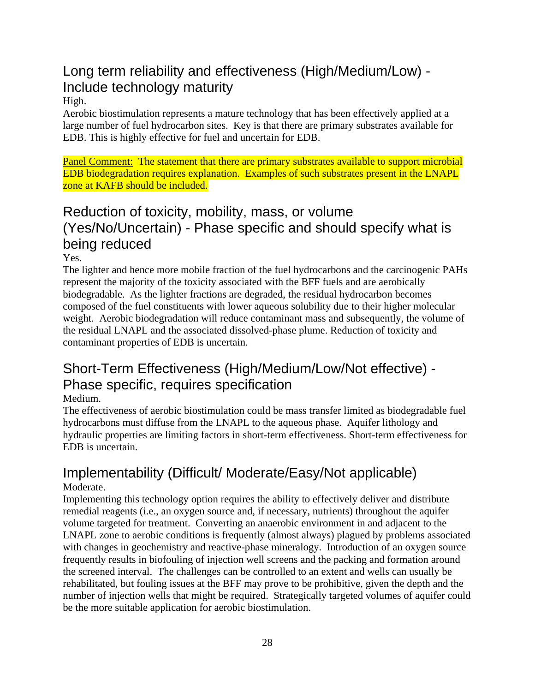# Long term reliability and effectiveness (High/Medium/Low) - Include technology maturity

#### High.

Aerobic biostimulation represents a mature technology that has been effectively applied at a large number of fuel hydrocarbon sites. Key is that there are primary substrates available for EDB. This is highly effective for fuel and uncertain for EDB.

Panel Comment: The statement that there are primary substrates available to support microbial EDB biodegradation requires explanation. Examples of such substrates present in the LNAPL zone at KAFB should be included.

# Reduction of toxicity, mobility, mass, or volume (Yes/No/Uncertain) - Phase specific and should specify what is being reduced

#### Yes.

The lighter and hence more mobile fraction of the fuel hydrocarbons and the carcinogenic PAHs represent the majority of the toxicity associated with the BFF fuels and are aerobically biodegradable. As the lighter fractions are degraded, the residual hydrocarbon becomes composed of the fuel constituents with lower aqueous solubility due to their higher molecular weight. Aerobic biodegradation will reduce contaminant mass and subsequently, the volume of the residual LNAPL and the associated dissolved-phase plume. Reduction of toxicity and contaminant properties of EDB is uncertain.

## Short-Term Effectiveness (High/Medium/Low/Not effective) - Phase specific, requires specification

#### Medium.

The effectiveness of aerobic biostimulation could be mass transfer limited as biodegradable fuel hydrocarbons must diffuse from the LNAPL to the aqueous phase. Aquifer lithology and hydraulic properties are limiting factors in short-term effectiveness. Short-term effectiveness for EDB is uncertain.

# Implementability (Difficult/ Moderate/Easy/Not applicable)

#### Moderate.

Implementing this technology option requires the ability to effectively deliver and distribute remedial reagents (i.e., an oxygen source and, if necessary, nutrients) throughout the aquifer volume targeted for treatment. Converting an anaerobic environment in and adjacent to the LNAPL zone to aerobic conditions is frequently (almost always) plagued by problems associated with changes in geochemistry and reactive-phase mineralogy. Introduction of an oxygen source frequently results in biofouling of injection well screens and the packing and formation around the screened interval. The challenges can be controlled to an extent and wells can usually be rehabilitated, but fouling issues at the BFF may prove to be prohibitive, given the depth and the number of injection wells that might be required. Strategically targeted volumes of aquifer could be the more suitable application for aerobic biostimulation.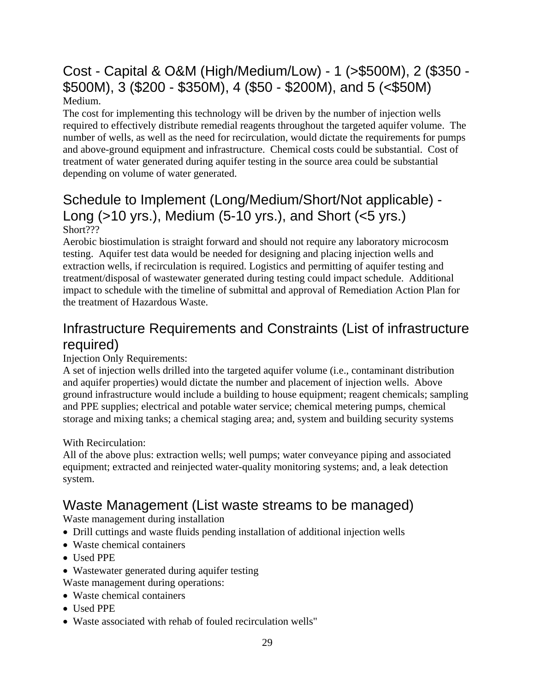## Cost - Capital & O&M (High/Medium/Low) - 1 (>\$500M), 2 (\$350 - \$500M), 3 (\$200 - \$350M), 4 (\$50 - \$200M), and 5 (<\$50M) Medium.

The cost for implementing this technology will be driven by the number of injection wells required to effectively distribute remedial reagents throughout the targeted aquifer volume. The number of wells, as well as the need for recirculation, would dictate the requirements for pumps and above-ground equipment and infrastructure. Chemical costs could be substantial. Cost of treatment of water generated during aquifer testing in the source area could be substantial depending on volume of water generated.

## Schedule to Implement (Long/Medium/Short/Not applicable) - Long (>10 yrs.), Medium (5-10 yrs.), and Short (<5 yrs.) Short???

Aerobic biostimulation is straight forward and should not require any laboratory microcosm testing. Aquifer test data would be needed for designing and placing injection wells and extraction wells, if recirculation is required. Logistics and permitting of aquifer testing and treatment/disposal of wastewater generated during testing could impact schedule. Additional impact to schedule with the timeline of submittal and approval of Remediation Action Plan for the treatment of Hazardous Waste.

# Infrastructure Requirements and Constraints (List of infrastructure required)

#### Injection Only Requirements:

A set of injection wells drilled into the targeted aquifer volume (i.e., contaminant distribution and aquifer properties) would dictate the number and placement of injection wells. Above ground infrastructure would include a building to house equipment; reagent chemicals; sampling and PPE supplies; electrical and potable water service; chemical metering pumps, chemical storage and mixing tanks; a chemical staging area; and, system and building security systems

#### With Recirculation:

All of the above plus: extraction wells; well pumps; water conveyance piping and associated equipment; extracted and reinjected water-quality monitoring systems; and, a leak detection system.

# Waste Management (List waste streams to be managed)

Waste management during installation

- Drill cuttings and waste fluids pending installation of additional injection wells
- Waste chemical containers
- Used PPE
- Wastewater generated during aquifer testing

Waste management during operations:

- Waste chemical containers
- Used PPE
- Waste associated with rehab of fouled recirculation wells"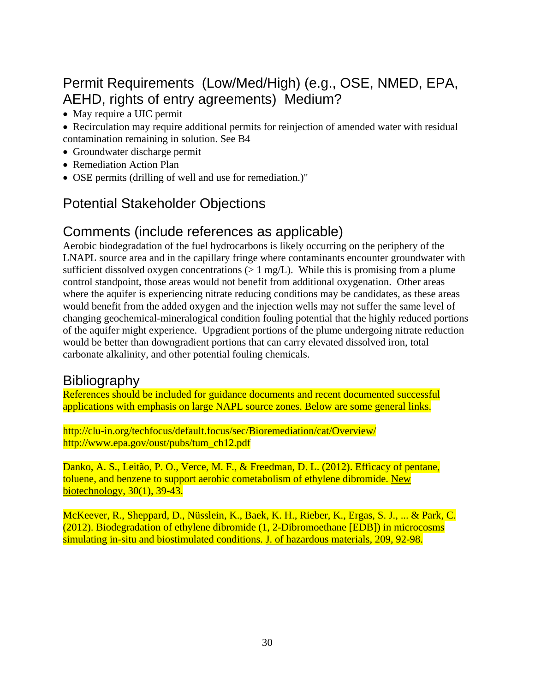# Permit Requirements (Low/Med/High) (e.g., OSE, NMED, EPA, AEHD, rights of entry agreements) Medium?

- May require a UIC permit
- Recirculation may require additional permits for reinjection of amended water with residual contamination remaining in solution. See B4
- Groundwater discharge permit
- Remediation Action Plan
- OSE permits (drilling of well and use for remediation.)"

## Potential Stakeholder Objections

## Comments (include references as applicable)

Aerobic biodegradation of the fuel hydrocarbons is likely occurring on the periphery of the LNAPL source area and in the capillary fringe where contaminants encounter groundwater with sufficient dissolved oxygen concentrations  $(> 1 \text{ mg/L})$ . While this is promising from a plume control standpoint, those areas would not benefit from additional oxygenation. Other areas where the aquifer is experiencing nitrate reducing conditions may be candidates, as these areas would benefit from the added oxygen and the injection wells may not suffer the same level of changing geochemical-mineralogical condition fouling potential that the highly reduced portions of the aquifer might experience. Upgradient portions of the plume undergoing nitrate reduction would be better than downgradient portions that can carry elevated dissolved iron, total carbonate alkalinity, and other potential fouling chemicals.

## **Bibliography**

References should be included for guidance documents and recent documented successful applications with emphasis on large NAPL source zones. Below are some general links.

http://clu-in.org/techfocus/default.focus/sec/Bioremediation/cat/Overview/ http://www.epa.gov/oust/pubs/tum\_ch12.pdf

Danko, A. S., Leitão, P. O., Verce, M. F., & Freedman, D. L. (2012). Efficacy of pentane, toluene, and benzene to support aerobic cometabolism of ethylene dibromide. New biotechnology, 30(1), 39-43.

McKeever, R., Sheppard, D., Nüsslein, K., Baek, K. H., Rieber, K., Ergas, S. J., ... & Park, C. (2012). Biodegradation of ethylene dibromide (1, 2-Dibromoethane [EDB]) in microcosms simulating in-situ and biostimulated conditions. J. of hazardous materials, 209, 92-98.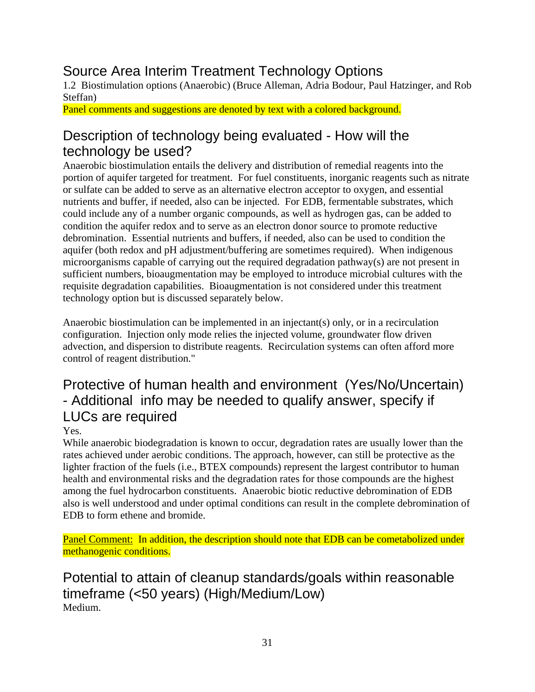# Source Area Interim Treatment Technology Options

1.2 Biostimulation options (Anaerobic) (Bruce Alleman, Adria Bodour, Paul Hatzinger, and Rob Steffan)

Panel comments and suggestions are denoted by text with a colored background.

## Description of technology being evaluated - How will the technology be used?

Anaerobic biostimulation entails the delivery and distribution of remedial reagents into the portion of aquifer targeted for treatment. For fuel constituents, inorganic reagents such as nitrate or sulfate can be added to serve as an alternative electron acceptor to oxygen, and essential nutrients and buffer, if needed, also can be injected. For EDB, fermentable substrates, which could include any of a number organic compounds, as well as hydrogen gas, can be added to condition the aquifer redox and to serve as an electron donor source to promote reductive debromination. Essential nutrients and buffers, if needed, also can be used to condition the aquifer (both redox and pH adjustment/buffering are sometimes required). When indigenous microorganisms capable of carrying out the required degradation pathway(s) are not present in sufficient numbers, bioaugmentation may be employed to introduce microbial cultures with the requisite degradation capabilities. Bioaugmentation is not considered under this treatment technology option but is discussed separately below.

Anaerobic biostimulation can be implemented in an injectant(s) only, or in a recirculation configuration. Injection only mode relies the injected volume, groundwater flow driven advection, and dispersion to distribute reagents. Recirculation systems can often afford more control of reagent distribution."

# Protective of human health and environment (Yes/No/Uncertain) - Additional info may be needed to qualify answer, specify if LUCs are required

#### Yes.

While anaerobic biodegradation is known to occur, degradation rates are usually lower than the rates achieved under aerobic conditions. The approach, however, can still be protective as the lighter fraction of the fuels (i.e., BTEX compounds) represent the largest contributor to human health and environmental risks and the degradation rates for those compounds are the highest among the fuel hydrocarbon constituents. Anaerobic biotic reductive debromination of EDB also is well understood and under optimal conditions can result in the complete debromination of EDB to form ethene and bromide.

Panel Comment: In addition, the description should note that EDB can be cometabolized under methanogenic conditions.

Potential to attain of cleanup standards/goals within reasonable timeframe (<50 years) (High/Medium/Low) Medium.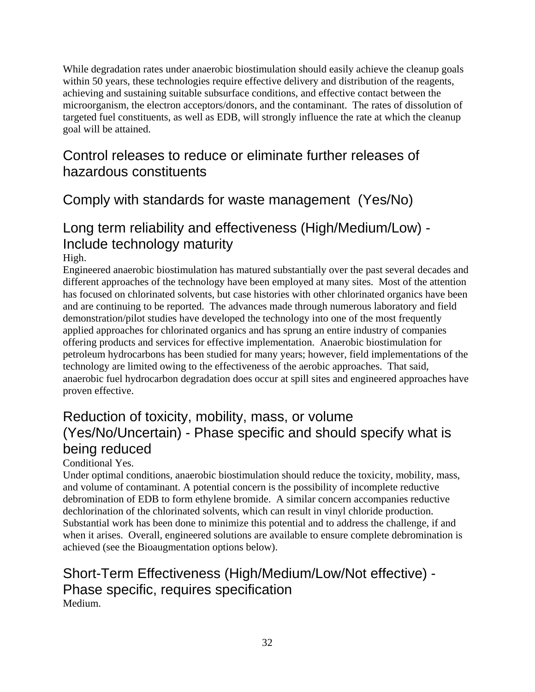While degradation rates under anaerobic biostimulation should easily achieve the cleanup goals within 50 years, these technologies require effective delivery and distribution of the reagents, achieving and sustaining suitable subsurface conditions, and effective contact between the microorganism, the electron acceptors/donors, and the contaminant. The rates of dissolution of targeted fuel constituents, as well as EDB, will strongly influence the rate at which the cleanup goal will be attained.

# Control releases to reduce or eliminate further releases of hazardous constituents

# Comply with standards for waste management (Yes/No)

### Long term reliability and effectiveness (High/Medium/Low) - Include technology maturity High.

Engineered anaerobic biostimulation has matured substantially over the past several decades and different approaches of the technology have been employed at many sites. Most of the attention has focused on chlorinated solvents, but case histories with other chlorinated organics have been and are continuing to be reported. The advances made through numerous laboratory and field demonstration/pilot studies have developed the technology into one of the most frequently applied approaches for chlorinated organics and has sprung an entire industry of companies offering products and services for effective implementation. Anaerobic biostimulation for petroleum hydrocarbons has been studied for many years; however, field implementations of the technology are limited owing to the effectiveness of the aerobic approaches. That said, anaerobic fuel hydrocarbon degradation does occur at spill sites and engineered approaches have proven effective.

## Reduction of toxicity, mobility, mass, or volume (Yes/No/Uncertain) - Phase specific and should specify what is being reduced

#### Conditional Yes.

Under optimal conditions, anaerobic biostimulation should reduce the toxicity, mobility, mass, and volume of contaminant. A potential concern is the possibility of incomplete reductive debromination of EDB to form ethylene bromide. A similar concern accompanies reductive dechlorination of the chlorinated solvents, which can result in vinyl chloride production. Substantial work has been done to minimize this potential and to address the challenge, if and when it arises. Overall, engineered solutions are available to ensure complete debromination is achieved (see the Bioaugmentation options below).

## Short-Term Effectiveness (High/Medium/Low/Not effective) - Phase specific, requires specification Medium.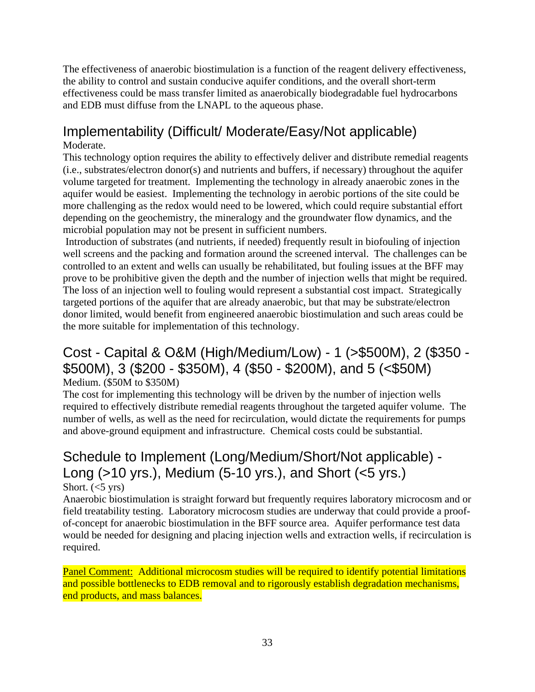The effectiveness of anaerobic biostimulation is a function of the reagent delivery effectiveness, the ability to control and sustain conducive aquifer conditions, and the overall short-term effectiveness could be mass transfer limited as anaerobically biodegradable fuel hydrocarbons and EDB must diffuse from the LNAPL to the aqueous phase.

#### Implementability (Difficult/ Moderate/Easy/Not applicable) Moderate.

This technology option requires the ability to effectively deliver and distribute remedial reagents (i.e., substrates/electron donor(s) and nutrients and buffers, if necessary) throughout the aquifer volume targeted for treatment. Implementing the technology in already anaerobic zones in the aquifer would be easiest. Implementing the technology in aerobic portions of the site could be more challenging as the redox would need to be lowered, which could require substantial effort depending on the geochemistry, the mineralogy and the groundwater flow dynamics, and the microbial population may not be present in sufficient numbers.

 Introduction of substrates (and nutrients, if needed) frequently result in biofouling of injection well screens and the packing and formation around the screened interval. The challenges can be controlled to an extent and wells can usually be rehabilitated, but fouling issues at the BFF may prove to be prohibitive given the depth and the number of injection wells that might be required. The loss of an injection well to fouling would represent a substantial cost impact. Strategically targeted portions of the aquifer that are already anaerobic, but that may be substrate/electron donor limited, would benefit from engineered anaerobic biostimulation and such areas could be the more suitable for implementation of this technology.

### Cost - Capital & O&M (High/Medium/Low) - 1 (>\$500M), 2 (\$350 - \$500M), 3 (\$200 - \$350M), 4 (\$50 - \$200M), and 5 (<\$50M) Medium. (\$50M to \$350M)

The cost for implementing this technology will be driven by the number of injection wells required to effectively distribute remedial reagents throughout the targeted aquifer volume. The number of wells, as well as the need for recirculation, would dictate the requirements for pumps and above-ground equipment and infrastructure. Chemical costs could be substantial.

## Schedule to Implement (Long/Medium/Short/Not applicable) - Long (>10 yrs.), Medium (5-10 yrs.), and Short (<5 yrs.) Short.  $(<5 \text{ yrs})$

Anaerobic biostimulation is straight forward but frequently requires laboratory microcosm and or field treatability testing. Laboratory microcosm studies are underway that could provide a proofof-concept for anaerobic biostimulation in the BFF source area. Aquifer performance test data would be needed for designing and placing injection wells and extraction wells, if recirculation is required.

Panel Comment: Additional microcosm studies will be required to identify potential limitations and possible bottlenecks to EDB removal and to rigorously establish degradation mechanisms, end products, and mass balances.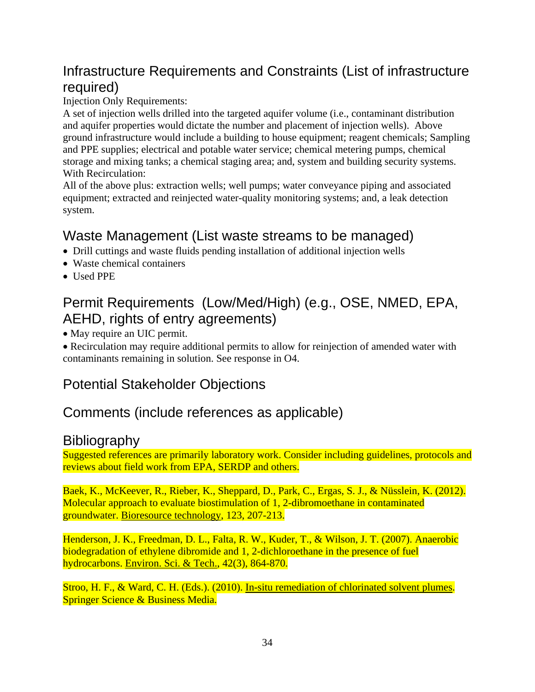# Infrastructure Requirements and Constraints (List of infrastructure required)

Injection Only Requirements:

A set of injection wells drilled into the targeted aquifer volume (i.e., contaminant distribution and aquifer properties would dictate the number and placement of injection wells). Above ground infrastructure would include a building to house equipment; reagent chemicals; Sampling and PPE supplies; electrical and potable water service; chemical metering pumps, chemical storage and mixing tanks; a chemical staging area; and, system and building security systems. With Recirculation:

All of the above plus: extraction wells; well pumps; water conveyance piping and associated equipment; extracted and reinjected water-quality monitoring systems; and, a leak detection system.

# Waste Management (List waste streams to be managed)

- Drill cuttings and waste fluids pending installation of additional injection wells
- Waste chemical containers
- Used PPE

# Permit Requirements (Low/Med/High) (e.g., OSE, NMED, EPA, AEHD, rights of entry agreements)

• May require an UIC permit.

 Recirculation may require additional permits to allow for reinjection of amended water with contaminants remaining in solution. See response in O4.

# Potential Stakeholder Objections

# Comments (include references as applicable)

## **Bibliography**

Suggested references are primarily laboratory work. Consider including guidelines, protocols and reviews about field work from EPA, SERDP and others.

Baek, K., McKeever, R., Rieber, K., Sheppard, D., Park, C., Ergas, S. J., & Nüsslein, K. (2012). Molecular approach to evaluate biostimulation of 1, 2-dibromoethane in contaminated groundwater. Bioresource technology, 123, 207-213.

Henderson, J. K., Freedman, D. L., Falta, R. W., Kuder, T., & Wilson, J. T. (2007). Anaerobic biodegradation of ethylene dibromide and 1, 2-dichloroethane in the presence of fuel hydrocarbons. Environ. Sci. & Tech., 42(3), 864-870.

Stroo, H. F., & Ward, C. H. (Eds.). (2010). In-situ remediation of chlorinated solvent plumes. Springer Science & Business Media.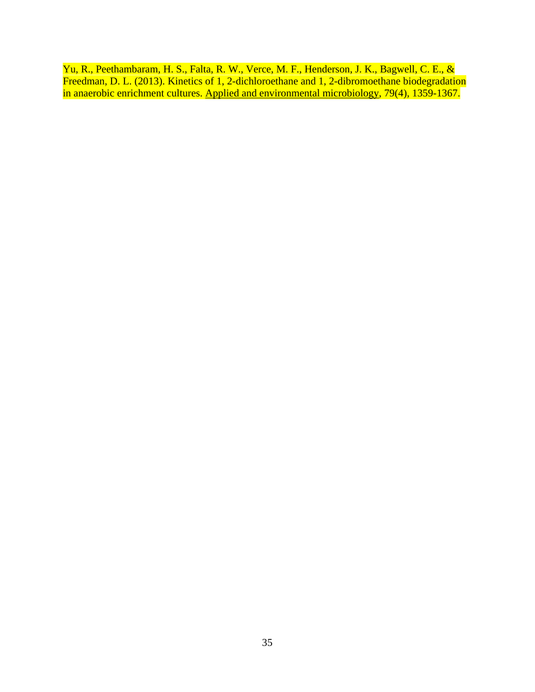Yu, R., Peethambaram, H. S., Falta, R. W., Verce, M. F., Henderson, J. K., Bagwell, C. E., & Freedman, D. L. (2013). Kinetics of 1, 2-dichloroethane and 1, 2-dibromoethane biodegradation in anaerobic enrichment cultures. Applied and environmental microbiology, 79(4), 1359-1367.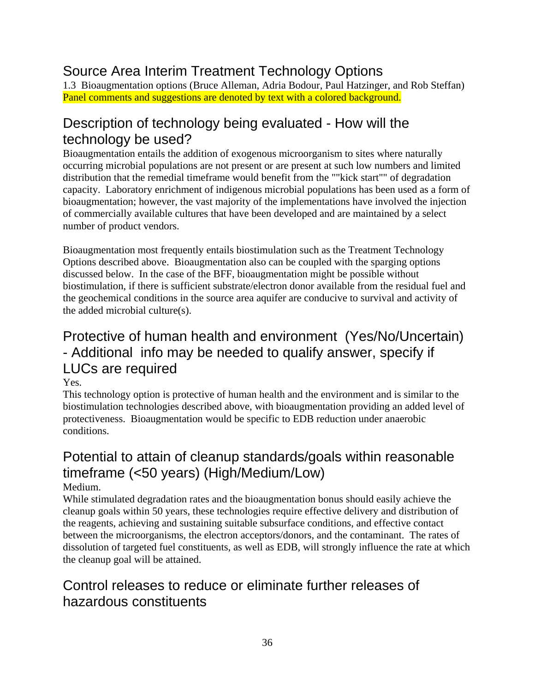## Source Area Interim Treatment Technology Options

1.3 Bioaugmentation options (Bruce Alleman, Adria Bodour, Paul Hatzinger, and Rob Steffan) Panel comments and suggestions are denoted by text with a colored background.

## Description of technology being evaluated - How will the technology be used?

Bioaugmentation entails the addition of exogenous microorganism to sites where naturally occurring microbial populations are not present or are present at such low numbers and limited distribution that the remedial timeframe would benefit from the ""kick start"" of degradation capacity. Laboratory enrichment of indigenous microbial populations has been used as a form of bioaugmentation; however, the vast majority of the implementations have involved the injection of commercially available cultures that have been developed and are maintained by a select number of product vendors.

Bioaugmentation most frequently entails biostimulation such as the Treatment Technology Options described above. Bioaugmentation also can be coupled with the sparging options discussed below. In the case of the BFF, bioaugmentation might be possible without biostimulation, if there is sufficient substrate/electron donor available from the residual fuel and the geochemical conditions in the source area aquifer are conducive to survival and activity of the added microbial culture(s).

# Protective of human health and environment (Yes/No/Uncertain) - Additional info may be needed to qualify answer, specify if LUCs are required

Yes.

This technology option is protective of human health and the environment and is similar to the biostimulation technologies described above, with bioaugmentation providing an added level of protectiveness. Bioaugmentation would be specific to EDB reduction under anaerobic conditions.

# Potential to attain of cleanup standards/goals within reasonable timeframe (<50 years) (High/Medium/Low)

#### Medium.

While stimulated degradation rates and the bioaugmentation bonus should easily achieve the cleanup goals within 50 years, these technologies require effective delivery and distribution of the reagents, achieving and sustaining suitable subsurface conditions, and effective contact between the microorganisms, the electron acceptors/donors, and the contaminant. The rates of dissolution of targeted fuel constituents, as well as EDB, will strongly influence the rate at which the cleanup goal will be attained.

## Control releases to reduce or eliminate further releases of hazardous constituents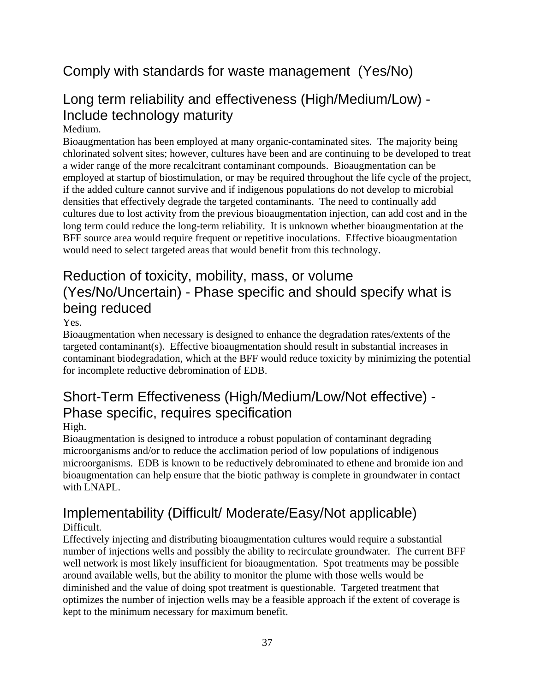## Comply with standards for waste management (Yes/No)

## Long term reliability and effectiveness (High/Medium/Low) - Include technology maturity

#### Medium.

Bioaugmentation has been employed at many organic-contaminated sites. The majority being chlorinated solvent sites; however, cultures have been and are continuing to be developed to treat a wider range of the more recalcitrant contaminant compounds. Bioaugmentation can be employed at startup of biostimulation, or may be required throughout the life cycle of the project, if the added culture cannot survive and if indigenous populations do not develop to microbial densities that effectively degrade the targeted contaminants. The need to continually add cultures due to lost activity from the previous bioaugmentation injection, can add cost and in the long term could reduce the long-term reliability. It is unknown whether bioaugmentation at the BFF source area would require frequent or repetitive inoculations. Effective bioaugmentation would need to select targeted areas that would benefit from this technology.

### Reduction of toxicity, mobility, mass, or volume (Yes/No/Uncertain) - Phase specific and should specify what is being reduced

Yes.

Bioaugmentation when necessary is designed to enhance the degradation rates/extents of the targeted contaminant(s). Effective bioaugmentation should result in substantial increases in contaminant biodegradation, which at the BFF would reduce toxicity by minimizing the potential for incomplete reductive debromination of EDB.

## Short-Term Effectiveness (High/Medium/Low/Not effective) - Phase specific, requires specification

#### High.

Bioaugmentation is designed to introduce a robust population of contaminant degrading microorganisms and/or to reduce the acclimation period of low populations of indigenous microorganisms. EDB is known to be reductively debrominated to ethene and bromide ion and bioaugmentation can help ensure that the biotic pathway is complete in groundwater in contact with LNAPL.

# Implementability (Difficult/ Moderate/Easy/Not applicable)

Difficult.

Effectively injecting and distributing bioaugmentation cultures would require a substantial number of injections wells and possibly the ability to recirculate groundwater. The current BFF well network is most likely insufficient for bioaugmentation. Spot treatments may be possible around available wells, but the ability to monitor the plume with those wells would be diminished and the value of doing spot treatment is questionable. Targeted treatment that optimizes the number of injection wells may be a feasible approach if the extent of coverage is kept to the minimum necessary for maximum benefit.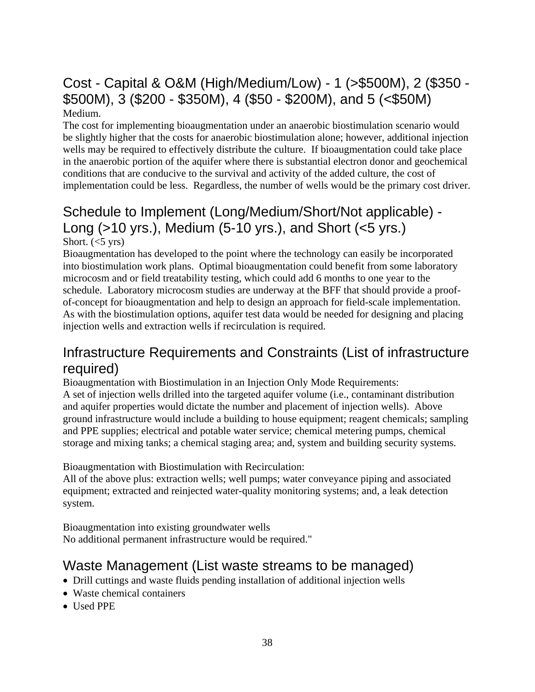#### Cost - Capital & O&M (High/Medium/Low) - 1 (>\$500M), 2 (\$350 - \$500M), 3 (\$200 - \$350M), 4 (\$50 - \$200M), and 5 (<\$50M) Medium.

The cost for implementing bioaugmentation under an anaerobic biostimulation scenario would be slightly higher that the costs for anaerobic biostimulation alone; however, additional injection wells may be required to effectively distribute the culture. If bioaugmentation could take place in the anaerobic portion of the aquifer where there is substantial electron donor and geochemical conditions that are conducive to the survival and activity of the added culture, the cost of implementation could be less. Regardless, the number of wells would be the primary cost driver.

#### Schedule to Implement (Long/Medium/Short/Not applicable) - Long (>10 yrs.), Medium (5-10 yrs.), and Short (<5 yrs.) Short.  $(<5 \text{ yrs})$

Bioaugmentation has developed to the point where the technology can easily be incorporated into biostimulation work plans. Optimal bioaugmentation could benefit from some laboratory microcosm and or field treatability testing, which could add 6 months to one year to the schedule. Laboratory microcosm studies are underway at the BFF that should provide a proofof-concept for bioaugmentation and help to design an approach for field-scale implementation. As with the biostimulation options, aquifer test data would be needed for designing and placing injection wells and extraction wells if recirculation is required.

#### Infrastructure Requirements and Constraints (List of infrastructure required)

Bioaugmentation with Biostimulation in an Injection Only Mode Requirements:

A set of injection wells drilled into the targeted aquifer volume (i.e., contaminant distribution and aquifer properties would dictate the number and placement of injection wells). Above ground infrastructure would include a building to house equipment; reagent chemicals; sampling and PPE supplies; electrical and potable water service; chemical metering pumps, chemical storage and mixing tanks; a chemical staging area; and, system and building security systems.

Bioaugmentation with Biostimulation with Recirculation:

All of the above plus: extraction wells; well pumps; water conveyance piping and associated equipment; extracted and reinjected water-quality monitoring systems; and, a leak detection system.

Bioaugmentation into existing groundwater wells No additional permanent infrastructure would be required."

## Waste Management (List waste streams to be managed)

- Drill cuttings and waste fluids pending installation of additional injection wells
- Waste chemical containers
- Used PPE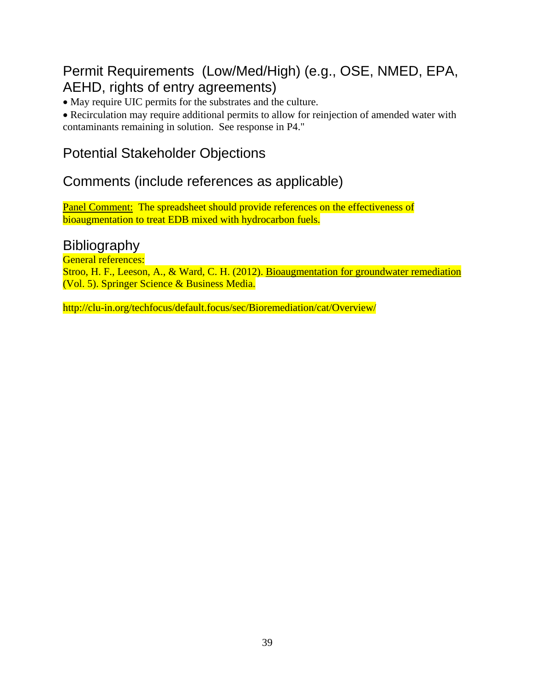## Permit Requirements (Low/Med/High) (e.g., OSE, NMED, EPA, AEHD, rights of entry agreements)

May require UIC permits for the substrates and the culture.

 Recirculation may require additional permits to allow for reinjection of amended water with contaminants remaining in solution. See response in P4."

## Potential Stakeholder Objections

## Comments (include references as applicable)

Panel Comment: The spreadsheet should provide references on the effectiveness of bioaugmentation to treat EDB mixed with hydrocarbon fuels.

#### **Bibliography**

General references:

Stroo, H. F., Leeson, A., & Ward, C. H. (2012). Bioaugmentation for groundwater remediation (Vol. 5). Springer Science & Business Media.

http://clu-in.org/techfocus/default.focus/sec/Bioremediation/cat/Overview/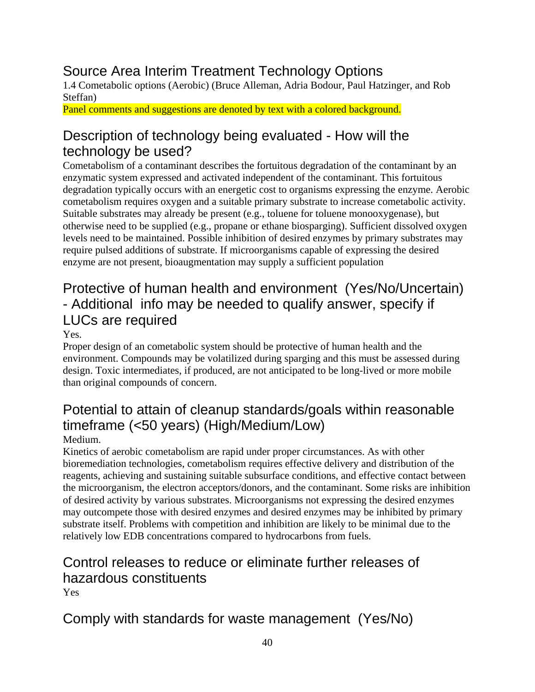1.4 Cometabolic options (Aerobic) (Bruce Alleman, Adria Bodour, Paul Hatzinger, and Rob Steffan)

Panel comments and suggestions are denoted by text with a colored background.

## Description of technology being evaluated - How will the technology be used?

Cometabolism of a contaminant describes the fortuitous degradation of the contaminant by an enzymatic system expressed and activated independent of the contaminant. This fortuitous degradation typically occurs with an energetic cost to organisms expressing the enzyme. Aerobic cometabolism requires oxygen and a suitable primary substrate to increase cometabolic activity. Suitable substrates may already be present (e.g., toluene for toluene monooxygenase), but otherwise need to be supplied (e.g., propane or ethane biosparging). Sufficient dissolved oxygen levels need to be maintained. Possible inhibition of desired enzymes by primary substrates may require pulsed additions of substrate. If microorganisms capable of expressing the desired enzyme are not present, bioaugmentation may supply a sufficient population

## Protective of human health and environment (Yes/No/Uncertain) - Additional info may be needed to qualify answer, specify if LUCs are required

Yes.

Proper design of an cometabolic system should be protective of human health and the environment. Compounds may be volatilized during sparging and this must be assessed during design. Toxic intermediates, if produced, are not anticipated to be long-lived or more mobile than original compounds of concern.

## Potential to attain of cleanup standards/goals within reasonable timeframe (<50 years) (High/Medium/Low)

Medium.

Kinetics of aerobic cometabolism are rapid under proper circumstances. As with other bioremediation technologies, cometabolism requires effective delivery and distribution of the reagents, achieving and sustaining suitable subsurface conditions, and effective contact between the microorganism, the electron acceptors/donors, and the contaminant. Some risks are inhibition of desired activity by various substrates. Microorganisms not expressing the desired enzymes may outcompete those with desired enzymes and desired enzymes may be inhibited by primary substrate itself. Problems with competition and inhibition are likely to be minimal due to the relatively low EDB concentrations compared to hydrocarbons from fuels.

# Control releases to reduce or eliminate further releases of hazardous constituents

Yes

## Comply with standards for waste management (Yes/No)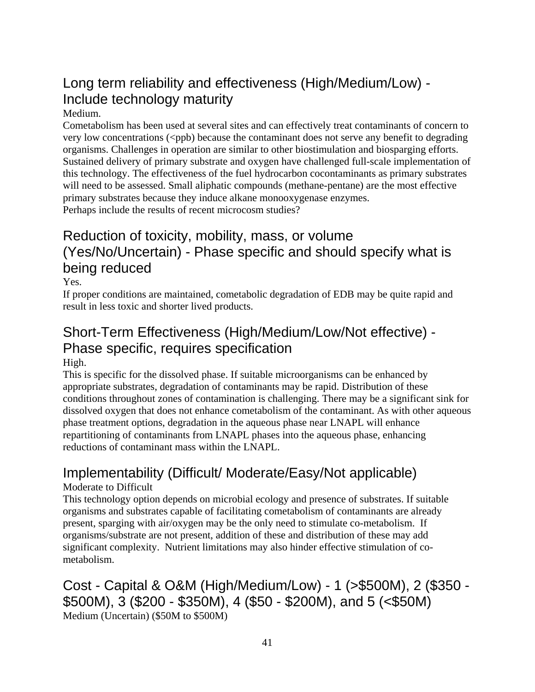## Long term reliability and effectiveness (High/Medium/Low) - Include technology maturity

#### Medium.

Cometabolism has been used at several sites and can effectively treat contaminants of concern to very low concentrations  $(\leq p\mathfrak{b})$  because the contaminant does not serve any benefit to degrading organisms. Challenges in operation are similar to other biostimulation and biosparging efforts. Sustained delivery of primary substrate and oxygen have challenged full-scale implementation of this technology. The effectiveness of the fuel hydrocarbon cocontaminants as primary substrates will need to be assessed. Small aliphatic compounds (methane-pentane) are the most effective primary substrates because they induce alkane monooxygenase enzymes. Perhaps include the results of recent microcosm studies?

## Reduction of toxicity, mobility, mass, or volume (Yes/No/Uncertain) - Phase specific and should specify what is being reduced

Yes.

If proper conditions are maintained, cometabolic degradation of EDB may be quite rapid and result in less toxic and shorter lived products.

## Short-Term Effectiveness (High/Medium/Low/Not effective) - Phase specific, requires specification

High.

This is specific for the dissolved phase. If suitable microorganisms can be enhanced by appropriate substrates, degradation of contaminants may be rapid. Distribution of these conditions throughout zones of contamination is challenging. There may be a significant sink for dissolved oxygen that does not enhance cometabolism of the contaminant. As with other aqueous phase treatment options, degradation in the aqueous phase near LNAPL will enhance repartitioning of contaminants from LNAPL phases into the aqueous phase, enhancing reductions of contaminant mass within the LNAPL.

## Implementability (Difficult/ Moderate/Easy/Not applicable)

#### Moderate to Difficult

This technology option depends on microbial ecology and presence of substrates. If suitable organisms and substrates capable of facilitating cometabolism of contaminants are already present, sparging with air/oxygen may be the only need to stimulate co-metabolism. If organisms/substrate are not present, addition of these and distribution of these may add significant complexity. Nutrient limitations may also hinder effective stimulation of cometabolism.

#### Cost - Capital & O&M (High/Medium/Low) - 1 (>\$500M), 2 (\$350 - \$500M), 3 (\$200 - \$350M), 4 (\$50 - \$200M), and 5 (<\$50M) Medium (Uncertain) (\$50M to \$500M)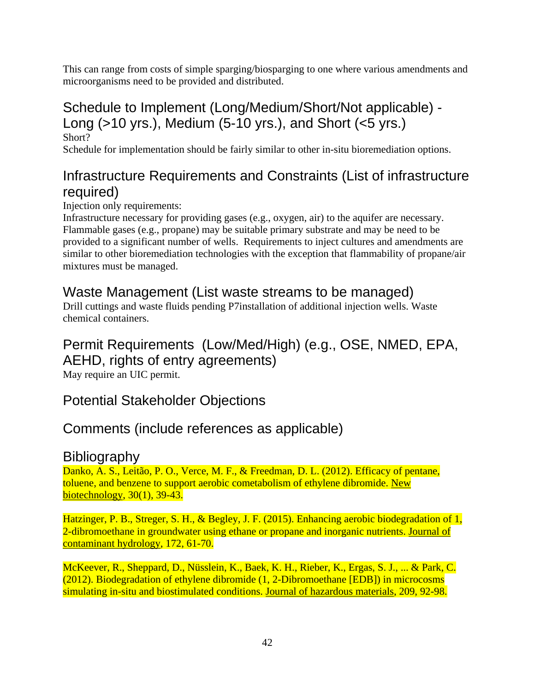This can range from costs of simple sparging/biosparging to one where various amendments and microorganisms need to be provided and distributed.

## Schedule to Implement (Long/Medium/Short/Not applicable) - Long (>10 yrs.), Medium (5-10 yrs.), and Short (<5 yrs.) Short? Schedule for implementation should be fairly similar to other in-situ bioremediation options.

## Infrastructure Requirements and Constraints (List of infrastructure required)

Injection only requirements:

Infrastructure necessary for providing gases (e.g., oxygen, air) to the aquifer are necessary. Flammable gases (e.g., propane) may be suitable primary substrate and may be need to be provided to a significant number of wells. Requirements to inject cultures and amendments are similar to other bioremediation technologies with the exception that flammability of propane/air mixtures must be managed.

#### Waste Management (List waste streams to be managed)

Drill cuttings and waste fluids pending P7installation of additional injection wells. Waste chemical containers.

# Permit Requirements (Low/Med/High) (e.g., OSE, NMED, EPA, AEHD, rights of entry agreements)

May require an UIC permit.

### Potential Stakeholder Objections

## Comments (include references as applicable)

#### Bibliography

Danko, A. S., Leitão, P. O., Verce, M. F., & Freedman, D. L. (2012). Efficacy of pentane, toluene, and benzene to support aerobic cometabolism of ethylene dibromide. New biotechnology, 30(1), 39-43.

Hatzinger, P. B., Streger, S. H., & Begley, J. F. (2015). Enhancing aerobic biodegradation of 1, 2-dibromoethane in groundwater using ethane or propane and inorganic nutrients. Journal of contaminant hydrology, 172, 61-70.

McKeever, R., Sheppard, D., Nüsslein, K., Baek, K. H., Rieber, K., Ergas, S. J., ... & Park, C. (2012). Biodegradation of ethylene dibromide (1, 2-Dibromoethane [EDB]) in microcosms simulating in-situ and biostimulated conditions. Journal of hazardous materials, 209, 92-98.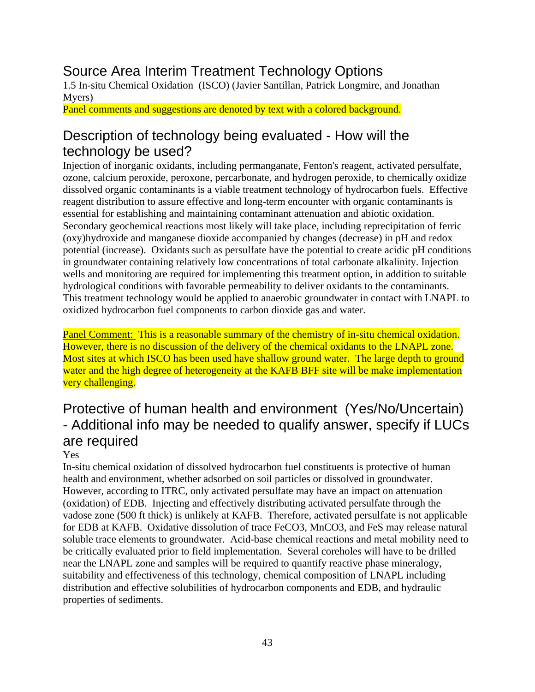1.5 In-situ Chemical Oxidation (ISCO) (Javier Santillan, Patrick Longmire, and Jonathan Myers)

Panel comments and suggestions are denoted by text with a colored background.

### Description of technology being evaluated - How will the technology be used?

Injection of inorganic oxidants, including permanganate, Fenton's reagent, activated persulfate, ozone, calcium peroxide, peroxone, percarbonate, and hydrogen peroxide, to chemically oxidize dissolved organic contaminants is a viable treatment technology of hydrocarbon fuels. Effective reagent distribution to assure effective and long-term encounter with organic contaminants is essential for establishing and maintaining contaminant attenuation and abiotic oxidation. Secondary geochemical reactions most likely will take place, including reprecipitation of ferric (oxy)hydroxide and manganese dioxide accompanied by changes (decrease) in pH and redox potential (increase). Oxidants such as persulfate have the potential to create acidic pH conditions in groundwater containing relatively low concentrations of total carbonate alkalinity. Injection wells and monitoring are required for implementing this treatment option, in addition to suitable hydrological conditions with favorable permeability to deliver oxidants to the contaminants. This treatment technology would be applied to anaerobic groundwater in contact with LNAPL to oxidized hydrocarbon fuel components to carbon dioxide gas and water.

Panel Comment: This is a reasonable summary of the chemistry of in-situ chemical oxidation. However, there is no discussion of the delivery of the chemical oxidants to the LNAPL zone. Most sites at which ISCO has been used have shallow ground water. The large depth to ground water and the high degree of heterogeneity at the KAFB BFF site will be make implementation very challenging.

## Protective of human health and environment (Yes/No/Uncertain) - Additional info may be needed to qualify answer, specify if LUCs are required

#### Yes

In-situ chemical oxidation of dissolved hydrocarbon fuel constituents is protective of human health and environment, whether adsorbed on soil particles or dissolved in groundwater. However, according to ITRC, only activated persulfate may have an impact on attenuation (oxidation) of EDB. Injecting and effectively distributing activated persulfate through the vadose zone (500 ft thick) is unlikely at KAFB. Therefore, activated persulfate is not applicable for EDB at KAFB. Oxidative dissolution of trace FeCO3, MnCO3, and FeS may release natural soluble trace elements to groundwater. Acid-base chemical reactions and metal mobility need to be critically evaluated prior to field implementation. Several coreholes will have to be drilled near the LNAPL zone and samples will be required to quantify reactive phase mineralogy, suitability and effectiveness of this technology, chemical composition of LNAPL including distribution and effective solubilities of hydrocarbon components and EDB, and hydraulic properties of sediments.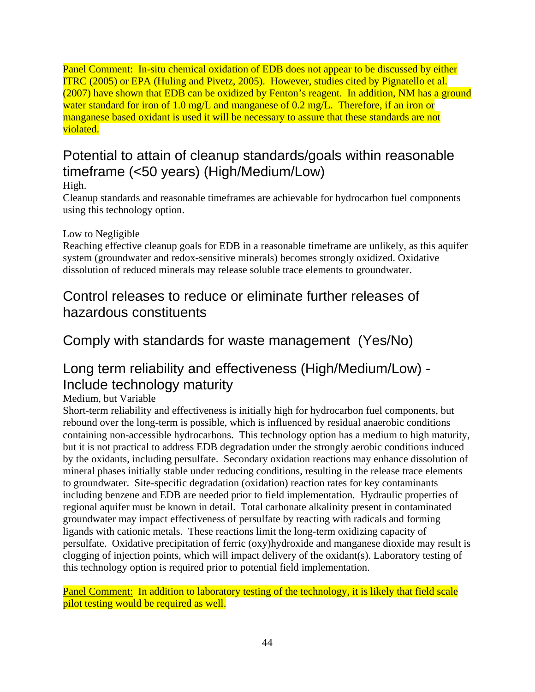Panel Comment: In-situ chemical oxidation of EDB does not appear to be discussed by either ITRC (2005) or EPA (Huling and Pivetz, 2005). However, studies cited by Pignatello et al. (2007) have shown that EDB can be oxidized by Fenton's reagent. In addition, NM has a ground water standard for iron of 1.0 mg/L and manganese of 0.2 mg/L. Therefore, if an iron or manganese based oxidant is used it will be necessary to assure that these standards are not violated.

## Potential to attain of cleanup standards/goals within reasonable timeframe (<50 years) (High/Medium/Low)

#### High.

Cleanup standards and reasonable timeframes are achievable for hydrocarbon fuel components using this technology option.

#### Low to Negligible

Reaching effective cleanup goals for EDB in a reasonable timeframe are unlikely, as this aquifer system (groundwater and redox-sensitive minerals) becomes strongly oxidized. Oxidative dissolution of reduced minerals may release soluble trace elements to groundwater.

## Control releases to reduce or eliminate further releases of hazardous constituents

Comply with standards for waste management (Yes/No)

## Long term reliability and effectiveness (High/Medium/Low) - Include technology maturity

#### Medium, but Variable

Short-term reliability and effectiveness is initially high for hydrocarbon fuel components, but rebound over the long-term is possible, which is influenced by residual anaerobic conditions containing non-accessible hydrocarbons. This technology option has a medium to high maturity, but it is not practical to address EDB degradation under the strongly aerobic conditions induced by the oxidants, including persulfate. Secondary oxidation reactions may enhance dissolution of mineral phases initially stable under reducing conditions, resulting in the release trace elements to groundwater. Site-specific degradation (oxidation) reaction rates for key contaminants including benzene and EDB are needed prior to field implementation. Hydraulic properties of regional aquifer must be known in detail. Total carbonate alkalinity present in contaminated groundwater may impact effectiveness of persulfate by reacting with radicals and forming ligands with cationic metals. These reactions limit the long-term oxidizing capacity of persulfate. Oxidative precipitation of ferric (oxy)hydroxide and manganese dioxide may result is clogging of injection points, which will impact delivery of the oxidant(s). Laboratory testing of this technology option is required prior to potential field implementation.

Panel Comment: In addition to laboratory testing of the technology, it is likely that field scale pilot testing would be required as well.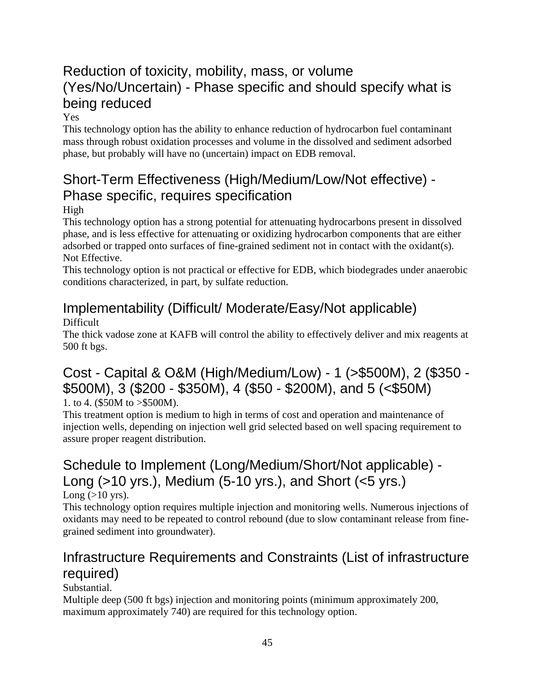## Reduction of toxicity, mobility, mass, or volume (Yes/No/Uncertain) - Phase specific and should specify what is being reduced

#### Yes

This technology option has the ability to enhance reduction of hydrocarbon fuel contaminant mass through robust oxidation processes and volume in the dissolved and sediment adsorbed phase, but probably will have no (uncertain) impact on EDB removal.

## Short-Term Effectiveness (High/Medium/Low/Not effective) - Phase specific, requires specification

#### High

This technology option has a strong potential for attenuating hydrocarbons present in dissolved phase, and is less effective for attenuating or oxidizing hydrocarbon components that are either adsorbed or trapped onto surfaces of fine-grained sediment not in contact with the oxidant(s). Not Effective.

This technology option is not practical or effective for EDB, which biodegrades under anaerobic conditions characterized, in part, by sulfate reduction.

## Implementability (Difficult/ Moderate/Easy/Not applicable)

Difficult

The thick vadose zone at KAFB will control the ability to effectively deliver and mix reagents at 500 ft bgs.

#### Cost - Capital & O&M (High/Medium/Low) - 1 (>\$500M), 2 (\$350 - \$500M), 3 (\$200 - \$350M), 4 (\$50 - \$200M), and 5 (<\$50M) 1. to 4. (\$50M to >\$500M).

This treatment option is medium to high in terms of cost and operation and maintenance of injection wells, depending on injection well grid selected based on well spacing requirement to assure proper reagent distribution.

## Schedule to Implement (Long/Medium/Short/Not applicable) - Long (>10 yrs.), Medium (5-10 yrs.), and Short (<5 yrs.)

Long  $(>10$  yrs).

This technology option requires multiple injection and monitoring wells. Numerous injections of oxidants may need to be repeated to control rebound (due to slow contaminant release from finegrained sediment into groundwater).

## Infrastructure Requirements and Constraints (List of infrastructure required)

#### Substantial.

Multiple deep (500 ft bgs) injection and monitoring points (minimum approximately 200, maximum approximately 740) are required for this technology option.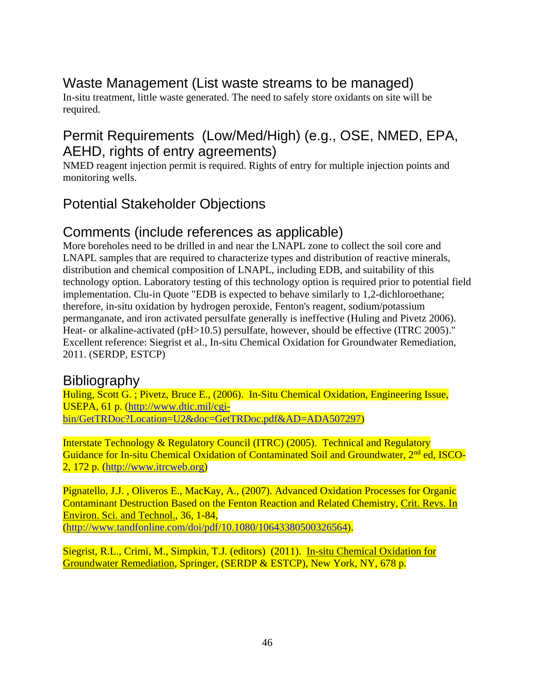## Waste Management (List waste streams to be managed)

In-situ treatment, little waste generated. The need to safely store oxidants on site will be required.

### Permit Requirements (Low/Med/High) (e.g., OSE, NMED, EPA, AEHD, rights of entry agreements)

NMED reagent injection permit is required. Rights of entry for multiple injection points and monitoring wells.

#### Potential Stakeholder Objections

#### Comments (include references as applicable)

More boreholes need to be drilled in and near the LNAPL zone to collect the soil core and LNAPL samples that are required to characterize types and distribution of reactive minerals, distribution and chemical composition of LNAPL, including EDB, and suitability of this technology option. Laboratory testing of this technology option is required prior to potential field implementation. Clu-in Quote "EDB is expected to behave similarly to 1,2-dichloroethane; therefore, in-situ oxidation by hydrogen peroxide, Fenton's reagent, sodium/potassium permanganate, and iron activated persulfate generally is ineffective (Huling and Pivetz 2006). Heat- or alkaline-activated (pH>10.5) persulfate, however, should be effective (ITRC 2005)." Excellent reference: Siegrist et al., In-situ Chemical Oxidation for Groundwater Remediation, 2011. (SERDP, ESTCP)

#### Bibliography

Huling, Scott G. ; Pivetz, Bruce E., (2006). In-Situ Chemical Oxidation, Engineering Issue, USEPA, 61 p. (http://www.dtic.mil/cgibin/GetTRDoc?Location=U2&doc=GetTRDoc.pdf&AD=ADA507297)

Interstate Technology & Regulatory Council (ITRC) (2005). Technical and Regulatory Guidance for In-situ Chemical Oxidation of Contaminated Soil and Groundwater, 2<sup>nd</sup> ed. ISCO-2, 172 p. (http://www.itrcweb.org)

Pignatello, J.J. , Oliveros E., MacKay, A., (2007). Advanced Oxidation Processes for Organic Contaminant Destruction Based on the Fenton Reaction and Related Chemistry, Crit. Revs. In Environ. Sci. and Technol., 36, 1-84, (http://www.tandfonline.com/doi/pdf/10.1080/10643380500326564).

Siegrist, R.L., Crimi, M., Simpkin, T.J. (editors) (2011). In-situ Chemical Oxidation for Groundwater Remediation, Springer, (SERDP & ESTCP), New York, NY, 678 p.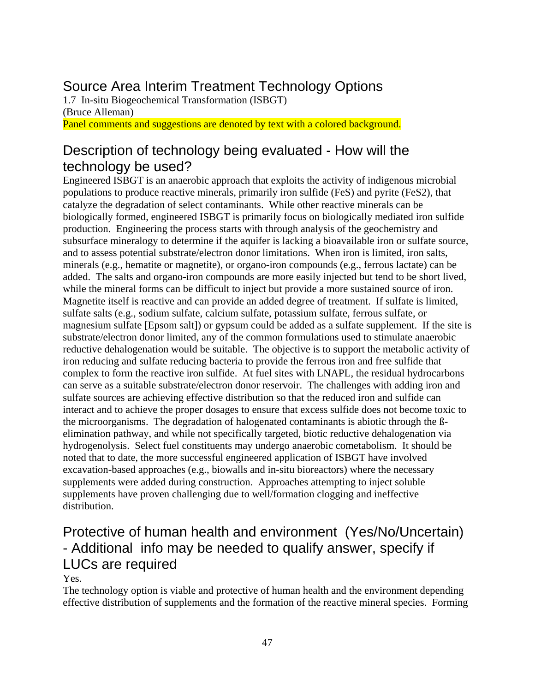1.7 In-situ Biogeochemical Transformation (ISBGT) (Bruce Alleman)

Panel comments and suggestions are denoted by text with a colored background.

### Description of technology being evaluated - How will the technology be used?

Engineered ISBGT is an anaerobic approach that exploits the activity of indigenous microbial populations to produce reactive minerals, primarily iron sulfide (FeS) and pyrite (FeS2), that catalyze the degradation of select contaminants. While other reactive minerals can be biologically formed, engineered ISBGT is primarily focus on biologically mediated iron sulfide production. Engineering the process starts with through analysis of the geochemistry and subsurface mineralogy to determine if the aquifer is lacking a bioavailable iron or sulfate source, and to assess potential substrate/electron donor limitations. When iron is limited, iron salts, minerals (e.g., hematite or magnetite), or organo-iron compounds (e.g., ferrous lactate) can be added. The salts and organo-iron compounds are more easily injected but tend to be short lived, while the mineral forms can be difficult to inject but provide a more sustained source of iron. Magnetite itself is reactive and can provide an added degree of treatment. If sulfate is limited, sulfate salts (e.g., sodium sulfate, calcium sulfate, potassium sulfate, ferrous sulfate, or magnesium sulfate [Epsom salt]) or gypsum could be added as a sulfate supplement. If the site is substrate/electron donor limited, any of the common formulations used to stimulate anaerobic reductive dehalogenation would be suitable. The objective is to support the metabolic activity of iron reducing and sulfate reducing bacteria to provide the ferrous iron and free sulfide that complex to form the reactive iron sulfide. At fuel sites with LNAPL, the residual hydrocarbons can serve as a suitable substrate/electron donor reservoir. The challenges with adding iron and sulfate sources are achieving effective distribution so that the reduced iron and sulfide can interact and to achieve the proper dosages to ensure that excess sulfide does not become toxic to the microorganisms. The degradation of halogenated contaminants is abiotic through the ßelimination pathway, and while not specifically targeted, biotic reductive dehalogenation via hydrogenolysis. Select fuel constituents may undergo anaerobic cometabolism. It should be noted that to date, the more successful engineered application of ISBGT have involved excavation-based approaches (e.g., biowalls and in-situ bioreactors) where the necessary supplements were added during construction. Approaches attempting to inject soluble supplements have proven challenging due to well/formation clogging and ineffective distribution.

## Protective of human health and environment (Yes/No/Uncertain) - Additional info may be needed to qualify answer, specify if LUCs are required

Yes.

The technology option is viable and protective of human health and the environment depending effective distribution of supplements and the formation of the reactive mineral species. Forming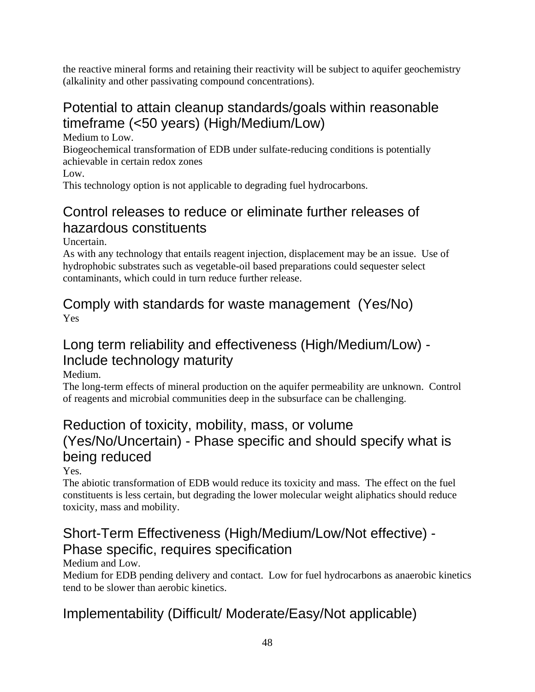the reactive mineral forms and retaining their reactivity will be subject to aquifer geochemistry (alkalinity and other passivating compound concentrations).

## Potential to attain cleanup standards/goals within reasonable timeframe (<50 years) (High/Medium/Low)

Medium to Low.

Biogeochemical transformation of EDB under sulfate-reducing conditions is potentially achievable in certain redox zones

Low.

This technology option is not applicable to degrading fuel hydrocarbons.

## Control releases to reduce or eliminate further releases of hazardous constituents

Uncertain.

As with any technology that entails reagent injection, displacement may be an issue. Use of hydrophobic substrates such as vegetable-oil based preparations could sequester select contaminants, which could in turn reduce further release.

#### Comply with standards for waste management (Yes/No) Yes

## Long term reliability and effectiveness (High/Medium/Low) - Include technology maturity

Medium.

The long-term effects of mineral production on the aquifer permeability are unknown. Control of reagents and microbial communities deep in the subsurface can be challenging.

## Reduction of toxicity, mobility, mass, or volume (Yes/No/Uncertain) - Phase specific and should specify what is being reduced

Yes.

The abiotic transformation of EDB would reduce its toxicity and mass. The effect on the fuel constituents is less certain, but degrading the lower molecular weight aliphatics should reduce toxicity, mass and mobility.

## Short-Term Effectiveness (High/Medium/Low/Not effective) - Phase specific, requires specification

Medium and Low.

Medium for EDB pending delivery and contact. Low for fuel hydrocarbons as anaerobic kinetics tend to be slower than aerobic kinetics.

## Implementability (Difficult/ Moderate/Easy/Not applicable)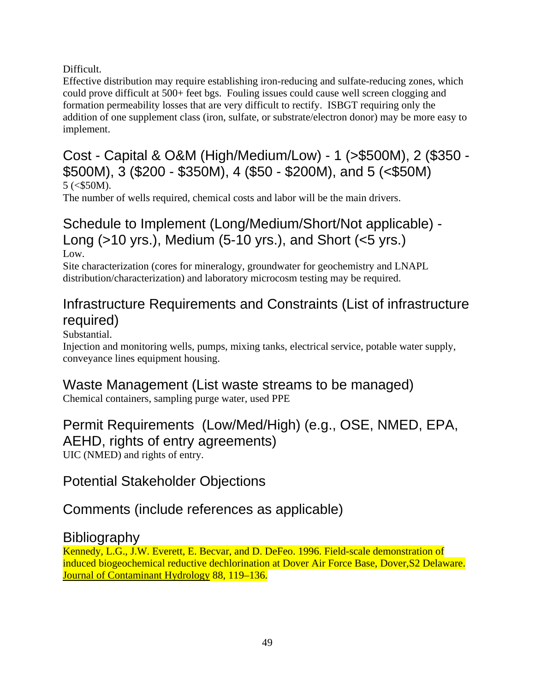Difficult.

Effective distribution may require establishing iron-reducing and sulfate-reducing zones, which could prove difficult at 500+ feet bgs. Fouling issues could cause well screen clogging and formation permeability losses that are very difficult to rectify. ISBGT requiring only the addition of one supplement class (iron, sulfate, or substrate/electron donor) may be more easy to implement.

Cost - Capital & O&M (High/Medium/Low) - 1 (>\$500M), 2 (\$350 - \$500M), 3 (\$200 - \$350M), 4 (\$50 - \$200M), and 5 (<\$50M)  $5$  ( $\leq$ \$50M).

The number of wells required, chemical costs and labor will be the main drivers.

#### Schedule to Implement (Long/Medium/Short/Not applicable) - Long (>10 yrs.), Medium (5-10 yrs.), and Short (<5 yrs.) Low.

Site characterization (cores for mineralogy, groundwater for geochemistry and LNAPL distribution/characterization) and laboratory microcosm testing may be required.

## Infrastructure Requirements and Constraints (List of infrastructure required)

Substantial.

Injection and monitoring wells, pumps, mixing tanks, electrical service, potable water supply, conveyance lines equipment housing.

### Waste Management (List waste streams to be managed)

Chemical containers, sampling purge water, used PPE

## Permit Requirements (Low/Med/High) (e.g., OSE, NMED, EPA, AEHD, rights of entry agreements)

UIC (NMED) and rights of entry.

### Potential Stakeholder Objections

### Comments (include references as applicable)

#### **Bibliography**

Kennedy, L.G., J.W. Everett, E. Becvar, and D. DeFeo. 1996. Field-scale demonstration of induced biogeochemical reductive dechlorination at Dover Air Force Base, Dover,S2 Delaware. Journal of Contaminant Hydrology 88, 119–136.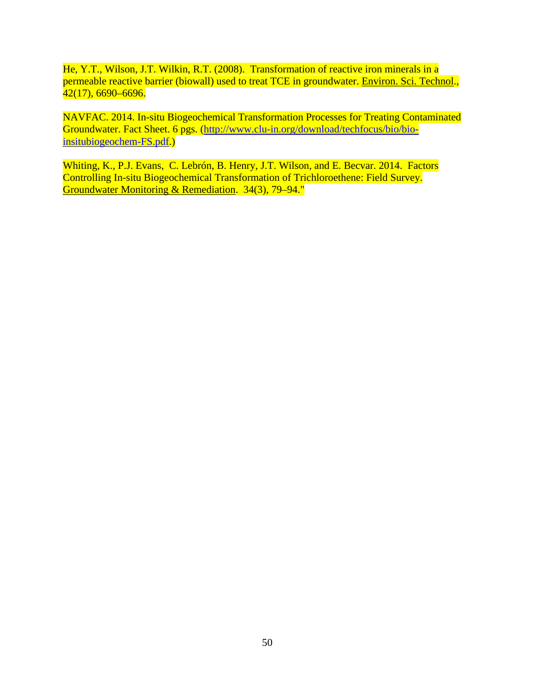He, Y.T., Wilson, J.T. Wilkin, R.T. (2008). Transformation of reactive iron minerals in a permeable reactive barrier (biowall) used to treat TCE in groundwater. Environ. Sci. Technol., 42(17), 6690–6696.

NAVFAC. 2014. In-situ Biogeochemical Transformation Processes for Treating Contaminated Groundwater. Fact Sheet. 6 pgs. (http://www.clu-in.org/download/techfocus/bio/bioinsitubiogeochem-FS.pdf.)

Whiting, K., P.J. Evans, C. Lebrón, B. Henry, J.T. Wilson, and E. Becvar. 2014. Factors Controlling In-situ Biogeochemical Transformation of Trichloroethene: Field Survey. Groundwater Monitoring & Remediation. 34(3), 79–94."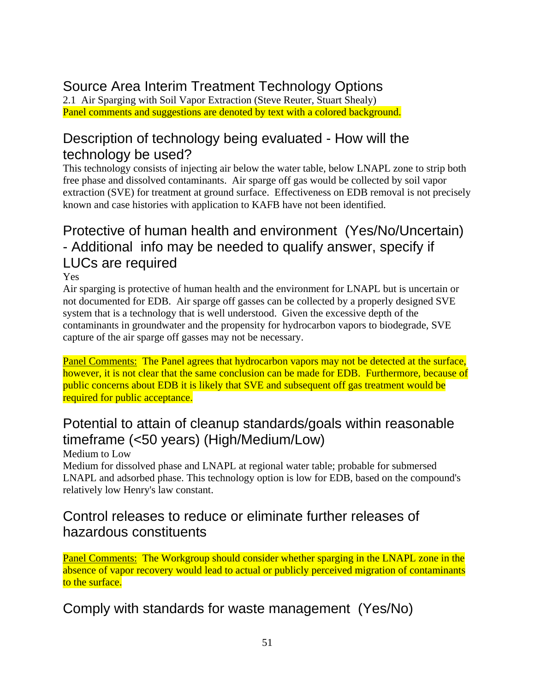2.1 Air Sparging with Soil Vapor Extraction (Steve Reuter, Stuart Shealy) Panel comments and suggestions are denoted by text with a colored background.

### Description of technology being evaluated - How will the technology be used?

This technology consists of injecting air below the water table, below LNAPL zone to strip both free phase and dissolved contaminants. Air sparge off gas would be collected by soil vapor extraction (SVE) for treatment at ground surface. Effectiveness on EDB removal is not precisely known and case histories with application to KAFB have not been identified.

## Protective of human health and environment (Yes/No/Uncertain) - Additional info may be needed to qualify answer, specify if LUCs are required

#### Yes

Air sparging is protective of human health and the environment for LNAPL but is uncertain or not documented for EDB. Air sparge off gasses can be collected by a properly designed SVE system that is a technology that is well understood. Given the excessive depth of the contaminants in groundwater and the propensity for hydrocarbon vapors to biodegrade, SVE capture of the air sparge off gasses may not be necessary.

Panel Comments: The Panel agrees that hydrocarbon vapors may not be detected at the surface, however, it is not clear that the same conclusion can be made for EDB. Furthermore, because of public concerns about EDB it is likely that SVE and subsequent off gas treatment would be required for public acceptance.

## Potential to attain of cleanup standards/goals within reasonable timeframe (<50 years) (High/Medium/Low)

Medium to Low

Medium for dissolved phase and LNAPL at regional water table; probable for submersed LNAPL and adsorbed phase. This technology option is low for EDB, based on the compound's relatively low Henry's law constant.

#### Control releases to reduce or eliminate further releases of hazardous constituents

Panel Comments: The Workgroup should consider whether sparging in the LNAPL zone in the absence of vapor recovery would lead to actual or publicly perceived migration of contaminants to the surface.

Comply with standards for waste management (Yes/No)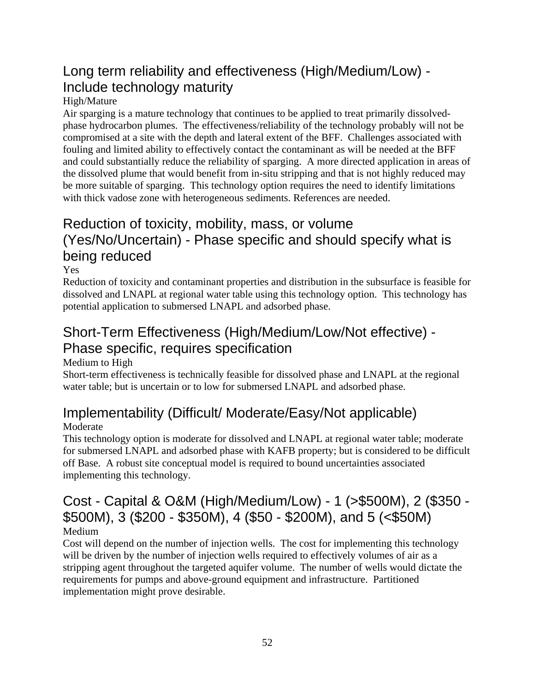## Long term reliability and effectiveness (High/Medium/Low) - Include technology maturity

#### High/Mature

Air sparging is a mature technology that continues to be applied to treat primarily dissolvedphase hydrocarbon plumes. The effectiveness/reliability of the technology probably will not be compromised at a site with the depth and lateral extent of the BFF. Challenges associated with fouling and limited ability to effectively contact the contaminant as will be needed at the BFF and could substantially reduce the reliability of sparging. A more directed application in areas of the dissolved plume that would benefit from in-situ stripping and that is not highly reduced may be more suitable of sparging. This technology option requires the need to identify limitations with thick vadose zone with heterogeneous sediments. References are needed.

## Reduction of toxicity, mobility, mass, or volume (Yes/No/Uncertain) - Phase specific and should specify what is being reduced

Yes

Reduction of toxicity and contaminant properties and distribution in the subsurface is feasible for dissolved and LNAPL at regional water table using this technology option. This technology has potential application to submersed LNAPL and adsorbed phase.

## Short-Term Effectiveness (High/Medium/Low/Not effective) - Phase specific, requires specification

Medium to High

Short-term effectiveness is technically feasible for dissolved phase and LNAPL at the regional water table; but is uncertain or to low for submersed LNAPL and adsorbed phase.

## Implementability (Difficult/ Moderate/Easy/Not applicable)

#### Moderate

This technology option is moderate for dissolved and LNAPL at regional water table; moderate for submersed LNAPL and adsorbed phase with KAFB property; but is considered to be difficult off Base. A robust site conceptual model is required to bound uncertainties associated implementing this technology.

#### Cost - Capital & O&M (High/Medium/Low) - 1 (>\$500M), 2 (\$350 - \$500M), 3 (\$200 - \$350M), 4 (\$50 - \$200M), and 5 (<\$50M) Medium

Cost will depend on the number of injection wells. The cost for implementing this technology will be driven by the number of injection wells required to effectively volumes of air as a stripping agent throughout the targeted aquifer volume. The number of wells would dictate the requirements for pumps and above-ground equipment and infrastructure. Partitioned implementation might prove desirable.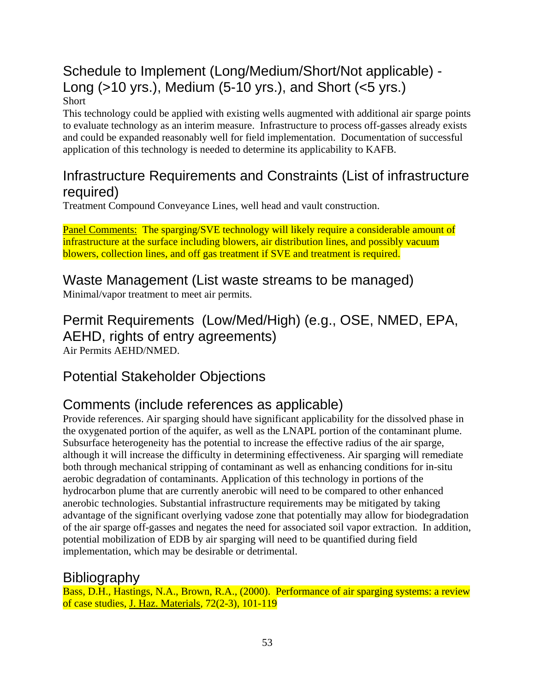#### Schedule to Implement (Long/Medium/Short/Not applicable) - Long (>10 yrs.), Medium (5-10 yrs.), and Short (<5 yrs.) Short

This technology could be applied with existing wells augmented with additional air sparge points to evaluate technology as an interim measure. Infrastructure to process off-gasses already exists and could be expanded reasonably well for field implementation. Documentation of successful application of this technology is needed to determine its applicability to KAFB.

### Infrastructure Requirements and Constraints (List of infrastructure required)

Treatment Compound Conveyance Lines, well head and vault construction.

Panel Comments: The sparging/SVE technology will likely require a considerable amount of infrastructure at the surface including blowers, air distribution lines, and possibly vacuum blowers, collection lines, and off gas treatment if SVE and treatment is required.

Waste Management (List waste streams to be managed) Minimal/vapor treatment to meet air permits.

Permit Requirements (Low/Med/High) (e.g., OSE, NMED, EPA, AEHD, rights of entry agreements) Air Permits AEHD/NMED.

### Potential Stakeholder Objections

## Comments (include references as applicable)

Provide references. Air sparging should have significant applicability for the dissolved phase in the oxygenated portion of the aquifer, as well as the LNAPL portion of the contaminant plume. Subsurface heterogeneity has the potential to increase the effective radius of the air sparge, although it will increase the difficulty in determining effectiveness. Air sparging will remediate both through mechanical stripping of contaminant as well as enhancing conditions for in-situ aerobic degradation of contaminants. Application of this technology in portions of the hydrocarbon plume that are currently anerobic will need to be compared to other enhanced anerobic technologies. Substantial infrastructure requirements may be mitigated by taking advantage of the significant overlying vadose zone that potentially may allow for biodegradation of the air sparge off-gasses and negates the need for associated soil vapor extraction. In addition, potential mobilization of EDB by air sparging will need to be quantified during field implementation, which may be desirable or detrimental.

#### **Bibliography**

Bass, D.H., Hastings, N.A., Brown, R.A., (2000). Performance of air sparging systems: a review of case studies, J. Haz. Materials, 72(2-3), 101-119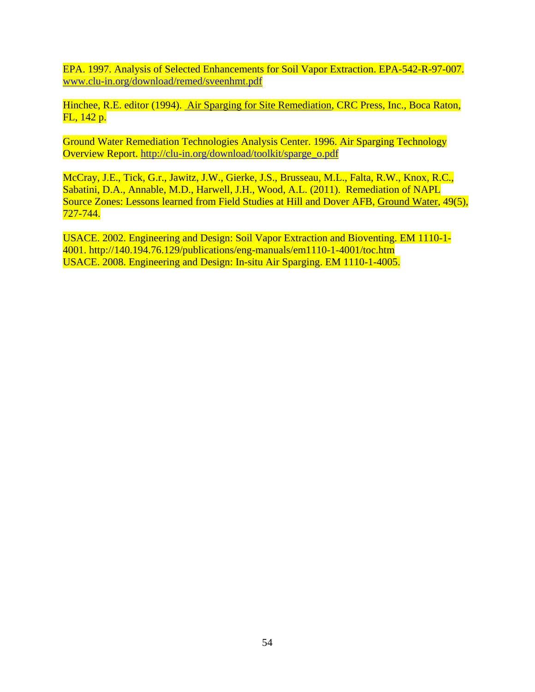EPA. 1997. Analysis of Selected Enhancements for Soil Vapor Extraction. EPA-542-R-97-007. www.clu-in.org/download/remed/sveenhmt.pdf

Hinchee, R.E. editor (1994). Air Sparging for Site Remediation, CRC Press, Inc., Boca Raton, FL, 142 p.

Ground Water Remediation Technologies Analysis Center. 1996. Air Sparging Technology Overview Report. http://clu-in.org/download/toolkit/sparge\_o.pdf

McCray, J.E., Tick, G.r., Jawitz, J.W., Gierke, J.S., Brusseau, M.L., Falta, R.W., Knox, R.C., Sabatini, D.A., Annable, M.D., Harwell, J.H., Wood, A.L. (2011). Remediation of NAPL Source Zones: Lessons learned from Field Studies at Hill and Dover AFB, Ground Water, 49(5), 727-744.

USACE. 2002. Engineering and Design: Soil Vapor Extraction and Bioventing. EM 1110-1- 4001. http://140.194.76.129/publications/eng-manuals/em1110-1-4001/toc.htm USACE. 2008. Engineering and Design: In-situ Air Sparging. EM 1110-1-4005.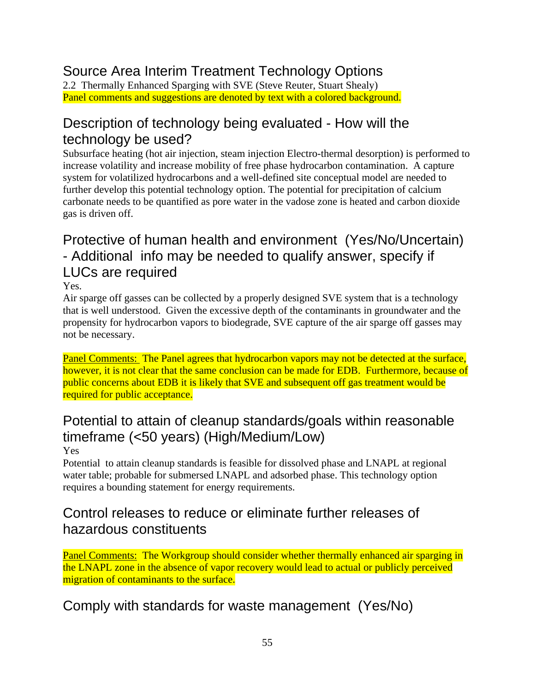2.2 Thermally Enhanced Sparging with SVE (Steve Reuter, Stuart Shealy) Panel comments and suggestions are denoted by text with a colored background.

#### Description of technology being evaluated - How will the technology be used?

Subsurface heating (hot air injection, steam injection Electro-thermal desorption) is performed to increase volatility and increase mobility of free phase hydrocarbon contamination. A capture system for volatilized hydrocarbons and a well-defined site conceptual model are needed to further develop this potential technology option. The potential for precipitation of calcium carbonate needs to be quantified as pore water in the vadose zone is heated and carbon dioxide gas is driven off.

## Protective of human health and environment (Yes/No/Uncertain) - Additional info may be needed to qualify answer, specify if LUCs are required

Yes.

Air sparge off gasses can be collected by a properly designed SVE system that is a technology that is well understood. Given the excessive depth of the contaminants in groundwater and the propensity for hydrocarbon vapors to biodegrade, SVE capture of the air sparge off gasses may not be necessary.

Panel Comments: The Panel agrees that hydrocarbon vapors may not be detected at the surface, however, it is not clear that the same conclusion can be made for EDB. Furthermore, because of public concerns about EDB it is likely that SVE and subsequent off gas treatment would be required for public acceptance.

## Potential to attain of cleanup standards/goals within reasonable timeframe (<50 years) (High/Medium/Low)

Yes

Potential to attain cleanup standards is feasible for dissolved phase and LNAPL at regional water table; probable for submersed LNAPL and adsorbed phase. This technology option requires a bounding statement for energy requirements.

### Control releases to reduce or eliminate further releases of hazardous constituents

Panel Comments: The Workgroup should consider whether thermally enhanced air sparging in the LNAPL zone in the absence of vapor recovery would lead to actual or publicly perceived migration of contaminants to the surface.

Comply with standards for waste management (Yes/No)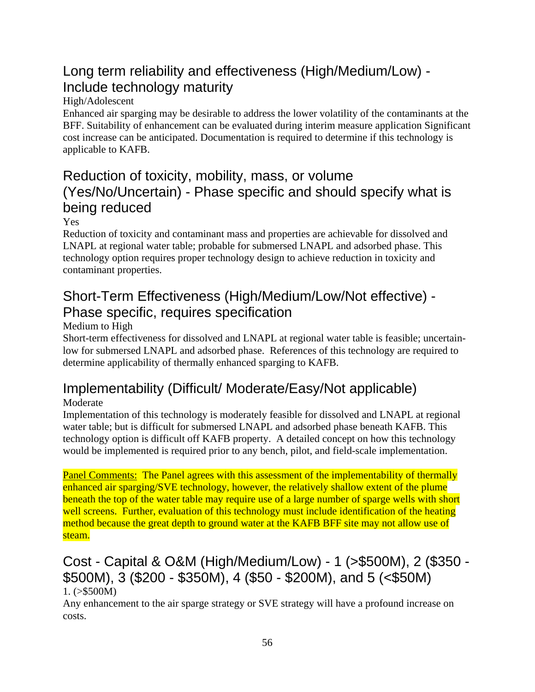## Long term reliability and effectiveness (High/Medium/Low) - Include technology maturity

High/Adolescent

Enhanced air sparging may be desirable to address the lower volatility of the contaminants at the BFF. Suitability of enhancement can be evaluated during interim measure application Significant cost increase can be anticipated. Documentation is required to determine if this technology is applicable to KAFB.

### Reduction of toxicity, mobility, mass, or volume (Yes/No/Uncertain) - Phase specific and should specify what is being reduced

Yes

Reduction of toxicity and contaminant mass and properties are achievable for dissolved and LNAPL at regional water table; probable for submersed LNAPL and adsorbed phase. This technology option requires proper technology design to achieve reduction in toxicity and contaminant properties.

## Short-Term Effectiveness (High/Medium/Low/Not effective) - Phase specific, requires specification

Medium to High

Short-term effectiveness for dissolved and LNAPL at regional water table is feasible; uncertainlow for submersed LNAPL and adsorbed phase. References of this technology are required to determine applicability of thermally enhanced sparging to KAFB.

# Implementability (Difficult/ Moderate/Easy/Not applicable)

Moderate

Implementation of this technology is moderately feasible for dissolved and LNAPL at regional water table; but is difficult for submersed LNAPL and adsorbed phase beneath KAFB. This technology option is difficult off KAFB property. A detailed concept on how this technology would be implemented is required prior to any bench, pilot, and field-scale implementation.

Panel Comments: The Panel agrees with this assessment of the implementability of thermally enhanced air sparging/SVE technology, however, the relatively shallow extent of the plume beneath the top of the water table may require use of a large number of sparge wells with short well screens. Further, evaluation of this technology must include identification of the heating method because the great depth to ground water at the KAFB BFF site may not allow use of steam.

#### Cost - Capital & O&M (High/Medium/Low) - 1 (>\$500M), 2 (\$350 - \$500M), 3 (\$200 - \$350M), 4 (\$50 - \$200M), and 5 (<\$50M) 1. (>\$500M)

Any enhancement to the air sparge strategy or SVE strategy will have a profound increase on costs.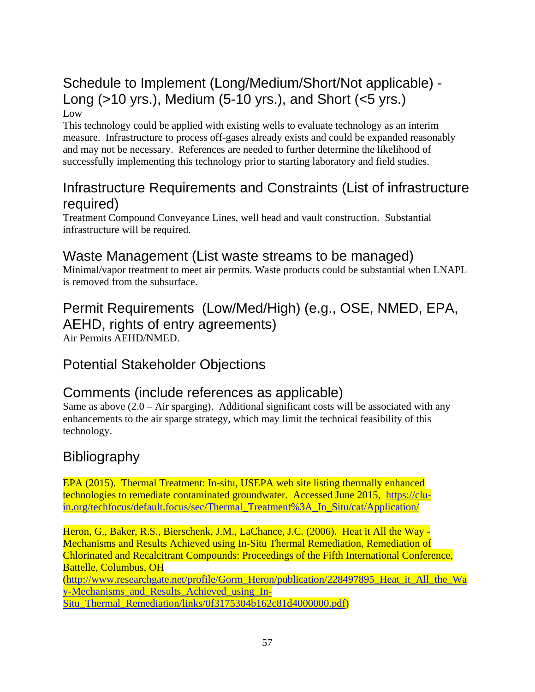#### Schedule to Implement (Long/Medium/Short/Not applicable) - Long (>10 yrs.), Medium (5-10 yrs.), and Short (<5 yrs.) Low

This technology could be applied with existing wells to evaluate technology as an interim measure. Infrastructure to process off-gases already exists and could be expanded reasonably and may not be necessary. References are needed to further determine the likelihood of successfully implementing this technology prior to starting laboratory and field studies.

### Infrastructure Requirements and Constraints (List of infrastructure required)

Treatment Compound Conveyance Lines, well head and vault construction. Substantial infrastructure will be required.

#### Waste Management (List waste streams to be managed)

Minimal/vapor treatment to meet air permits. Waste products could be substantial when LNAPL is removed from the subsurface.

## Permit Requirements (Low/Med/High) (e.g., OSE, NMED, EPA, AEHD, rights of entry agreements)

Air Permits AEHD/NMED.

### Potential Stakeholder Objections

### Comments (include references as applicable)

Same as above  $(2.0 - Air$  sparging). Additional significant costs will be associated with any enhancements to the air sparge strategy, which may limit the technical feasibility of this technology.

## **Bibliography**

EPA (2015). Thermal Treatment: In-situ, USEPA web site listing thermally enhanced technologies to remediate contaminated groundwater. Accessed June 2015, https://cluin.org/techfocus/default.focus/sec/Thermal\_Treatment%3A\_In\_Situ/cat/Application/

Heron, G., Baker, R.S., Bierschenk, J.M., LaChance, J.C. (2006). Heat it All the Way - Mechanisms and Results Achieved using In-Situ Thermal Remediation, Remediation of Chlorinated and Recalcitrant Compounds: Proceedings of the Fifth International Conference, Battelle, Columbus, OH

(http://www.researchgate.net/profile/Gorm\_Heron/publication/228497895\_Heat\_it\_All\_the\_Wa y-Mechanisms and Results Achieved using In-

Situ\_Thermal\_Remediation/links/0f3175304b162c81d4000000.pdf)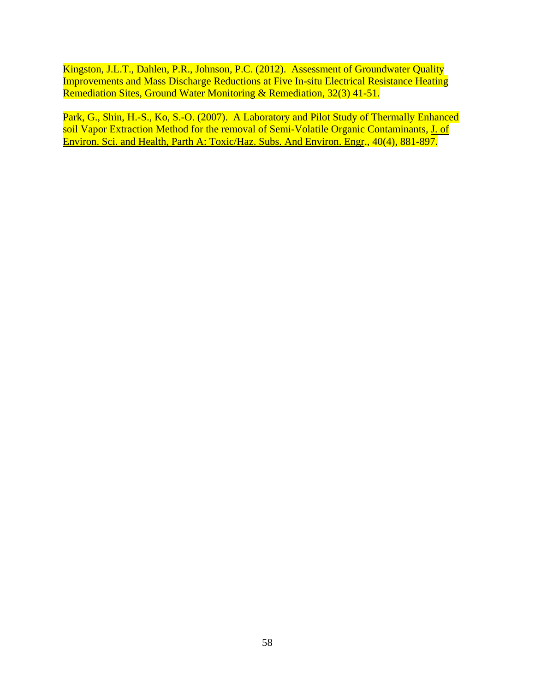Kingston, J.L.T., Dahlen, P.R., Johnson, P.C. (2012). Assessment of Groundwater Quality Improvements and Mass Discharge Reductions at Five In-situ Electrical Resistance Heating Remediation Sites, Ground Water Monitoring & Remediation, 32(3) 41-51.

Park, G., Shin, H.-S., Ko, S.-O. (2007). A Laboratory and Pilot Study of Thermally Enhanced soil Vapor Extraction Method for the removal of Semi-Volatile Organic Contaminants, J. of Environ. Sci. and Health, Parth A: Toxic/Haz. Subs. And Environ. Engr., 40(4), 881-897.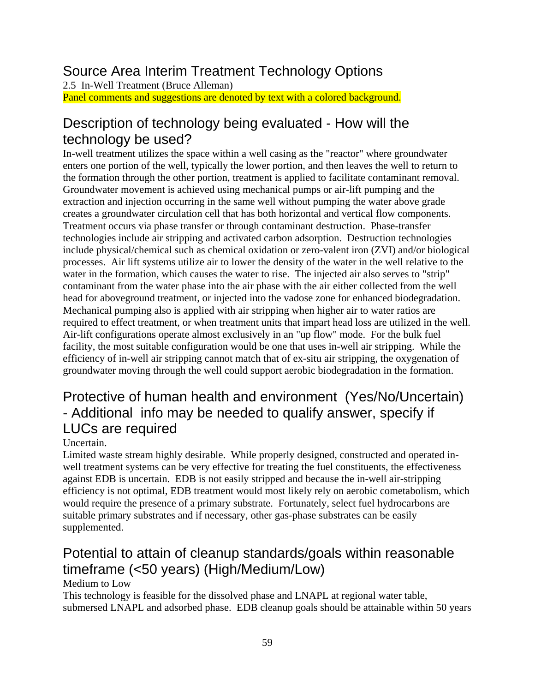2.5 In-Well Treatment (Bruce Alleman) Panel comments and suggestions are denoted by text with a colored background.

#### Description of technology being evaluated - How will the technology be used?

In-well treatment utilizes the space within a well casing as the "reactor" where groundwater enters one portion of the well, typically the lower portion, and then leaves the well to return to the formation through the other portion, treatment is applied to facilitate contaminant removal. Groundwater movement is achieved using mechanical pumps or air-lift pumping and the extraction and injection occurring in the same well without pumping the water above grade creates a groundwater circulation cell that has both horizontal and vertical flow components. Treatment occurs via phase transfer or through contaminant destruction. Phase-transfer technologies include air stripping and activated carbon adsorption. Destruction technologies include physical/chemical such as chemical oxidation or zero-valent iron (ZVI) and/or biological processes. Air lift systems utilize air to lower the density of the water in the well relative to the water in the formation, which causes the water to rise. The injected air also serves to "strip" contaminant from the water phase into the air phase with the air either collected from the well head for aboveground treatment, or injected into the vadose zone for enhanced biodegradation. Mechanical pumping also is applied with air stripping when higher air to water ratios are required to effect treatment, or when treatment units that impart head loss are utilized in the well. Air-lift configurations operate almost exclusively in an "up flow" mode. For the bulk fuel facility, the most suitable configuration would be one that uses in-well air stripping. While the efficiency of in-well air stripping cannot match that of ex-situ air stripping, the oxygenation of groundwater moving through the well could support aerobic biodegradation in the formation.

## Protective of human health and environment (Yes/No/Uncertain) - Additional info may be needed to qualify answer, specify if LUCs are required

#### Uncertain.

Limited waste stream highly desirable. While properly designed, constructed and operated inwell treatment systems can be very effective for treating the fuel constituents, the effectiveness against EDB is uncertain. EDB is not easily stripped and because the in-well air-stripping efficiency is not optimal, EDB treatment would most likely rely on aerobic cometabolism, which would require the presence of a primary substrate. Fortunately, select fuel hydrocarbons are suitable primary substrates and if necessary, other gas-phase substrates can be easily supplemented.

## Potential to attain of cleanup standards/goals within reasonable timeframe (<50 years) (High/Medium/Low)

#### Medium to Low

This technology is feasible for the dissolved phase and LNAPL at regional water table, submersed LNAPL and adsorbed phase. EDB cleanup goals should be attainable within 50 years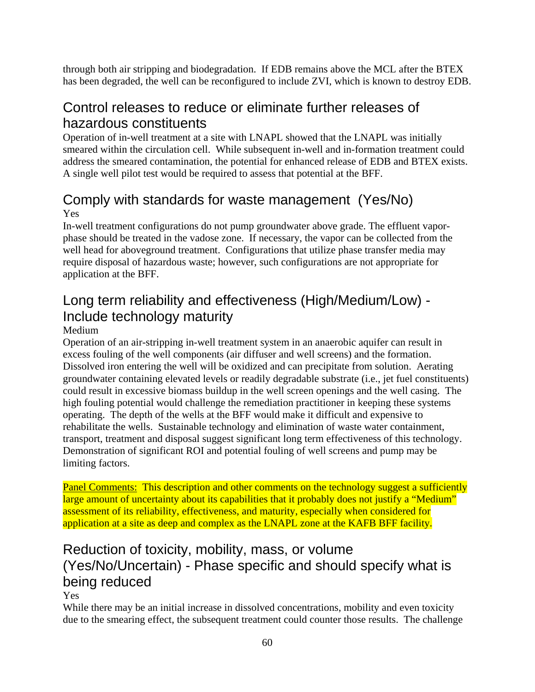through both air stripping and biodegradation. If EDB remains above the MCL after the BTEX has been degraded, the well can be reconfigured to include ZVI, which is known to destroy EDB.

### Control releases to reduce or eliminate further releases of hazardous constituents

Operation of in-well treatment at a site with LNAPL showed that the LNAPL was initially smeared within the circulation cell. While subsequent in-well and in-formation treatment could address the smeared contamination, the potential for enhanced release of EDB and BTEX exists. A single well pilot test would be required to assess that potential at the BFF.

#### Comply with standards for waste management (Yes/No) Yes

In-well treatment configurations do not pump groundwater above grade. The effluent vaporphase should be treated in the vadose zone. If necessary, the vapor can be collected from the well head for aboveground treatment. Configurations that utilize phase transfer media may require disposal of hazardous waste; however, such configurations are not appropriate for application at the BFF.

## Long term reliability and effectiveness (High/Medium/Low) - Include technology maturity

#### Medium

Operation of an air-stripping in-well treatment system in an anaerobic aquifer can result in excess fouling of the well components (air diffuser and well screens) and the formation. Dissolved iron entering the well will be oxidized and can precipitate from solution. Aerating groundwater containing elevated levels or readily degradable substrate (i.e., jet fuel constituents) could result in excessive biomass buildup in the well screen openings and the well casing. The high fouling potential would challenge the remediation practitioner in keeping these systems operating. The depth of the wells at the BFF would make it difficult and expensive to rehabilitate the wells. Sustainable technology and elimination of waste water containment, transport, treatment and disposal suggest significant long term effectiveness of this technology. Demonstration of significant ROI and potential fouling of well screens and pump may be limiting factors.

Panel Comments: This description and other comments on the technology suggest a sufficiently large amount of uncertainty about its capabilities that it probably does not justify a "Medium" assessment of its reliability, effectiveness, and maturity, especially when considered for application at a site as deep and complex as the LNAPL zone at the KAFB BFF facility.

## Reduction of toxicity, mobility, mass, or volume (Yes/No/Uncertain) - Phase specific and should specify what is being reduced

#### Yes

While there may be an initial increase in dissolved concentrations, mobility and even toxicity due to the smearing effect, the subsequent treatment could counter those results. The challenge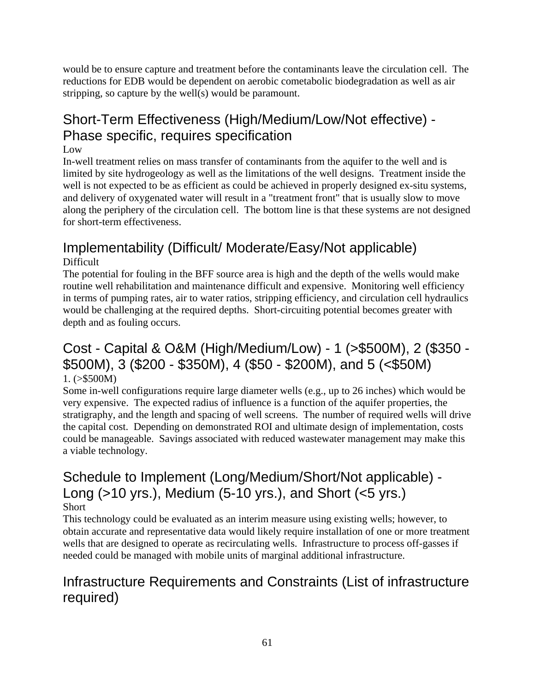would be to ensure capture and treatment before the contaminants leave the circulation cell. The reductions for EDB would be dependent on aerobic cometabolic biodegradation as well as air stripping, so capture by the well(s) would be paramount.

## Short-Term Effectiveness (High/Medium/Low/Not effective) - Phase specific, requires specification

Low

In-well treatment relies on mass transfer of contaminants from the aquifer to the well and is limited by site hydrogeology as well as the limitations of the well designs. Treatment inside the well is not expected to be as efficient as could be achieved in properly designed ex-situ systems, and delivery of oxygenated water will result in a "treatment front" that is usually slow to move along the periphery of the circulation cell. The bottom line is that these systems are not designed for short-term effectiveness.

# Implementability (Difficult/ Moderate/Easy/Not applicable)

#### Difficult

The potential for fouling in the BFF source area is high and the depth of the wells would make routine well rehabilitation and maintenance difficult and expensive. Monitoring well efficiency in terms of pumping rates, air to water ratios, stripping efficiency, and circulation cell hydraulics would be challenging at the required depths. Short-circuiting potential becomes greater with depth and as fouling occurs.

#### Cost - Capital & O&M (High/Medium/Low) - 1 (>\$500M), 2 (\$350 - \$500M), 3 (\$200 - \$350M), 4 (\$50 - \$200M), and 5 (<\$50M) 1. (>\$500M)

Some in-well configurations require large diameter wells (e.g., up to 26 inches) which would be very expensive. The expected radius of influence is a function of the aquifer properties, the stratigraphy, and the length and spacing of well screens. The number of required wells will drive the capital cost. Depending on demonstrated ROI and ultimate design of implementation, costs could be manageable. Savings associated with reduced wastewater management may make this a viable technology.

#### Schedule to Implement (Long/Medium/Short/Not applicable) - Long (>10 yrs.), Medium (5-10 yrs.), and Short (<5 yrs.) Short

This technology could be evaluated as an interim measure using existing wells; however, to obtain accurate and representative data would likely require installation of one or more treatment wells that are designed to operate as recirculating wells. Infrastructure to process off-gasses if needed could be managed with mobile units of marginal additional infrastructure.

### Infrastructure Requirements and Constraints (List of infrastructure required)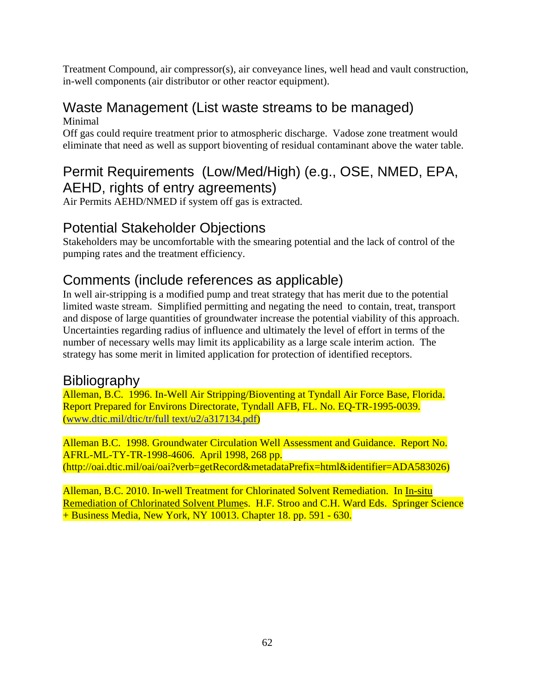Treatment Compound, air compressor(s), air conveyance lines, well head and vault construction, in-well components (air distributor or other reactor equipment).

#### Waste Management (List waste streams to be managed) Minimal

Off gas could require treatment prior to atmospheric discharge. Vadose zone treatment would eliminate that need as well as support bioventing of residual contaminant above the water table.

## Permit Requirements (Low/Med/High) (e.g., OSE, NMED, EPA, AEHD, rights of entry agreements)

Air Permits AEHD/NMED if system off gas is extracted.

#### Potential Stakeholder Objections

Stakeholders may be uncomfortable with the smearing potential and the lack of control of the pumping rates and the treatment efficiency.

#### Comments (include references as applicable)

In well air-stripping is a modified pump and treat strategy that has merit due to the potential limited waste stream. Simplified permitting and negating the need to contain, treat, transport and dispose of large quantities of groundwater increase the potential viability of this approach. Uncertainties regarding radius of influence and ultimately the level of effort in terms of the number of necessary wells may limit its applicability as a large scale interim action. The strategy has some merit in limited application for protection of identified receptors.

#### **Bibliography**

Alleman, B.C. 1996. In-Well Air Stripping/Bioventing at Tyndall Air Force Base, Florida. Report Prepared for Environs Directorate, Tyndall AFB, FL. No. EQ-TR-1995-0039. (www.dtic.mil/dtic/tr/full text/u2/a317134.pdf)

Alleman B.C. 1998. Groundwater Circulation Well Assessment and Guidance. Report No. AFRL-ML-TY-TR-1998-4606. April 1998, 268 pp. (http://oai.dtic.mil/oai/oai?verb=getRecord&metadataPrefix=html&identifier=ADA583026)

Alleman, B.C. 2010. In-well Treatment for Chlorinated Solvent Remediation. In In-situ Remediation of Chlorinated Solvent Plumes. H.F. Stroo and C.H. Ward Eds. Springer Science + Business Media, New York, NY 10013. Chapter 18. pp. 591 - 630.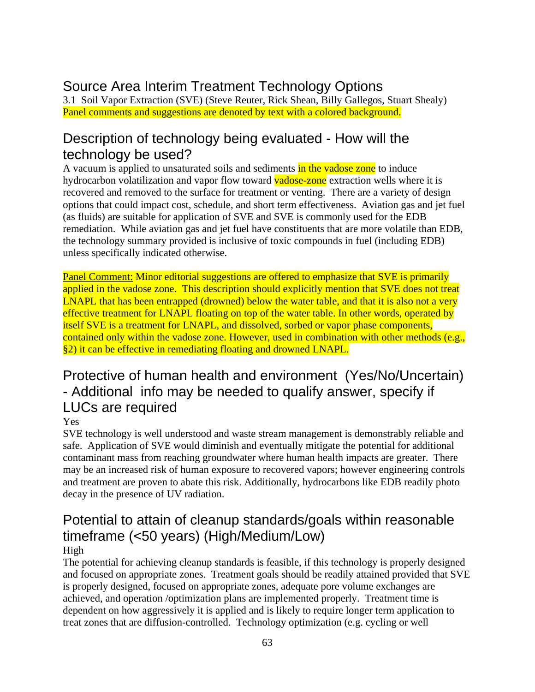3.1 Soil Vapor Extraction (SVE) (Steve Reuter, Rick Shean, Billy Gallegos, Stuart Shealy) Panel comments and suggestions are denoted by text with a colored background.

#### Description of technology being evaluated - How will the technology be used?

A vacuum is applied to unsaturated soils and sediments in the vadose zone to induce hydrocarbon volatilization and vapor flow toward **vadose-zone** extraction wells where it is recovered and removed to the surface for treatment or venting. There are a variety of design options that could impact cost, schedule, and short term effectiveness. Aviation gas and jet fuel (as fluids) are suitable for application of SVE and SVE is commonly used for the EDB remediation. While aviation gas and jet fuel have constituents that are more volatile than EDB, the technology summary provided is inclusive of toxic compounds in fuel (including EDB) unless specifically indicated otherwise.

Panel Comment: Minor editorial suggestions are offered to emphasize that SVE is primarily applied in the vadose zone. This description should explicitly mention that SVE does not treat LNAPL that has been entrapped (drowned) below the water table, and that it is also not a very effective treatment for LNAPL floating on top of the water table. In other words, operated by itself SVE is a treatment for LNAPL, and dissolved, sorbed or vapor phase components, contained only within the vadose zone. However, used in combination with other methods (e.g., §2) it can be effective in remediating floating and drowned LNAPL.

## Protective of human health and environment (Yes/No/Uncertain) - Additional info may be needed to qualify answer, specify if LUCs are required

#### Yes

SVE technology is well understood and waste stream management is demonstrably reliable and safe. Application of SVE would diminish and eventually mitigate the potential for additional contaminant mass from reaching groundwater where human health impacts are greater. There may be an increased risk of human exposure to recovered vapors; however engineering controls and treatment are proven to abate this risk. Additionally, hydrocarbons like EDB readily photo decay in the presence of UV radiation.

## Potential to attain of cleanup standards/goals within reasonable timeframe (<50 years) (High/Medium/Low)

#### High

The potential for achieving cleanup standards is feasible, if this technology is properly designed and focused on appropriate zones. Treatment goals should be readily attained provided that SVE is properly designed, focused on appropriate zones, adequate pore volume exchanges are achieved, and operation /optimization plans are implemented properly. Treatment time is dependent on how aggressively it is applied and is likely to require longer term application to treat zones that are diffusion-controlled. Technology optimization (e.g. cycling or well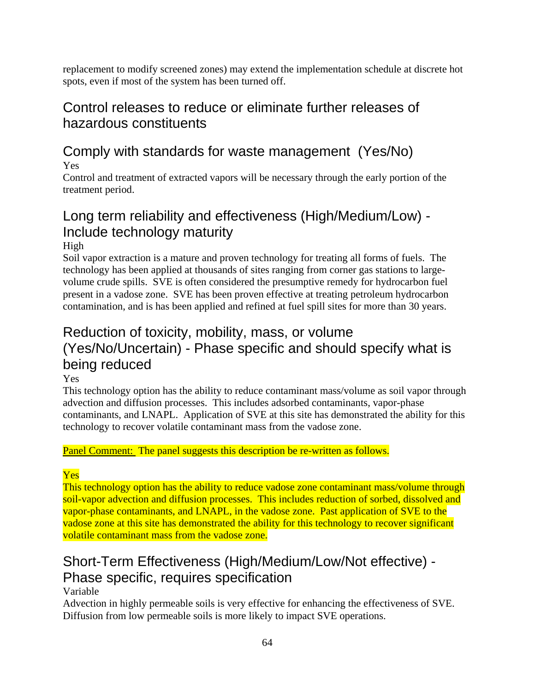replacement to modify screened zones) may extend the implementation schedule at discrete hot spots, even if most of the system has been turned off.

## Control releases to reduce or eliminate further releases of hazardous constituents

## Comply with standards for waste management (Yes/No)

Yes

Control and treatment of extracted vapors will be necessary through the early portion of the treatment period.

## Long term reliability and effectiveness (High/Medium/Low) - Include technology maturity

High

Soil vapor extraction is a mature and proven technology for treating all forms of fuels. The technology has been applied at thousands of sites ranging from corner gas stations to largevolume crude spills. SVE is often considered the presumptive remedy for hydrocarbon fuel present in a vadose zone. SVE has been proven effective at treating petroleum hydrocarbon contamination, and is has been applied and refined at fuel spill sites for more than 30 years.

## Reduction of toxicity, mobility, mass, or volume (Yes/No/Uncertain) - Phase specific and should specify what is being reduced

Yes

This technology option has the ability to reduce contaminant mass/volume as soil vapor through advection and diffusion processes. This includes adsorbed contaminants, vapor-phase contaminants, and LNAPL. Application of SVE at this site has demonstrated the ability for this technology to recover volatile contaminant mass from the vadose zone.

Panel Comment: The panel suggests this description be re-written as follows.

#### Yes

This technology option has the ability to reduce vadose zone contaminant mass/volume through soil-vapor advection and diffusion processes. This includes reduction of sorbed, dissolved and vapor-phase contaminants, and LNAPL, in the vadose zone. Past application of SVE to the vadose zone at this site has demonstrated the ability for this technology to recover significant volatile contaminant mass from the vadose zone.

## Short-Term Effectiveness (High/Medium/Low/Not effective) - Phase specific, requires specification

#### Variable

Advection in highly permeable soils is very effective for enhancing the effectiveness of SVE. Diffusion from low permeable soils is more likely to impact SVE operations.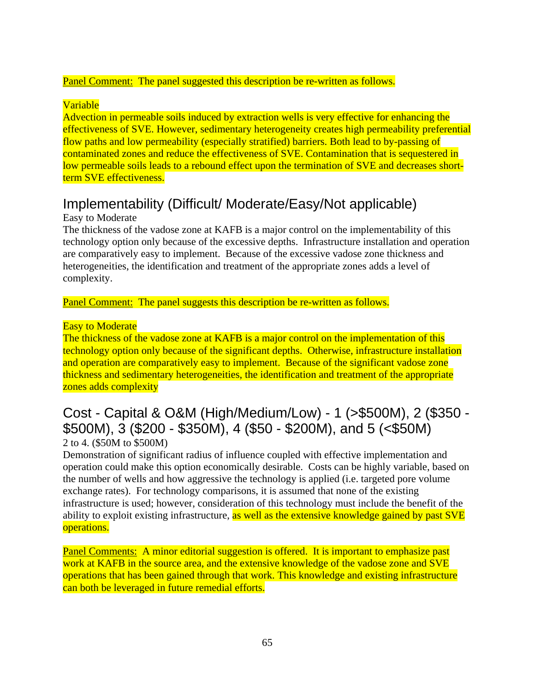#### Panel Comment: The panel suggested this description be re-written as follows.

#### Variable

Advection in permeable soils induced by extraction wells is very effective for enhancing the effectiveness of SVE. However, sedimentary heterogeneity creates high permeability preferential flow paths and low permeability (especially stratified) barriers. Both lead to by-passing of contaminated zones and reduce the effectiveness of SVE. Contamination that is sequestered in low permeable soils leads to a rebound effect upon the termination of SVE and decreases shortterm SVE effectiveness.

#### Implementability (Difficult/ Moderate/Easy/Not applicable)

#### Easy to Moderate

The thickness of the vadose zone at KAFB is a major control on the implementability of this technology option only because of the excessive depths. Infrastructure installation and operation are comparatively easy to implement. Because of the excessive vadose zone thickness and heterogeneities, the identification and treatment of the appropriate zones adds a level of complexity.

Panel Comment: The panel suggests this description be re-written as follows.

#### Easy to Moderate

The thickness of the vadose zone at KAFB is a major control on the implementation of this technology option only because of the significant depths. Otherwise, infrastructure installation and operation are comparatively easy to implement. Because of the significant vadose zone thickness and sedimentary heterogeneities, the identification and treatment of the appropriate zones adds complexity

#### Cost - Capital & O&M (High/Medium/Low) - 1 (>\$500M), 2 (\$350 - \$500M), 3 (\$200 - \$350M), 4 (\$50 - \$200M), and 5 (<\$50M) 2 to 4. (\$50M to \$500M)

Demonstration of significant radius of influence coupled with effective implementation and operation could make this option economically desirable. Costs can be highly variable, based on the number of wells and how aggressive the technology is applied (i.e. targeted pore volume exchange rates). For technology comparisons, it is assumed that none of the existing infrastructure is used; however, consideration of this technology must include the benefit of the ability to exploit existing infrastructure, as well as the extensive knowledge gained by past SVE operations.

Panel Comments: A minor editorial suggestion is offered. It is important to emphasize past work at KAFB in the source area, and the extensive knowledge of the vadose zone and SVE operations that has been gained through that work. This knowledge and existing infrastructure can both be leveraged in future remedial efforts.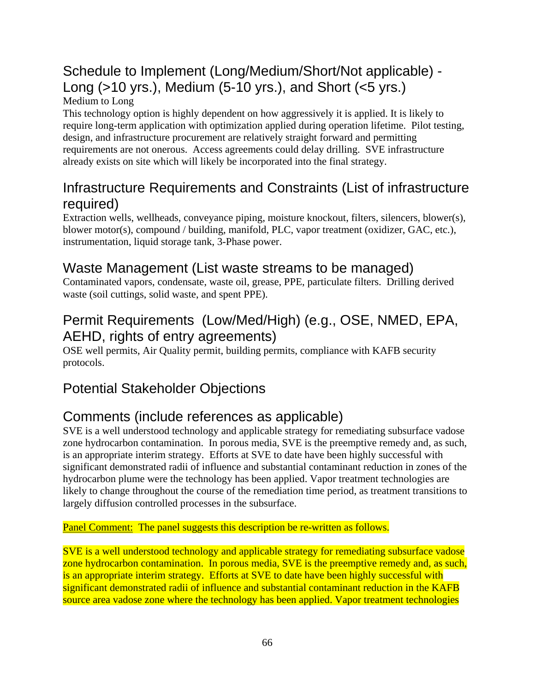#### Schedule to Implement (Long/Medium/Short/Not applicable) - Long  $($ >10 yrs.), Medium  $($ 5-10 yrs.), and Short  $($ <5 yrs.) Medium to Long

This technology option is highly dependent on how aggressively it is applied. It is likely to require long-term application with optimization applied during operation lifetime. Pilot testing, design, and infrastructure procurement are relatively straight forward and permitting requirements are not onerous. Access agreements could delay drilling. SVE infrastructure already exists on site which will likely be incorporated into the final strategy.

## Infrastructure Requirements and Constraints (List of infrastructure required)

Extraction wells, wellheads, conveyance piping, moisture knockout, filters, silencers, blower(s), blower motor(s), compound / building, manifold, PLC, vapor treatment (oxidizer, GAC, etc.), instrumentation, liquid storage tank, 3-Phase power.

### Waste Management (List waste streams to be managed)

Contaminated vapors, condensate, waste oil, grease, PPE, particulate filters. Drilling derived waste (soil cuttings, solid waste, and spent PPE).

## Permit Requirements (Low/Med/High) (e.g., OSE, NMED, EPA, AEHD, rights of entry agreements)

OSE well permits, Air Quality permit, building permits, compliance with KAFB security protocols.

## Potential Stakeholder Objections

### Comments (include references as applicable)

SVE is a well understood technology and applicable strategy for remediating subsurface vadose zone hydrocarbon contamination. In porous media, SVE is the preemptive remedy and, as such, is an appropriate interim strategy. Efforts at SVE to date have been highly successful with significant demonstrated radii of influence and substantial contaminant reduction in zones of the hydrocarbon plume were the technology has been applied. Vapor treatment technologies are likely to change throughout the course of the remediation time period, as treatment transitions to largely diffusion controlled processes in the subsurface.

Panel Comment: The panel suggests this description be re-written as follows.

SVE is a well understood technology and applicable strategy for remediating subsurface vadose zone hydrocarbon contamination. In porous media, SVE is the preemptive remedy and, as such, is an appropriate interim strategy. Efforts at SVE to date have been highly successful with significant demonstrated radii of influence and substantial contaminant reduction in the KAFB source area vadose zone where the technology has been applied. Vapor treatment technologies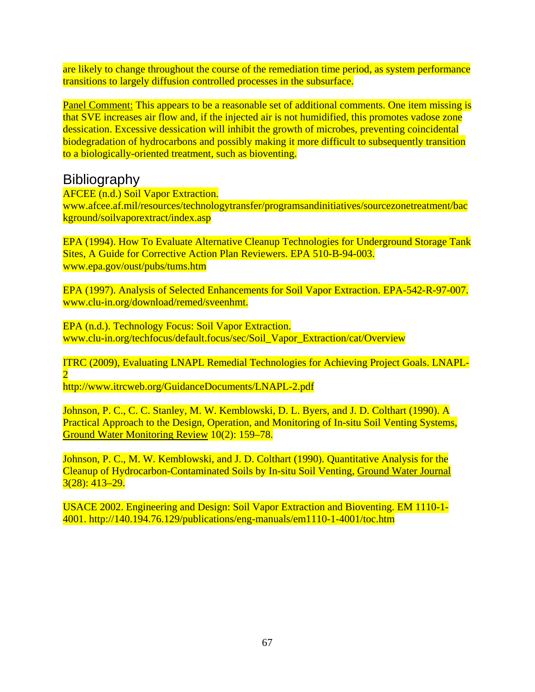are likely to change throughout the course of the remediation time period, as system performance transitions to largely diffusion controlled processes in the subsurface.

Panel Comment: This appears to be a reasonable set of additional comments. One item missing is that SVE increases air flow and, if the injected air is not humidified, this promotes vadose zone dessication. Excessive dessication will inhibit the growth of microbes, preventing coincidental biodegradation of hydrocarbons and possibly making it more difficult to subsequently transition to a biologically-oriented treatment, such as bioventing.

#### Bibliography

AFCEE (n.d.) Soil Vapor Extraction.

www.afcee.af.mil/resources/technologytransfer/programsandinitiatives/sourcezonetreatment/bac kground/soilvaporextract/index.asp

EPA (1994). How To Evaluate Alternative Cleanup Technologies for Underground Storage Tank Sites, A Guide for Corrective Action Plan Reviewers. EPA 510-B-94-003. www.epa.gov/oust/pubs/tums.htm

EPA (1997). Analysis of Selected Enhancements for Soil Vapor Extraction. EPA-542-R-97-007. www.clu-in.org/download/remed/sveenhmt.

EPA (n.d.). Technology Focus: Soil Vapor Extraction. www.clu-in.org/techfocus/default.focus/sec/Soil\_Vapor\_Extraction/cat/Overview

ITRC (2009), Evaluating LNAPL Remedial Technologies for Achieving Project Goals. LNAPL-2

http://www.itrcweb.org/GuidanceDocuments/LNAPL-2.pdf

Johnson, P. C., C. C. Stanley, M. W. Kemblowski, D. L. Byers, and J. D. Colthart (1990). A Practical Approach to the Design, Operation, and Monitoring of In-situ Soil Venting Systems, Ground Water Monitoring Review 10(2): 159–78.

Johnson, P. C., M. W. Kemblowski, and J. D. Colthart (1990). Quantitative Analysis for the Cleanup of Hydrocarbon-Contaminated Soils by In-situ Soil Venting, Ground Water Journal 3(28): 413–29.

USACE 2002. Engineering and Design: Soil Vapor Extraction and Bioventing. EM 1110-1- 4001. http://140.194.76.129/publications/eng-manuals/em1110-1-4001/toc.htm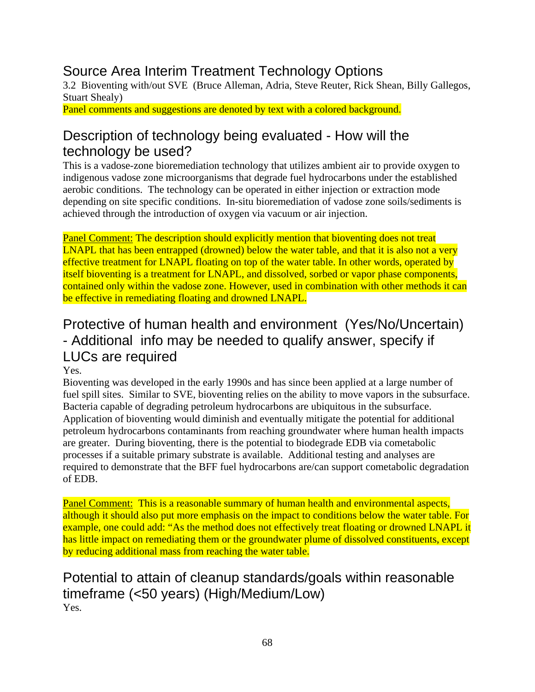3.2 Bioventing with/out SVE (Bruce Alleman, Adria, Steve Reuter, Rick Shean, Billy Gallegos, Stuart Shealy)

Panel comments and suggestions are denoted by text with a colored background.

### Description of technology being evaluated - How will the technology be used?

This is a vadose-zone bioremediation technology that utilizes ambient air to provide oxygen to indigenous vadose zone microorganisms that degrade fuel hydrocarbons under the established aerobic conditions. The technology can be operated in either injection or extraction mode depending on site specific conditions. In-situ bioremediation of vadose zone soils/sediments is achieved through the introduction of oxygen via vacuum or air injection.

Panel Comment: The description should explicitly mention that bioventing does not treat LNAPL that has been entrapped (drowned) below the water table, and that it is also not a very effective treatment for LNAPL floating on top of the water table. In other words, operated by itself bioventing is a treatment for LNAPL, and dissolved, sorbed or vapor phase components, contained only within the vadose zone. However, used in combination with other methods it can be effective in remediating floating and drowned LNAPL.

## Protective of human health and environment (Yes/No/Uncertain) - Additional info may be needed to qualify answer, specify if LUCs are required

Yes.

Bioventing was developed in the early 1990s and has since been applied at a large number of fuel spill sites. Similar to SVE, bioventing relies on the ability to move vapors in the subsurface. Bacteria capable of degrading petroleum hydrocarbons are ubiquitous in the subsurface. Application of bioventing would diminish and eventually mitigate the potential for additional petroleum hydrocarbons contaminants from reaching groundwater where human health impacts are greater. During bioventing, there is the potential to biodegrade EDB via cometabolic processes if a suitable primary substrate is available. Additional testing and analyses are required to demonstrate that the BFF fuel hydrocarbons are/can support cometabolic degradation of EDB.

Panel Comment: This is a reasonable summary of human health and environmental aspects, although it should also put more emphasis on the impact to conditions below the water table. For example, one could add: "As the method does not effectively treat floating or drowned LNAPL it has little impact on remediating them or the groundwater plume of dissolved constituents, except by reducing additional mass from reaching the water table.

Potential to attain of cleanup standards/goals within reasonable timeframe (<50 years) (High/Medium/Low) Yes.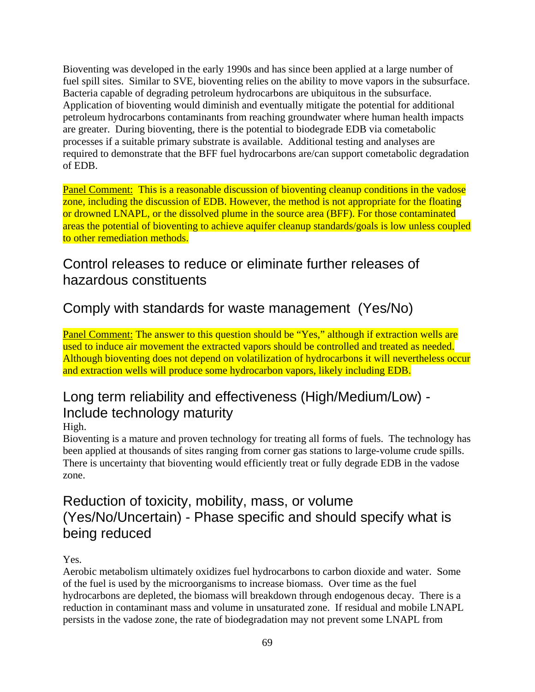Bioventing was developed in the early 1990s and has since been applied at a large number of fuel spill sites. Similar to SVE, bioventing relies on the ability to move vapors in the subsurface. Bacteria capable of degrading petroleum hydrocarbons are ubiquitous in the subsurface. Application of bioventing would diminish and eventually mitigate the potential for additional petroleum hydrocarbons contaminants from reaching groundwater where human health impacts are greater. During bioventing, there is the potential to biodegrade EDB via cometabolic processes if a suitable primary substrate is available. Additional testing and analyses are required to demonstrate that the BFF fuel hydrocarbons are/can support cometabolic degradation of EDB.

Panel Comment: This is a reasonable discussion of bioventing cleanup conditions in the vadose zone, including the discussion of EDB. However, the method is not appropriate for the floating or drowned LNAPL, or the dissolved plume in the source area (BFF). For those contaminated areas the potential of bioventing to achieve aquifer cleanup standards/goals is low unless coupled to other remediation methods.

### Control releases to reduce or eliminate further releases of hazardous constituents

#### Comply with standards for waste management (Yes/No)

Panel Comment: The answer to this question should be "Yes," although if extraction wells are used to induce air movement the extracted vapors should be controlled and treated as needed. Although bioventing does not depend on volatilization of hydrocarbons it will nevertheless occur and extraction wells will produce some hydrocarbon vapors, likely including EDB.

## Long term reliability and effectiveness (High/Medium/Low) - Include technology maturity

High.

Bioventing is a mature and proven technology for treating all forms of fuels. The technology has been applied at thousands of sites ranging from corner gas stations to large-volume crude spills. There is uncertainty that bioventing would efficiently treat or fully degrade EDB in the vadose zone.

### Reduction of toxicity, mobility, mass, or volume (Yes/No/Uncertain) - Phase specific and should specify what is being reduced

#### Yes.

Aerobic metabolism ultimately oxidizes fuel hydrocarbons to carbon dioxide and water. Some of the fuel is used by the microorganisms to increase biomass. Over time as the fuel hydrocarbons are depleted, the biomass will breakdown through endogenous decay. There is a reduction in contaminant mass and volume in unsaturated zone. If residual and mobile LNAPL persists in the vadose zone, the rate of biodegradation may not prevent some LNAPL from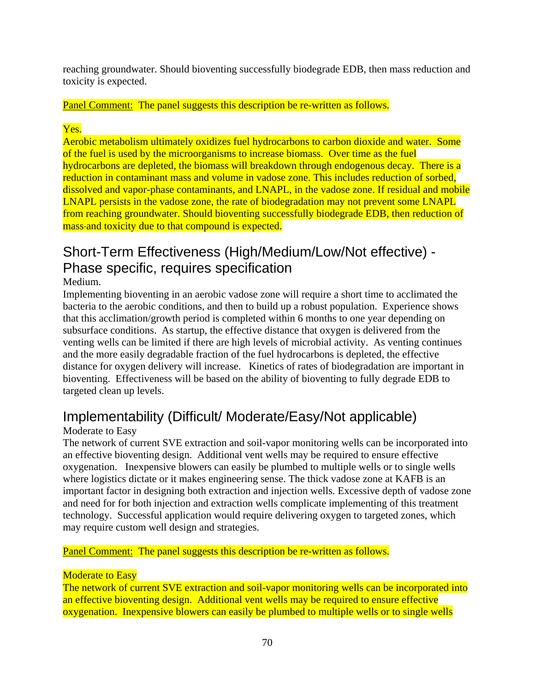reaching groundwater. Should bioventing successfully biodegrade EDB, then mass reduction and toxicity is expected.

Panel Comment: The panel suggests this description be re-written as follows.

#### Yes.

Aerobic metabolism ultimately oxidizes fuel hydrocarbons to carbon dioxide and water. Some of the fuel is used by the microorganisms to increase biomass. Over time as the fuel hydrocarbons are depleted, the biomass will breakdown through endogenous decay. There is a reduction in contaminant mass and volume in vadose zone. This includes reduction of sorbed, dissolved and vapor-phase contaminants, and LNAPL, in the vadose zone. If residual and mobile LNAPL persists in the vadose zone, the rate of biodegradation may not prevent some LNAPL from reaching groundwater. Should bioventing successfully biodegrade EDB, then reduction of mass-and toxicity due to that compound is expected.

## Short-Term Effectiveness (High/Medium/Low/Not effective) - Phase specific, requires specification

#### Medium.

Implementing bioventing in an aerobic vadose zone will require a short time to acclimated the bacteria to the aerobic conditions, and then to build up a robust population. Experience shows that this acclimation/growth period is completed within 6 months to one year depending on subsurface conditions. As startup, the effective distance that oxygen is delivered from the venting wells can be limited if there are high levels of microbial activity. As venting continues and the more easily degradable fraction of the fuel hydrocarbons is depleted, the effective distance for oxygen delivery will increase. Kinetics of rates of biodegradation are important in bioventing. Effectiveness will be based on the ability of bioventing to fully degrade EDB to targeted clean up levels.

### Implementability (Difficult/ Moderate/Easy/Not applicable)

#### Moderate to Easy

The network of current SVE extraction and soil-vapor monitoring wells can be incorporated into an effective bioventing design. Additional vent wells may be required to ensure effective oxygenation. Inexpensive blowers can easily be plumbed to multiple wells or to single wells where logistics dictate or it makes engineering sense. The thick vadose zone at KAFB is an important factor in designing both extraction and injection wells. Excessive depth of vadose zone and need for for both injection and extraction wells complicate implementing of this treatment technology. Successful application would require delivering oxygen to targeted zones, which may require custom well design and strategies.

Panel Comment: The panel suggests this description be re-written as follows.

#### **Moderate to Easy**

The network of current SVE extraction and soil-vapor monitoring wells can be incorporated into an effective bioventing design. Additional vent wells may be required to ensure effective oxygenation. Inexpensive blowers can easily be plumbed to multiple wells or to single wells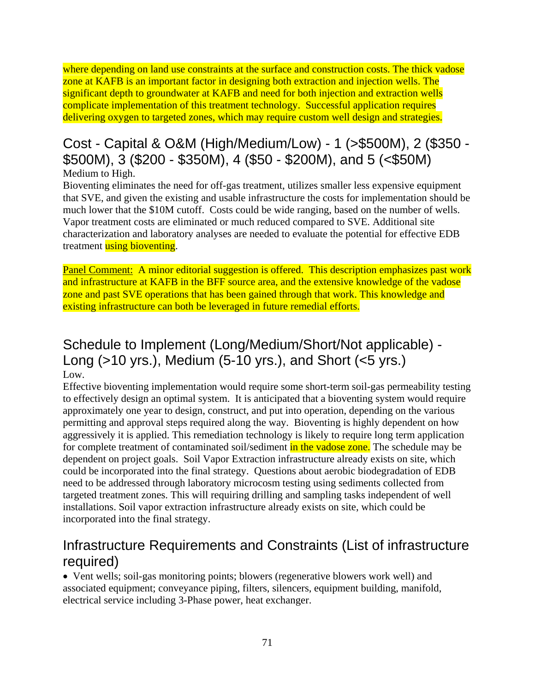where depending on land use constraints at the surface and construction costs. The thick vadose zone at KAFB is an important factor in designing both extraction and injection wells. The significant depth to groundwater at KAFB and need for both injection and extraction wells complicate implementation of this treatment technology. Successful application requires delivering oxygen to targeted zones, which may require custom well design and strategies.

#### Cost - Capital & O&M (High/Medium/Low) - 1 (>\$500M), 2 (\$350 - \$500M), 3 (\$200 - \$350M), 4 (\$50 - \$200M), and 5 (<\$50M) Medium to High.

Bioventing eliminates the need for off-gas treatment, utilizes smaller less expensive equipment that SVE, and given the existing and usable infrastructure the costs for implementation should be much lower that the \$10M cutoff. Costs could be wide ranging, based on the number of wells. Vapor treatment costs are eliminated or much reduced compared to SVE. Additional site characterization and laboratory analyses are needed to evaluate the potential for effective EDB treatment using bioventing.

Panel Comment: A minor editorial suggestion is offered. This description emphasizes past work and infrastructure at KAFB in the BFF source area, and the extensive knowledge of the vadose zone and past SVE operations that has been gained through that work. This knowledge and existing infrastructure can both be leveraged in future remedial efforts.

#### Schedule to Implement (Long/Medium/Short/Not applicable) - Long (>10 yrs.), Medium (5-10 yrs.), and Short (<5 yrs.) Low.

Effective bioventing implementation would require some short-term soil-gas permeability testing to effectively design an optimal system. It is anticipated that a bioventing system would require approximately one year to design, construct, and put into operation, depending on the various permitting and approval steps required along the way. Bioventing is highly dependent on how aggressively it is applied. This remediation technology is likely to require long term application for complete treatment of contaminated soil/sediment in the vadose zone. The schedule may be dependent on project goals. Soil Vapor Extraction infrastructure already exists on site, which could be incorporated into the final strategy. Questions about aerobic biodegradation of EDB need to be addressed through laboratory microcosm testing using sediments collected from targeted treatment zones. This will requiring drilling and sampling tasks independent of well installations. Soil vapor extraction infrastructure already exists on site, which could be incorporated into the final strategy.

#### Infrastructure Requirements and Constraints (List of infrastructure required)

• Vent wells; soil-gas monitoring points; blowers (regenerative blowers work well) and associated equipment; conveyance piping, filters, silencers, equipment building, manifold, electrical service including 3-Phase power, heat exchanger.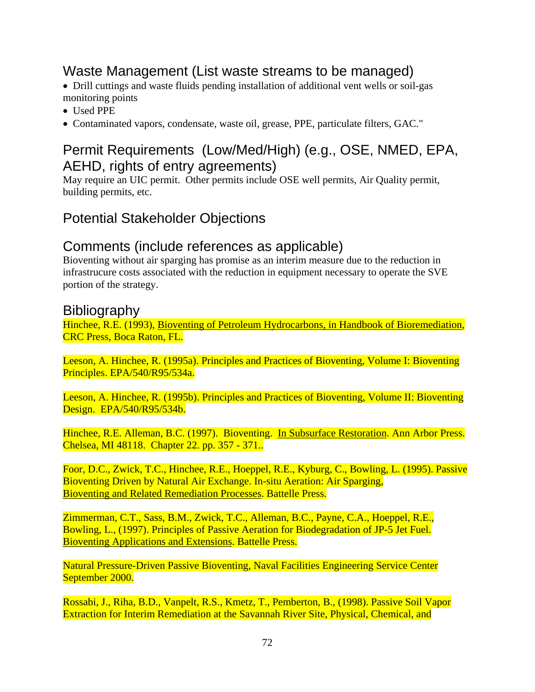### Waste Management (List waste streams to be managed)

 Drill cuttings and waste fluids pending installation of additional vent wells or soil-gas monitoring points

- Used PPE
- Contaminated vapors, condensate, waste oil, grease, PPE, particulate filters, GAC."

### Permit Requirements (Low/Med/High) (e.g., OSE, NMED, EPA, AEHD, rights of entry agreements)

May require an UIC permit. Other permits include OSE well permits, Air Quality permit, building permits, etc.

#### Potential Stakeholder Objections

#### Comments (include references as applicable)

Bioventing without air sparging has promise as an interim measure due to the reduction in infrastrucure costs associated with the reduction in equipment necessary to operate the SVE portion of the strategy.

#### **Bibliography**

Hinchee, R.E. (1993), Bioventing of Petroleum Hydrocarbons, in Handbook of Bioremediation, CRC Press, Boca Raton, FL.

Leeson, A. Hinchee, R. (1995a). Principles and Practices of Bioventing, Volume I: Bioventing Principles. EPA/540/R95/534a.

Leeson, A. Hinchee, R. (1995b). Principles and Practices of Bioventing, Volume II: Bioventing Design. EPA/540/R95/534b.

Hinchee, R.E. Alleman, B.C. (1997). Bioventing. In Subsurface Restoration. Ann Arbor Press. Chelsea, MI 48118. Chapter 22. pp. 357 - 371..

Foor, D.C., Zwick, T.C., Hinchee, R.E., Hoeppel, R.E., Kyburg, C., Bowling, L. (1995). Passive Bioventing Driven by Natural Air Exchange. In-situ Aeration: Air Sparging, Bioventing and Related Remediation Processes. Battelle Press.

Zimmerman, C.T., Sass, B.M., Zwick, T.C., Alleman, B.C., Payne, C.A., Hoeppel, R.E., Bowling, L., (1997). Principles of Passive Aeration for Biodegradation of JP-5 Jet Fuel. Bioventing Applications and Extensions. Battelle Press.

Natural Pressure-Driven Passive Bioventing, Naval Facilities Engineering Service Center September 2000.

Rossabi, J., Riha, B.D., Vanpelt, R.S., Kmetz, T., Pemberton, B., (1998). Passive Soil Vapor Extraction for Interim Remediation at the Savannah River Site, Physical, Chemical, and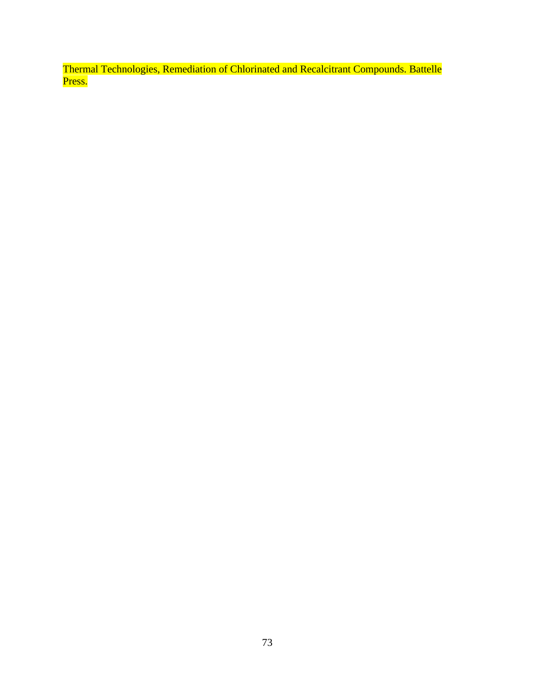Thermal Technologies, Remediation of Chlorinated and Recalcitrant Compounds. Battelle Press.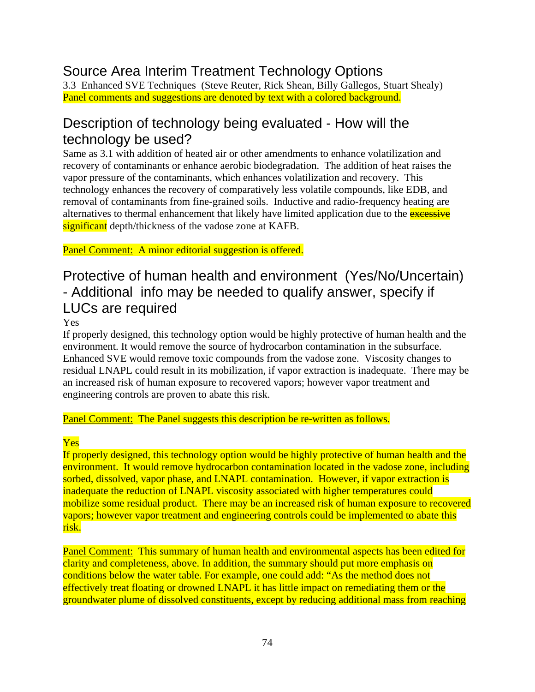## Source Area Interim Treatment Technology Options

3.3 Enhanced SVE Techniques (Steve Reuter, Rick Shean, Billy Gallegos, Stuart Shealy) Panel comments and suggestions are denoted by text with a colored background.

## Description of technology being evaluated - How will the technology be used?

Same as 3.1 with addition of heated air or other amendments to enhance volatilization and recovery of contaminants or enhance aerobic biodegradation. The addition of heat raises the vapor pressure of the contaminants, which enhances volatilization and recovery. This technology enhances the recovery of comparatively less volatile compounds, like EDB, and removal of contaminants from fine-grained soils. Inductive and radio-frequency heating are alternatives to thermal enhancement that likely have limited application due to the **excessive** significant depth/thickness of the vadose zone at KAFB.

Panel Comment: A minor editorial suggestion is offered.

# Protective of human health and environment (Yes/No/Uncertain) - Additional info may be needed to qualify answer, specify if LUCs are required

Yes

If properly designed, this technology option would be highly protective of human health and the environment. It would remove the source of hydrocarbon contamination in the subsurface. Enhanced SVE would remove toxic compounds from the vadose zone. Viscosity changes to residual LNAPL could result in its mobilization, if vapor extraction is inadequate. There may be an increased risk of human exposure to recovered vapors; however vapor treatment and engineering controls are proven to abate this risk.

Panel Comment: The Panel suggests this description be re-written as follows.

### Yes

If properly designed, this technology option would be highly protective of human health and the environment. It would remove hydrocarbon contamination located in the vadose zone, including sorbed, dissolved, vapor phase, and LNAPL contamination. However, if vapor extraction is inadequate the reduction of LNAPL viscosity associated with higher temperatures could mobilize some residual product. There may be an increased risk of human exposure to recovered vapors; however vapor treatment and engineering controls could be implemented to abate this risk.

Panel Comment: This summary of human health and environmental aspects has been edited for clarity and completeness, above. In addition, the summary should put more emphasis on conditions below the water table. For example, one could add: "As the method does not effectively treat floating or drowned LNAPL it has little impact on remediating them or the groundwater plume of dissolved constituents, except by reducing additional mass from reaching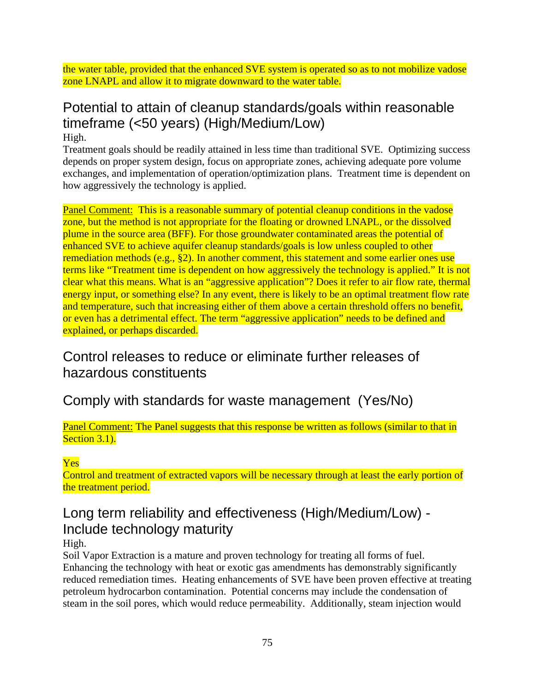the water table, provided that the enhanced SVE system is operated so as to not mobilize vadose zone LNAPL and allow it to migrate downward to the water table.

# Potential to attain of cleanup standards/goals within reasonable timeframe (<50 years) (High/Medium/Low)

High.

Treatment goals should be readily attained in less time than traditional SVE. Optimizing success depends on proper system design, focus on appropriate zones, achieving adequate pore volume exchanges, and implementation of operation/optimization plans. Treatment time is dependent on how aggressively the technology is applied.

Panel Comment: This is a reasonable summary of potential cleanup conditions in the vadose zone, but the method is not appropriate for the floating or drowned LNAPL, or the dissolved plume in the source area (BFF). For those groundwater contaminated areas the potential of enhanced SVE to achieve aquifer cleanup standards/goals is low unless coupled to other remediation methods (e.g., §2). In another comment, this statement and some earlier ones use terms like "Treatment time is dependent on how aggressively the technology is applied." It is not clear what this means. What is an "aggressive application"? Does it refer to air flow rate, thermal energy input, or something else? In any event, there is likely to be an optimal treatment flow rate and temperature, such that increasing either of them above a certain threshold offers no benefit, or even has a detrimental effect. The term "aggressive application" needs to be defined and explained, or perhaps discarded.

Control releases to reduce or eliminate further releases of hazardous constituents

Comply with standards for waste management (Yes/No)

Panel Comment: The Panel suggests that this response be written as follows (similar to that in Section 3.1).

### Yes

Control and treatment of extracted vapors will be necessary through at least the early portion of the treatment period.

# Long term reliability and effectiveness (High/Medium/Low) - Include technology maturity

High.

Soil Vapor Extraction is a mature and proven technology for treating all forms of fuel. Enhancing the technology with heat or exotic gas amendments has demonstrably significantly reduced remediation times. Heating enhancements of SVE have been proven effective at treating petroleum hydrocarbon contamination. Potential concerns may include the condensation of steam in the soil pores, which would reduce permeability. Additionally, steam injection would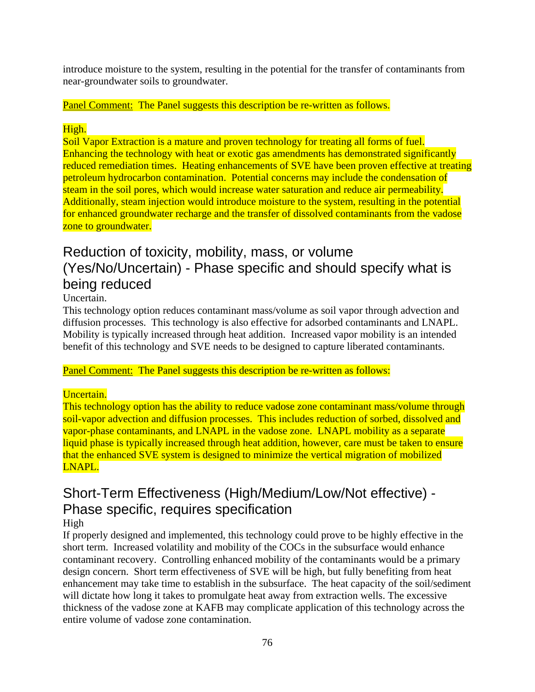introduce moisture to the system, resulting in the potential for the transfer of contaminants from near-groundwater soils to groundwater.

Panel Comment: The Panel suggests this description be re-written as follows.

### High.

Soil Vapor Extraction is a mature and proven technology for treating all forms of fuel. Enhancing the technology with heat or exotic gas amendments has demonstrated significantly reduced remediation times. Heating enhancements of SVE have been proven effective at treating petroleum hydrocarbon contamination. Potential concerns may include the condensation of steam in the soil pores, which would increase water saturation and reduce air permeability. Additionally, steam injection would introduce moisture to the system, resulting in the potential for enhanced groundwater recharge and the transfer of dissolved contaminants from the vadose zone to groundwater.

# Reduction of toxicity, mobility, mass, or volume (Yes/No/Uncertain) - Phase specific and should specify what is being reduced

Uncertain.

This technology option reduces contaminant mass/volume as soil vapor through advection and diffusion processes. This technology is also effective for adsorbed contaminants and LNAPL. Mobility is typically increased through heat addition. Increased vapor mobility is an intended benefit of this technology and SVE needs to be designed to capture liberated contaminants.

### Panel Comment: The Panel suggests this description be re-written as follows:

### Uncertain.

This technology option has the ability to reduce vadose zone contaminant mass/volume through soil-vapor advection and diffusion processes. This includes reduction of sorbed, dissolved and vapor-phase contaminants, and LNAPL in the vadose zone. LNAPL mobility as a separate liquid phase is typically increased through heat addition, however, care must be taken to ensure that the enhanced SVE system is designed to minimize the vertical migration of mobilized LNAPL.

# Short-Term Effectiveness (High/Medium/Low/Not effective) - Phase specific, requires specification

High

If properly designed and implemented, this technology could prove to be highly effective in the short term. Increased volatility and mobility of the COCs in the subsurface would enhance contaminant recovery. Controlling enhanced mobility of the contaminants would be a primary design concern. Short term effectiveness of SVE will be high, but fully benefiting from heat enhancement may take time to establish in the subsurface. The heat capacity of the soil/sediment will dictate how long it takes to promulgate heat away from extraction wells. The excessive thickness of the vadose zone at KAFB may complicate application of this technology across the entire volume of vadose zone contamination.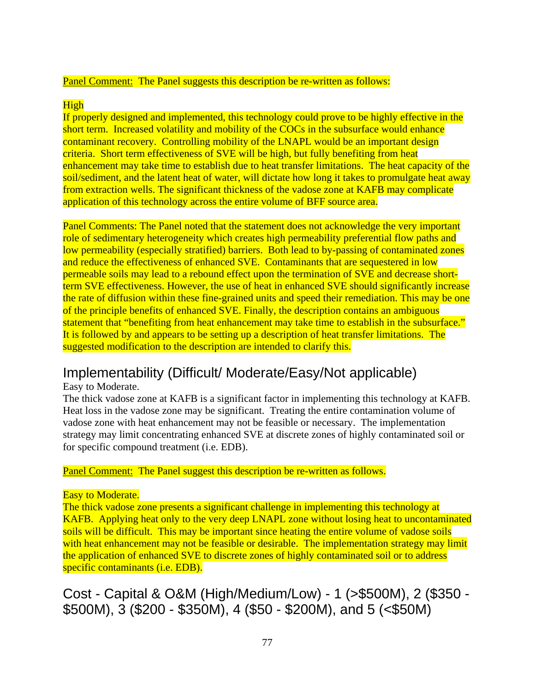#### Panel Comment: The Panel suggests this description be re-written as follows:

#### High

If properly designed and implemented, this technology could prove to be highly effective in the short term. Increased volatility and mobility of the COCs in the subsurface would enhance contaminant recovery. Controlling mobility of the LNAPL would be an important design criteria. Short term effectiveness of SVE will be high, but fully benefiting from heat enhancement may take time to establish due to heat transfer limitations. The heat capacity of the soil/sediment, and the latent heat of water, will dictate how long it takes to promulgate heat away from extraction wells. The significant thickness of the vadose zone at KAFB may complicate application of this technology across the entire volume of BFF source area.

Panel Comments: The Panel noted that the statement does not acknowledge the very important role of sedimentary heterogeneity which creates high permeability preferential flow paths and low permeability (especially stratified) barriers. Both lead to by-passing of contaminated zones and reduce the effectiveness of enhanced SVE. Contaminants that are sequestered in low permeable soils may lead to a rebound effect upon the termination of SVE and decrease shortterm SVE effectiveness. However, the use of heat in enhanced SVE should significantly increase the rate of diffusion within these fine-grained units and speed their remediation. This may be one of the principle benefits of enhanced SVE. Finally, the description contains an ambiguous statement that "benefiting from heat enhancement may take time to establish in the subsurface." It is followed by and appears to be setting up a description of heat transfer limitations. The suggested modification to the description are intended to clarify this.

## Implementability (Difficult/ Moderate/Easy/Not applicable)

#### Easy to Moderate.

The thick vadose zone at KAFB is a significant factor in implementing this technology at KAFB. Heat loss in the vadose zone may be significant. Treating the entire contamination volume of vadose zone with heat enhancement may not be feasible or necessary. The implementation strategy may limit concentrating enhanced SVE at discrete zones of highly contaminated soil or for specific compound treatment (i.e. EDB).

Panel Comment: The Panel suggest this description be re-written as follows.

#### **Easy to Moderate.**

The thick vadose zone presents a significant challenge in implementing this technology at KAFB. Applying heat only to the very deep LNAPL zone without losing heat to uncontaminated soils will be difficult. This may be important since heating the entire volume of vadose soils with heat enhancement may not be feasible or desirable. The implementation strategy may limit the application of enhanced SVE to discrete zones of highly contaminated soil or to address specific contaminants (i.e. EDB).

Cost - Capital & O&M (High/Medium/Low) - 1 (>\$500M), 2 (\$350 - \$500M), 3 (\$200 - \$350M), 4 (\$50 - \$200M), and 5 (<\$50M)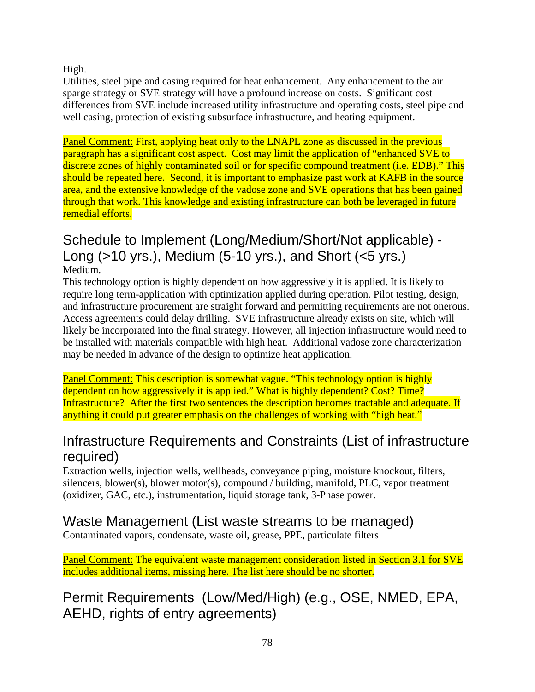High.

Utilities, steel pipe and casing required for heat enhancement. Any enhancement to the air sparge strategy or SVE strategy will have a profound increase on costs. Significant cost differences from SVE include increased utility infrastructure and operating costs, steel pipe and well casing, protection of existing subsurface infrastructure, and heating equipment.

Panel Comment: First, applying heat only to the LNAPL zone as discussed in the previous paragraph has a significant cost aspect. Cost may limit the application of "enhanced SVE to discrete zones of highly contaminated soil or for specific compound treatment (i.e. EDB)." This should be repeated here. Second, it is important to emphasize past work at KAFB in the source area, and the extensive knowledge of the vadose zone and SVE operations that has been gained through that work. This knowledge and existing infrastructure can both be leveraged in future remedial efforts.

## Schedule to Implement (Long/Medium/Short/Not applicable) - Long (>10 yrs.), Medium (5-10 yrs.), and Short (<5 yrs.) Medium.

This technology option is highly dependent on how aggressively it is applied. It is likely to require long term-application with optimization applied during operation. Pilot testing, design, and infrastructure procurement are straight forward and permitting requirements are not onerous. Access agreements could delay drilling. SVE infrastructure already exists on site, which will likely be incorporated into the final strategy. However, all injection infrastructure would need to be installed with materials compatible with high heat. Additional vadose zone characterization may be needed in advance of the design to optimize heat application.

Panel Comment: This description is somewhat vague. "This technology option is highly dependent on how aggressively it is applied." What is highly dependent? Cost? Time? Infrastructure? After the first two sentences the description becomes tractable and adequate. If anything it could put greater emphasis on the challenges of working with "high heat."

# Infrastructure Requirements and Constraints (List of infrastructure required)

Extraction wells, injection wells, wellheads, conveyance piping, moisture knockout, filters, silencers, blower(s), blower motor(s), compound / building, manifold, PLC, vapor treatment (oxidizer, GAC, etc.), instrumentation, liquid storage tank, 3-Phase power.

## Waste Management (List waste streams to be managed)

Contaminated vapors, condensate, waste oil, grease, PPE, particulate filters

Panel Comment: The equivalent waste management consideration listed in Section 3.1 for SVE includes additional items, missing here. The list here should be no shorter.

Permit Requirements (Low/Med/High) (e.g., OSE, NMED, EPA, AEHD, rights of entry agreements)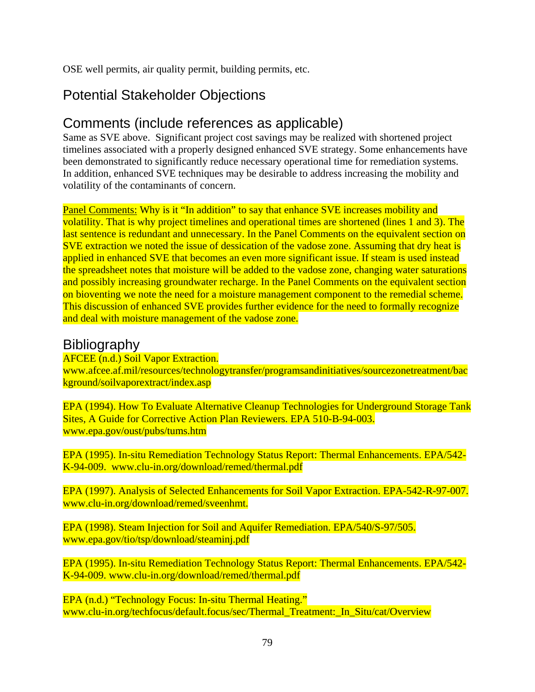OSE well permits, air quality permit, building permits, etc.

# Potential Stakeholder Objections

## Comments (include references as applicable)

Same as SVE above. Significant project cost savings may be realized with shortened project timelines associated with a properly designed enhanced SVE strategy. Some enhancements have been demonstrated to significantly reduce necessary operational time for remediation systems. In addition, enhanced SVE techniques may be desirable to address increasing the mobility and volatility of the contaminants of concern.

Panel Comments: Why is it "In addition" to say that enhance SVE increases mobility and volatility. That is why project timelines and operational times are shortened (lines 1 and 3). The last sentence is redundant and unnecessary. In the Panel Comments on the equivalent section on SVE extraction we noted the issue of dessication of the vadose zone. Assuming that dry heat is applied in enhanced SVE that becomes an even more significant issue. If steam is used instead the spreadsheet notes that moisture will be added to the vadose zone, changing water saturations and possibly increasing groundwater recharge. In the Panel Comments on the equivalent section on bioventing we note the need for a moisture management component to the remedial scheme. This discussion of enhanced SVE provides further evidence for the need to formally recognize and deal with moisture management of the vadose zone.

### **Bibliography**

AFCEE (n.d.) Soil Vapor Extraction. www.afcee.af.mil/resources/technologytransfer/programsandinitiatives/sourcezonetreatment/bac kground/soilvaporextract/index.asp

EPA (1994). How To Evaluate Alternative Cleanup Technologies for Underground Storage Tank Sites, A Guide for Corrective Action Plan Reviewers. EPA 510-B-94-003. www.epa.gov/oust/pubs/tums.htm

EPA (1995). In-situ Remediation Technology Status Report: Thermal Enhancements. EPA/542- K-94-009. www.clu-in.org/download/remed/thermal.pdf

EPA (1997). Analysis of Selected Enhancements for Soil Vapor Extraction. EPA-542-R-97-007. www.clu-in.org/download/remed/sveenhmt.

EPA (1998). Steam Injection for Soil and Aquifer Remediation. EPA/540/S-97/505. www.epa.gov/tio/tsp/download/steaminj.pdf

EPA (1995). In-situ Remediation Technology Status Report: Thermal Enhancements. EPA/542- K-94-009. www.clu-in.org/download/remed/thermal.pdf

EPA (n.d.) "Technology Focus: In-situ Thermal Heating." www.clu-in.org/techfocus/default.focus/sec/Thermal\_Treatment:\_In\_Situ/cat/Overview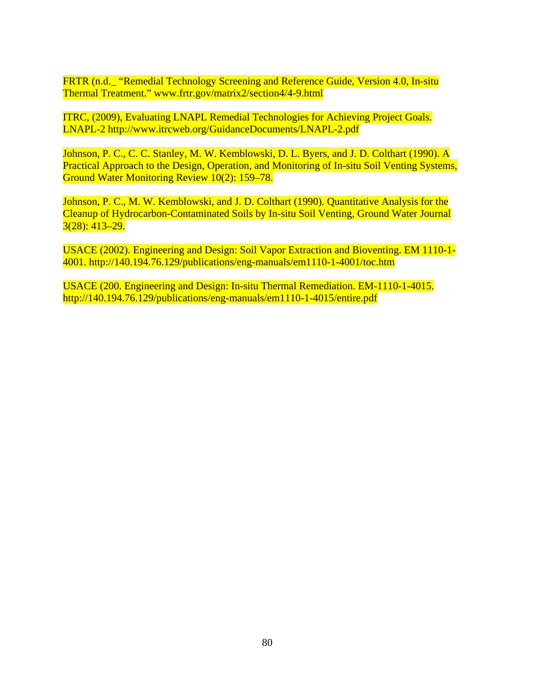FRTR (n.d.\_ "Remedial Technology Screening and Reference Guide, Version 4.0, In-situ Thermal Treatment." www.frtr.gov/matrix2/section4/4-9.html

ITRC, (2009), Evaluating LNAPL Remedial Technologies for Achieving Project Goals. LNAPL-2 http://www.itrcweb.org/GuidanceDocuments/LNAPL-2.pdf

Johnson, P. C., C. C. Stanley, M. W. Kemblowski, D. L. Byers, and J. D. Colthart (1990). A Practical Approach to the Design, Operation, and Monitoring of In-situ Soil Venting Systems, Ground Water Monitoring Review 10(2): 159–78.

Johnson, P. C., M. W. Kemblowski, and J. D. Colthart (1990). Quantitative Analysis for the Cleanup of Hydrocarbon-Contaminated Soils by In-situ Soil Venting, Ground Water Journal 3(28): 413–29.

USACE (2002). Engineering and Design: Soil Vapor Extraction and Bioventing. EM 1110-1- 4001. http://140.194.76.129/publications/eng-manuals/em1110-1-4001/toc.htm

USACE (200. Engineering and Design: In-situ Thermal Remediation. EM-1110-1-4015. http://140.194.76.129/publications/eng-manuals/em1110-1-4015/entire.pdf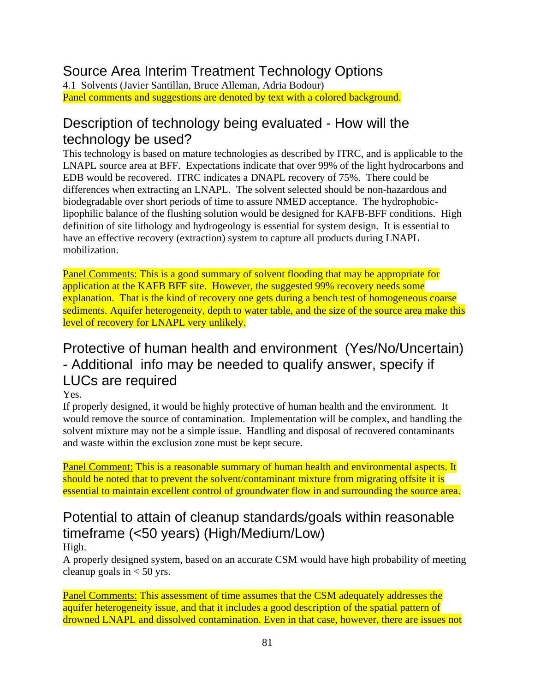# Source Area Interim Treatment Technology Options

4.1 Solvents (Javier Santillan, Bruce Alleman, Adria Bodour) Panel comments and suggestions are denoted by text with a colored background.

## Description of technology being evaluated - How will the technology be used?

This technology is based on mature technologies as described by ITRC, and is applicable to the LNAPL source area at BFF. Expectations indicate that over 99% of the light hydrocarbons and EDB would be recovered. ITRC indicates a DNAPL recovery of 75%. There could be differences when extracting an LNAPL. The solvent selected should be non-hazardous and biodegradable over short periods of time to assure NMED acceptance. The hydrophobiclipophilic balance of the flushing solution would be designed for KAFB-BFF conditions. High definition of site lithology and hydrogeology is essential for system design. It is essential to have an effective recovery (extraction) system to capture all products during LNAPL mobilization.

Panel Comments: This is a good summary of solvent flooding that may be appropriate for application at the KAFB BFF site. However, the suggested 99% recovery needs some explanation. That is the kind of recovery one gets during a bench test of homogeneous coarse sediments. Aquifer heterogeneity, depth to water table, and the size of the source area make this level of recovery for LNAPL very unlikely.

# Protective of human health and environment (Yes/No/Uncertain) - Additional info may be needed to qualify answer, specify if LUCs are required

Yes.

If properly designed, it would be highly protective of human health and the environment. It would remove the source of contamination. Implementation will be complex, and handling the solvent mixture may not be a simple issue. Handling and disposal of recovered contaminants and waste within the exclusion zone must be kept secure.

Panel Comment: This is a reasonable summary of human health and environmental aspects. It should be noted that to prevent the solvent/contaminant mixture from migrating offsite it is essential to maintain excellent control of groundwater flow in and surrounding the source area.

# Potential to attain of cleanup standards/goals within reasonable timeframe (<50 years) (High/Medium/Low)

### High.

A properly designed system, based on an accurate CSM would have high probability of meeting cleanup goals in  $< 50$  yrs.

Panel Comments: This assessment of time assumes that the CSM adequately addresses the aquifer heterogeneity issue, and that it includes a good description of the spatial pattern of drowned LNAPL and dissolved contamination. Even in that case, however, there are issues not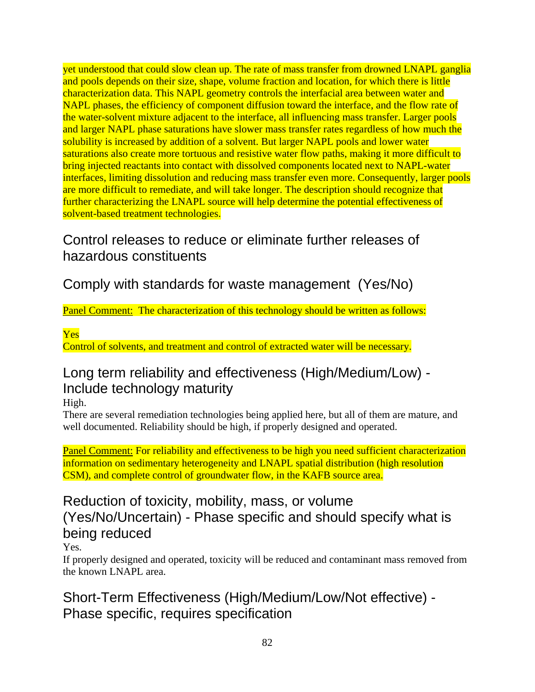yet understood that could slow clean up. The rate of mass transfer from drowned LNAPL ganglia and pools depends on their size, shape, volume fraction and location, for which there is little characterization data. This NAPL geometry controls the interfacial area between water and NAPL phases, the efficiency of component diffusion toward the interface, and the flow rate of the water-solvent mixture adjacent to the interface, all influencing mass transfer. Larger pools and larger NAPL phase saturations have slower mass transfer rates regardless of how much the solubility is increased by addition of a solvent. But larger NAPL pools and lower water saturations also create more tortuous and resistive water flow paths, making it more difficult to bring injected reactants into contact with dissolved components located next to NAPL-water interfaces, limiting dissolution and reducing mass transfer even more. Consequently, larger pools are more difficult to remediate, and will take longer. The description should recognize that further characterizing the LNAPL source will help determine the potential effectiveness of solvent-based treatment technologies.

Control releases to reduce or eliminate further releases of hazardous constituents

Comply with standards for waste management (Yes/No)

Panel Comment: The characterization of this technology should be written as follows:

### Yes

Control of solvents, and treatment and control of extracted water will be necessary.

# Long term reliability and effectiveness (High/Medium/Low) - Include technology maturity

High.

There are several remediation technologies being applied here, but all of them are mature, and well documented. Reliability should be high, if properly designed and operated.

Panel Comment: For reliability and effectiveness to be high you need sufficient characterization information on sedimentary heterogeneity and LNAPL spatial distribution (high resolution CSM), and complete control of groundwater flow, in the KAFB source area.

# Reduction of toxicity, mobility, mass, or volume (Yes/No/Uncertain) - Phase specific and should specify what is being reduced

### Yes.

If properly designed and operated, toxicity will be reduced and contaminant mass removed from the known LNAPL area.

# Short-Term Effectiveness (High/Medium/Low/Not effective) - Phase specific, requires specification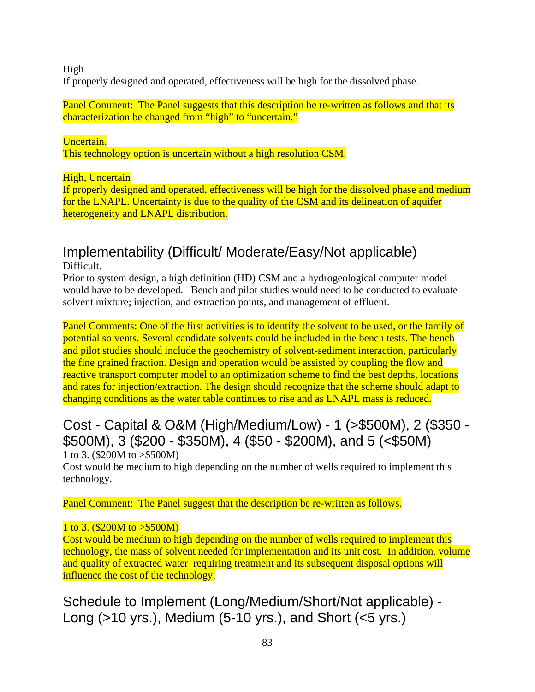High.

If properly designed and operated, effectiveness will be high for the dissolved phase.

Panel Comment: The Panel suggests that this description be re-written as follows and that its characterization be changed from "high" to "uncertain."

Uncertain. This technology option is uncertain without a high resolution CSM.

High, Uncertain

If properly designed and operated, effectiveness will be high for the dissolved phase and medium for the LNAPL. Uncertainty is due to the quality of the CSM and its delineation of aquifer heterogeneity and LNAPL distribution.

### Implementability (Difficult/ Moderate/Easy/Not applicable) Difficult.

Prior to system design, a high definition (HD) CSM and a hydrogeological computer model would have to be developed. Bench and pilot studies would need to be conducted to evaluate solvent mixture; injection, and extraction points, and management of effluent.

Panel Comments: One of the first activities is to identify the solvent to be used, or the family of potential solvents. Several candidate solvents could be included in the bench tests. The bench and pilot studies should include the geochemistry of solvent-sediment interaction, particularly the fine grained fraction. Design and operation would be assisted by coupling the flow and reactive transport computer model to an optimization scheme to find the best depths, locations and rates for injection/extraction. The design should recognize that the scheme should adapt to changing conditions as the water table continues to rise and as LNAPL mass is reduced.

### Cost - Capital & O&M (High/Medium/Low) - 1 (>\$500M), 2 (\$350 - \$500M), 3 (\$200 - \$350M), 4 (\$50 - \$200M), and 5 (<\$50M) 1 to 3. (\$200M to >\$500M)

Cost would be medium to high depending on the number of wells required to implement this technology.

Panel Comment: The Panel suggest that the description be re-written as follows.

### 1 to 3. (\$200M to >\$500M)

Cost would be medium to high depending on the number of wells required to implement this technology, the mass of solvent needed for implementation and its unit cost. In addition, volume and quality of extracted water requiring treatment and its subsequent disposal options will influence the cost of the technology.

Schedule to Implement (Long/Medium/Short/Not applicable) - Long (>10 yrs.), Medium (5-10 yrs.), and Short (<5 yrs.)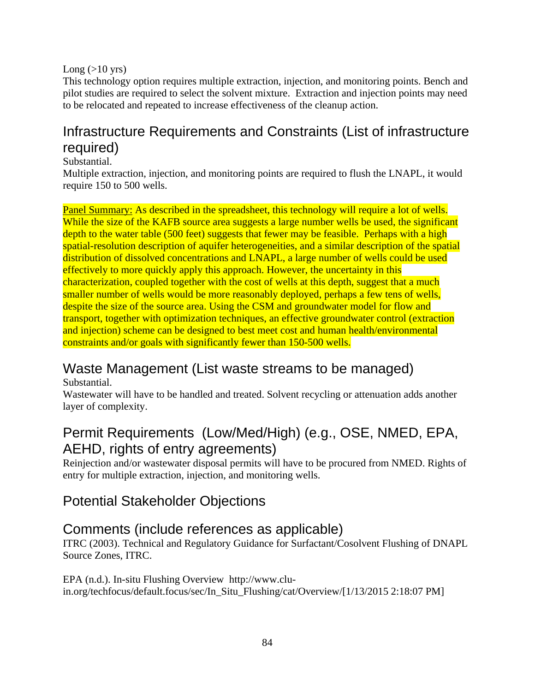Long  $(>10 \text{ yrs})$ 

This technology option requires multiple extraction, injection, and monitoring points. Bench and pilot studies are required to select the solvent mixture. Extraction and injection points may need to be relocated and repeated to increase effectiveness of the cleanup action.

# Infrastructure Requirements and Constraints (List of infrastructure required)

Substantial.

Multiple extraction, injection, and monitoring points are required to flush the LNAPL, it would require 150 to 500 wells.

Panel Summary: As described in the spreadsheet, this technology will require a lot of wells. While the size of the KAFB source area suggests a large number wells be used, the significant depth to the water table (500 feet) suggests that fewer may be feasible. Perhaps with a high spatial-resolution description of aquifer heterogeneities, and a similar description of the spatial distribution of dissolved concentrations and LNAPL, a large number of wells could be used effectively to more quickly apply this approach. However, the uncertainty in this characterization, coupled together with the cost of wells at this depth, suggest that a much smaller number of wells would be more reasonably deployed, perhaps a few tens of wells, despite the size of the source area. Using the CSM and groundwater model for flow and transport, together with optimization techniques, an effective groundwater control (extraction and injection) scheme can be designed to best meet cost and human health/environmental constraints and/or goals with significantly fewer than 150-500 wells.

# Waste Management (List waste streams to be managed)

Substantial.

Wastewater will have to be handled and treated. Solvent recycling or attenuation adds another layer of complexity.

# Permit Requirements (Low/Med/High) (e.g., OSE, NMED, EPA, AEHD, rights of entry agreements)

Reinjection and/or wastewater disposal permits will have to be procured from NMED. Rights of entry for multiple extraction, injection, and monitoring wells.

# Potential Stakeholder Objections

## Comments (include references as applicable)

ITRC (2003). Technical and Regulatory Guidance for Surfactant/Cosolvent Flushing of DNAPL Source Zones, ITRC.

EPA (n.d.). In-situ Flushing Overview http://www.cluin.org/techfocus/default.focus/sec/In Situ Flushing/cat/Overview/[1/13/2015 2:18:07 PM]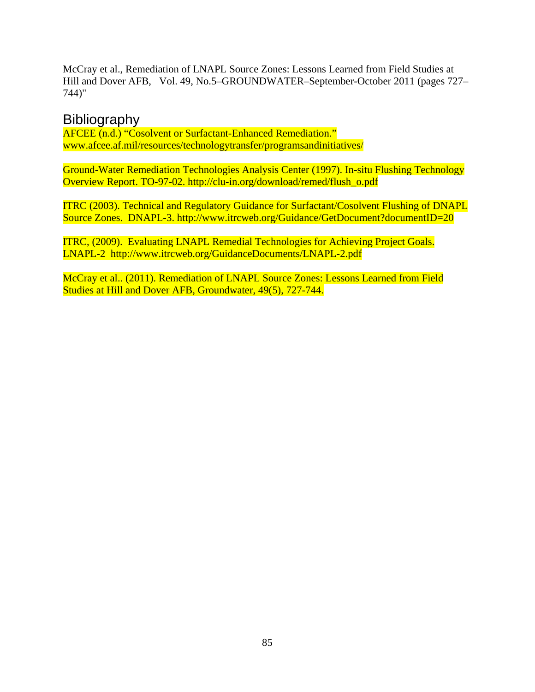McCray et al., Remediation of LNAPL Source Zones: Lessons Learned from Field Studies at Hill and Dover AFB, Vol. 49, No.5–GROUNDWATER–September-October 2011 (pages 727– 744)"

### **Bibliography**

AFCEE (n.d.) "Cosolvent or Surfactant-Enhanced Remediation." www.afcee.af.mil/resources/technologytransfer/programsandinitiatives/

Ground-Water Remediation Technologies Analysis Center (1997). In-situ Flushing Technology Overview Report. TO-97-02. http://clu-in.org/download/remed/flush\_o.pdf

ITRC (2003). Technical and Regulatory Guidance for Surfactant/Cosolvent Flushing of DNAPL Source Zones. DNAPL-3. http://www.itrcweb.org/Guidance/GetDocument?documentID=20

ITRC, (2009). Evaluating LNAPL Remedial Technologies for Achieving Project Goals. LNAPL-2 http://www.itrcweb.org/GuidanceDocuments/LNAPL-2.pdf

McCray et al.. (2011). Remediation of LNAPL Source Zones: Lessons Learned from Field Studies at Hill and Dover AFB, Groundwater, 49(5), 727-744.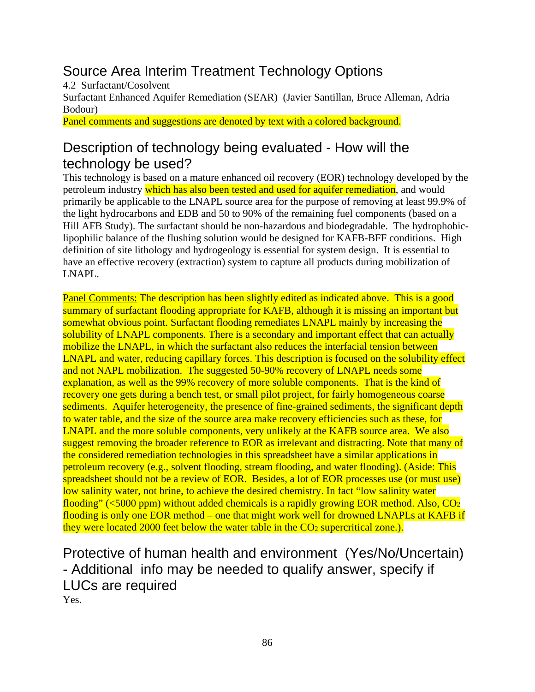# Source Area Interim Treatment Technology Options

4.2 Surfactant/Cosolvent Surfactant Enhanced Aquifer Remediation (SEAR) (Javier Santillan, Bruce Alleman, Adria Bodour)

Panel comments and suggestions are denoted by text with a colored background.

# Description of technology being evaluated - How will the technology be used?

This technology is based on a mature enhanced oil recovery (EOR) technology developed by the petroleum industry which has also been tested and used for aquifer remediation, and would primarily be applicable to the LNAPL source area for the purpose of removing at least 99.9% of the light hydrocarbons and EDB and 50 to 90% of the remaining fuel components (based on a Hill AFB Study). The surfactant should be non-hazardous and biodegradable. The hydrophobiclipophilic balance of the flushing solution would be designed for KAFB-BFF conditions. High definition of site lithology and hydrogeology is essential for system design. It is essential to have an effective recovery (extraction) system to capture all products during mobilization of LNAPL.

Panel Comments: The description has been slightly edited as indicated above. This is a good summary of surfactant flooding appropriate for KAFB, although it is missing an important but somewhat obvious point. Surfactant flooding remediates LNAPL mainly by increasing the solubility of LNAPL components. There is a secondary and important effect that can actually mobilize the LNAPL, in which the surfactant also reduces the interfacial tension between LNAPL and water, reducing capillary forces. This description is focused on the solubility effect and not NAPL mobilization. The suggested 50-90% recovery of LNAPL needs some explanation, as well as the 99% recovery of more soluble components. That is the kind of recovery one gets during a bench test, or small pilot project, for fairly homogeneous coarse sediments. Aquifer heterogeneity, the presence of fine-grained sediments, the significant depth to water table, and the size of the source area make recovery efficiencies such as these, for LNAPL and the more soluble components, very unlikely at the KAFB source area. We also suggest removing the broader reference to EOR as irrelevant and distracting. Note that many of the considered remediation technologies in this spreadsheet have a similar applications in petroleum recovery (e.g., solvent flooding, stream flooding, and water flooding). (Aside: This spreadsheet should not be a review of EOR. Besides, a lot of EOR processes use (or must use) low salinity water, not brine, to achieve the desired chemistry. In fact "low salinity water flooding" ( $\leq$ 5000 ppm) without added chemicals is a rapidly growing EOR method. Also, CO<sub>2</sub> flooding is only one EOR method – one that might work well for drowned LNAPLs at KAFB if they were located 2000 feet below the water table in the  $CO<sub>2</sub>$  supercritical zone.).

Protective of human health and environment (Yes/No/Uncertain) - Additional info may be needed to qualify answer, specify if LUCs are required Yes.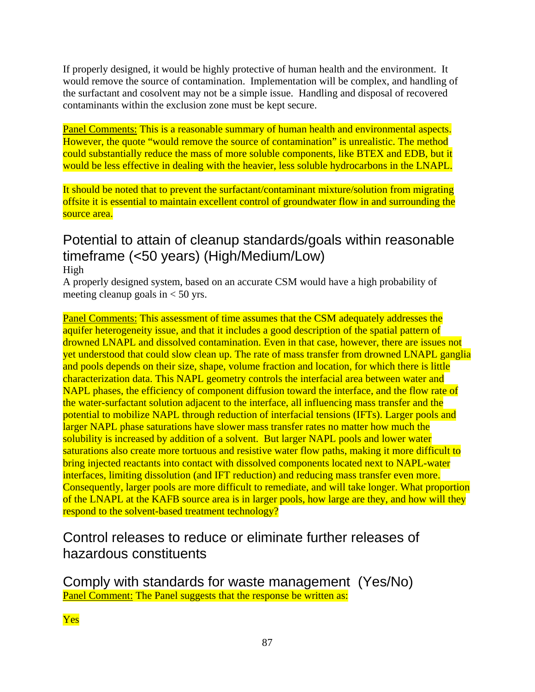If properly designed, it would be highly protective of human health and the environment. It would remove the source of contamination. Implementation will be complex, and handling of the surfactant and cosolvent may not be a simple issue. Handling and disposal of recovered contaminants within the exclusion zone must be kept secure.

Panel Comments: This is a reasonable summary of human health and environmental aspects. However, the quote "would remove the source of contamination" is unrealistic. The method could substantially reduce the mass of more soluble components, like BTEX and EDB, but it would be less effective in dealing with the heavier, less soluble hydrocarbons in the LNAPL.

It should be noted that to prevent the surfactant/contaminant mixture/solution from migrating offsite it is essential to maintain excellent control of groundwater flow in and surrounding the source area.

### Potential to attain of cleanup standards/goals within reasonable timeframe (<50 years) (High/Medium/Low) High

A properly designed system, based on an accurate CSM would have a high probability of meeting cleanup goals in  $< 50$  yrs.

Panel Comments: This assessment of time assumes that the CSM adequately addresses the aquifer heterogeneity issue, and that it includes a good description of the spatial pattern of drowned LNAPL and dissolved contamination. Even in that case, however, there are issues not yet understood that could slow clean up. The rate of mass transfer from drowned LNAPL ganglia and pools depends on their size, shape, volume fraction and location, for which there is little characterization data. This NAPL geometry controls the interfacial area between water and NAPL phases, the efficiency of component diffusion toward the interface, and the flow rate of the water-surfactant solution adjacent to the interface, all influencing mass transfer and the potential to mobilize NAPL through reduction of interfacial tensions (IFTs). Larger pools and larger NAPL phase saturations have slower mass transfer rates no matter how much the solubility is increased by addition of a solvent. But larger NAPL pools and lower water saturations also create more tortuous and resistive water flow paths, making it more difficult to bring injected reactants into contact with dissolved components located next to NAPL-water interfaces, limiting dissolution (and IFT reduction) and reducing mass transfer even more. Consequently, larger pools are more difficult to remediate, and will take longer. What proportion of the LNAPL at the KAFB source area is in larger pools, how large are they, and how will they respond to the solvent-based treatment technology?

# Control releases to reduce or eliminate further releases of hazardous constituents

Comply with standards for waste management (Yes/No) Panel Comment: The Panel suggests that the response be written as: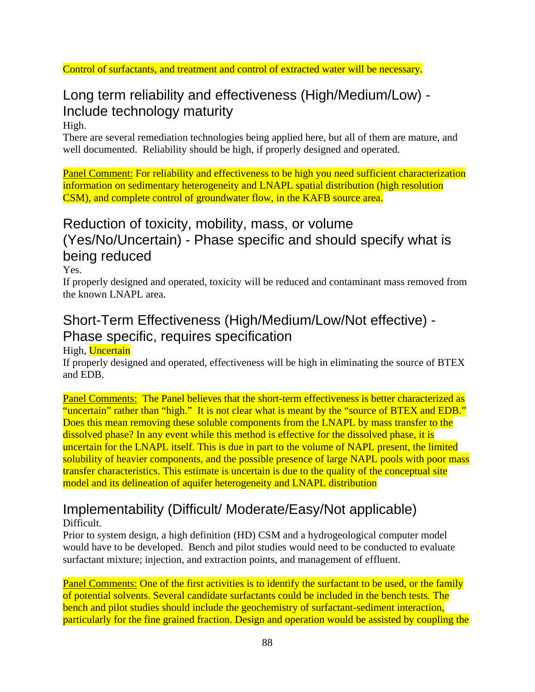#### Control of surfactants, and treatment and control of extracted water will be necessary.

# Long term reliability and effectiveness (High/Medium/Low) - Include technology maturity

#### High.

There are several remediation technologies being applied here, but all of them are mature, and well documented. Reliability should be high, if properly designed and operated.

Panel Comment: For reliability and effectiveness to be high you need sufficient characterization information on sedimentary heterogeneity and LNAPL spatial distribution (high resolution CSM), and complete control of groundwater flow, in the KAFB source area.

# Reduction of toxicity, mobility, mass, or volume (Yes/No/Uncertain) - Phase specific and should specify what is being reduced

Yes.

If properly designed and operated, toxicity will be reduced and contaminant mass removed from the known LNAPL area.

# Short-Term Effectiveness (High/Medium/Low/Not effective) - Phase specific, requires specification

High, Uncertain

If properly designed and operated, effectiveness will be high in eliminating the source of BTEX and EDB.

Panel Comments: The Panel believes that the short-term effectiveness is better characterized as "uncertain" rather than "high." It is not clear what is meant by the "source of BTEX and EDB." Does this mean removing these soluble components from the LNAPL by mass transfer to the dissolved phase? In any event while this method is effective for the dissolved phase, it is uncertain for the LNAPL itself. This is due in part to the volume of NAPL present, the limited solubility of heavier components, and the possible presence of large NAPL pools with poor mass transfer characteristics. This estimate is uncertain is due to the quality of the conceptual site model and its delineation of aquifer heterogeneity and LNAPL distribution

# Implementability (Difficult/ Moderate/Easy/Not applicable)

Difficult.

Prior to system design, a high definition (HD) CSM and a hydrogeological computer model would have to be developed. Bench and pilot studies would need to be conducted to evaluate surfactant mixture; injection, and extraction points, and management of effluent.

Panel Comments: One of the first activities is to identify the surfactant to be used, or the family of potential solvents. Several candidate surfactants could be included in the bench tests. The bench and pilot studies should include the geochemistry of surfactant-sediment interaction, particularly for the fine grained fraction. Design and operation would be assisted by coupling the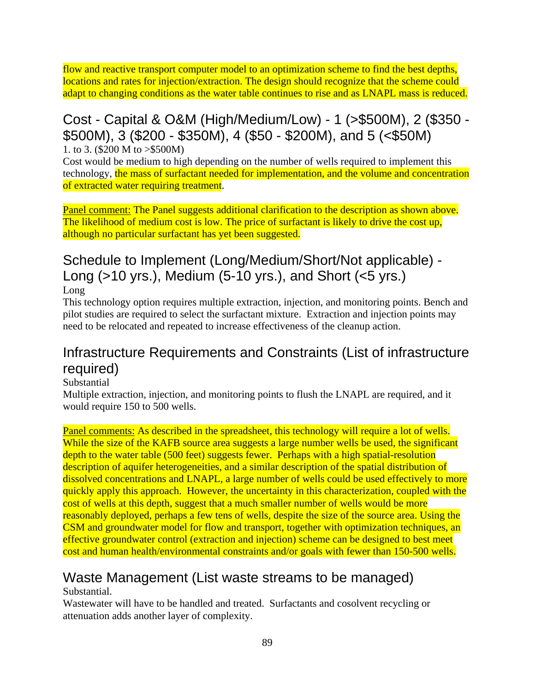flow and reactive transport computer model to an optimization scheme to find the best depths, locations and rates for injection/extraction. The design should recognize that the scheme could adapt to changing conditions as the water table continues to rise and as LNAPL mass is reduced.

Cost - Capital & O&M (High/Medium/Low) - 1 (>\$500M), 2 (\$350 - \$500M), 3 (\$200 - \$350M), 4 (\$50 - \$200M), and 5 (<\$50M) 1. to 3. (\$200 M to >\$500M)

Cost would be medium to high depending on the number of wells required to implement this technology, the mass of surfactant needed for implementation, and the volume and concentration

of extracted water requiring treatment.

Panel comment: The Panel suggests additional clarification to the description as shown above. The likelihood of medium cost is low. The price of surfactant is likely to drive the cost up, although no particular surfactant has yet been suggested.

# Schedule to Implement (Long/Medium/Short/Not applicable) - Long (>10 yrs.), Medium (5-10 yrs.), and Short (<5 yrs.)

Long

This technology option requires multiple extraction, injection, and monitoring points. Bench and pilot studies are required to select the surfactant mixture. Extraction and injection points may need to be relocated and repeated to increase effectiveness of the cleanup action.

# Infrastructure Requirements and Constraints (List of infrastructure required)

Substantial

Multiple extraction, injection, and monitoring points to flush the LNAPL are required, and it would require 150 to 500 wells.

Panel comments: As described in the spreadsheet, this technology will require a lot of wells. While the size of the KAFB source area suggests a large number wells be used, the significant depth to the water table (500 feet) suggests fewer. Perhaps with a high spatial-resolution description of aquifer heterogeneities, and a similar description of the spatial distribution of dissolved concentrations and LNAPL, a large number of wells could be used effectively to more quickly apply this approach. However, the uncertainty in this characterization, coupled with the cost of wells at this depth, suggest that a much smaller number of wells would be more reasonably deployed, perhaps a few tens of wells, despite the size of the source area. Using the CSM and groundwater model for flow and transport, together with optimization techniques, an effective groundwater control (extraction and injection) scheme can be designed to best meet cost and human health/environmental constraints and/or goals with fewer than 150-500 wells.

# Waste Management (List waste streams to be managed)

### Substantial.

Wastewater will have to be handled and treated. Surfactants and cosolvent recycling or attenuation adds another layer of complexity.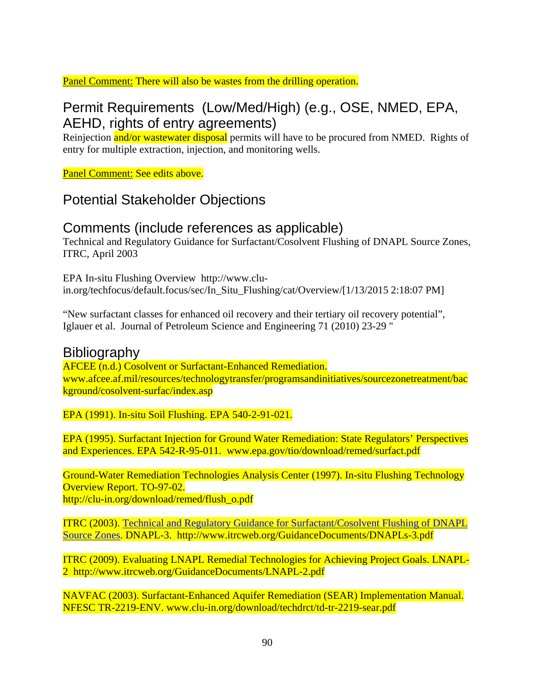Panel Comment: There will also be wastes from the drilling operation.

## Permit Requirements (Low/Med/High) (e.g., OSE, NMED, EPA, AEHD, rights of entry agreements)

Reinjection and/or wastewater disposal permits will have to be procured from NMED. Rights of entry for multiple extraction, injection, and monitoring wells.

Panel Comment: See edits above.

## Potential Stakeholder Objections

### Comments (include references as applicable)

Technical and Regulatory Guidance for Surfactant/Cosolvent Flushing of DNAPL Source Zones, ITRC, April 2003

EPA In-situ Flushing Overview http://www.cluin.org/techfocus/default.focus/sec/In\_Situ\_Flushing/cat/Overview/[1/13/2015 2:18:07 PM]

"New surfactant classes for enhanced oil recovery and their tertiary oil recovery potential", Iglauer et al. Journal of Petroleum Science and Engineering 71 (2010) 23-29 "

### **Bibliography**

AFCEE (n.d.) Cosolvent or Surfactant-Enhanced Remediation. www.afcee.af.mil/resources/technologytransfer/programsandinitiatives/sourcezonetreatment/bac kground/cosolvent-surfac/index.asp

EPA (1991). In-situ Soil Flushing. EPA 540-2-91-021.

EPA (1995). Surfactant Injection for Ground Water Remediation: State Regulators' Perspectives and Experiences. EPA 542-R-95-011. www.epa.gov/tio/download/remed/surfact.pdf

Ground-Water Remediation Technologies Analysis Center (1997). In-situ Flushing Technology Overview Report. TO-97-02. http://clu-in.org/download/remed/flush\_o.pdf

ITRC (2003). Technical and Regulatory Guidance for Surfactant/Cosolvent Flushing of DNAPL Source Zones. DNAPL-3. http://www.itrcweb.org/GuidanceDocuments/DNAPLs-3.pdf

ITRC (2009). Evaluating LNAPL Remedial Technologies for Achieving Project Goals. LNAPL-2 http://www.itrcweb.org/GuidanceDocuments/LNAPL-2.pdf

NAVFAC (2003). Surfactant-Enhanced Aquifer Remediation (SEAR) Implementation Manual. NFESC TR-2219-ENV. www.clu-in.org/download/techdrct/td-tr-2219-sear.pdf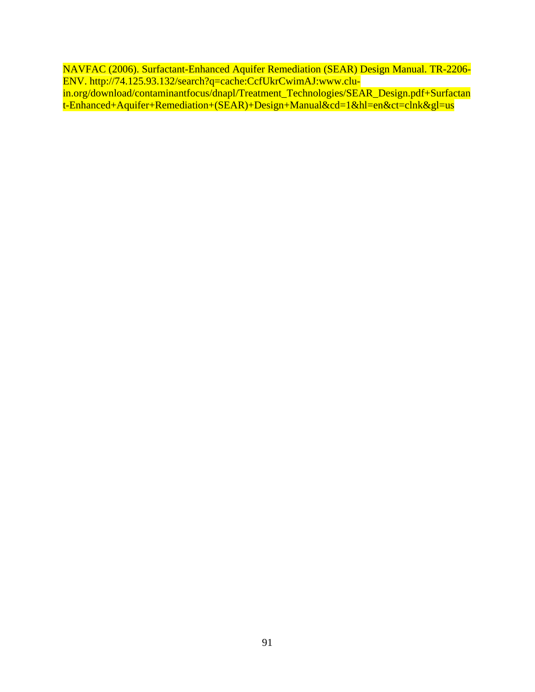NAVFAC (2006). Surfactant-Enhanced Aquifer Remediation (SEAR) Design Manual. TR-2206- ENV. http://74.125.93.132/search?q=cache:CcfUkrCwimAJ:www.cluin.org/download/contaminantfocus/dnapl/Treatment\_Technologies/SEAR\_Design.pdf+Surfactan t-Enhanced+Aquifer+Remediation+(SEAR)+Design+Manual&cd=1&hl=en&ct=clnk&gl=us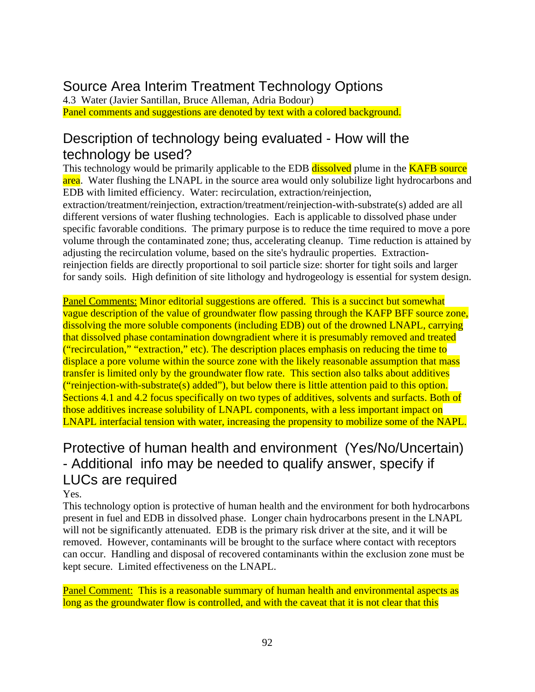# Source Area Interim Treatment Technology Options

4.3 Water (Javier Santillan, Bruce Alleman, Adria Bodour) Panel comments and suggestions are denoted by text with a colored background.

# Description of technology being evaluated - How will the technology be used?

This technology would be primarily applicable to the EDB dissolved plume in the **KAFB** source area. Water flushing the LNAPL in the source area would only solubilize light hydrocarbons and EDB with limited efficiency. Water: recirculation, extraction/reinjection,

extraction/treatment/reinjection, extraction/treatment/reinjection-with-substrate(s) added are all different versions of water flushing technologies. Each is applicable to dissolved phase under specific favorable conditions. The primary purpose is to reduce the time required to move a pore volume through the contaminated zone; thus, accelerating cleanup. Time reduction is attained by adjusting the recirculation volume, based on the site's hydraulic properties. Extractionreinjection fields are directly proportional to soil particle size: shorter for tight soils and larger for sandy soils. High definition of site lithology and hydrogeology is essential for system design.

Panel Comments: Minor editorial suggestions are offered. This is a succinct but somewhat vague description of the value of groundwater flow passing through the KAFP BFF source zone, dissolving the more soluble components (including EDB) out of the drowned LNAPL, carrying that dissolved phase contamination downgradient where it is presumably removed and treated ("recirculation," "extraction," etc). The description places emphasis on reducing the time to displace a pore volume within the source zone with the likely reasonable assumption that mass transfer is limited only by the groundwater flow rate. This section also talks about additives ("reinjection-with-substrate(s) added"), but below there is little attention paid to this option. Sections 4.1 and 4.2 focus specifically on two types of additives, solvents and surfacts. Both of those additives increase solubility of LNAPL components, with a less important impact on LNAPL interfacial tension with water, increasing the propensity to mobilize some of the NAPL.

# Protective of human health and environment (Yes/No/Uncertain) - Additional info may be needed to qualify answer, specify if LUCs are required

#### Yes.

This technology option is protective of human health and the environment for both hydrocarbons present in fuel and EDB in dissolved phase. Longer chain hydrocarbons present in the LNAPL will not be significantly attenuated. EDB is the primary risk driver at the site, and it will be removed. However, contaminants will be brought to the surface where contact with receptors can occur. Handling and disposal of recovered contaminants within the exclusion zone must be kept secure. Limited effectiveness on the LNAPL.

Panel Comment: This is a reasonable summary of human health and environmental aspects as long as the groundwater flow is controlled, and with the caveat that it is not clear that this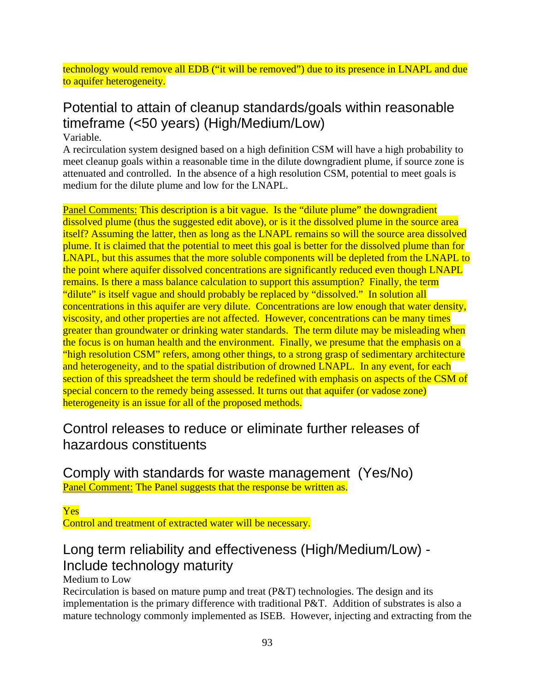technology would remove all EDB ("it will be removed") due to its presence in LNAPL and due to aquifer heterogeneity.

# Potential to attain of cleanup standards/goals within reasonable timeframe (<50 years) (High/Medium/Low)

Variable.

A recirculation system designed based on a high definition CSM will have a high probability to meet cleanup goals within a reasonable time in the dilute downgradient plume, if source zone is attenuated and controlled. In the absence of a high resolution CSM, potential to meet goals is medium for the dilute plume and low for the LNAPL.

Panel Comments: This description is a bit vague. Is the "dilute plume" the downgradient dissolved plume (thus the suggested edit above), or is it the dissolved plume in the source area itself? Assuming the latter, then as long as the LNAPL remains so will the source area dissolved plume. It is claimed that the potential to meet this goal is better for the dissolved plume than for LNAPL, but this assumes that the more soluble components will be depleted from the LNAPL to the point where aquifer dissolved concentrations are significantly reduced even though LNAPL remains. Is there a mass balance calculation to support this assumption? Finally, the term "dilute" is itself vague and should probably be replaced by "dissolved." In solution all concentrations in this aquifer are very dilute. Concentrations are low enough that water density, viscosity, and other properties are not affected. However, concentrations can be many times greater than groundwater or drinking water standards. The term dilute may be misleading when the focus is on human health and the environment. Finally, we presume that the emphasis on a "high resolution CSM" refers, among other things, to a strong grasp of sedimentary architecture and heterogeneity, and to the spatial distribution of drowned LNAPL. In any event, for each section of this spreadsheet the term should be redefined with emphasis on aspects of the CSM of special concern to the remedy being assessed. It turns out that aquifer (or vadose zone) heterogeneity is an issue for all of the proposed methods.

# Control releases to reduce or eliminate further releases of hazardous constituents

Comply with standards for waste management (Yes/No) Panel Comment: The Panel suggests that the response be written as.

Yes

Control and treatment of extracted water will be necessary.

# Long term reliability and effectiveness (High/Medium/Low) - Include technology maturity

Medium to Low

Recirculation is based on mature pump and treat (P&T) technologies. The design and its implementation is the primary difference with traditional P&T. Addition of substrates is also a mature technology commonly implemented as ISEB. However, injecting and extracting from the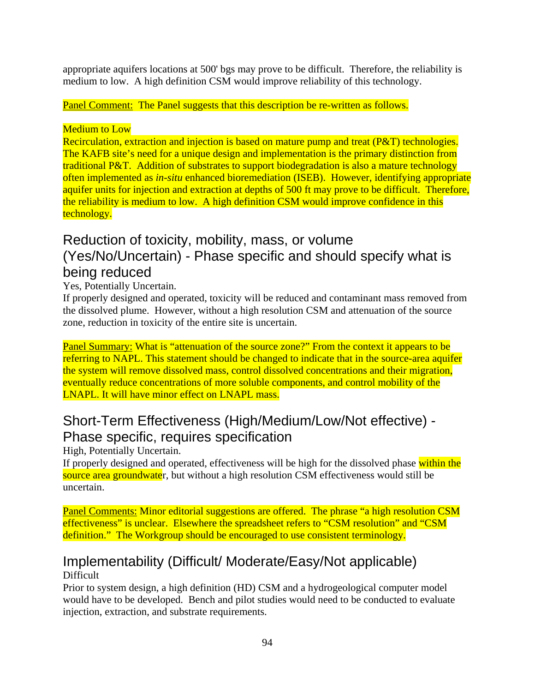appropriate aquifers locations at 500' bgs may prove to be difficult. Therefore, the reliability is medium to low. A high definition CSM would improve reliability of this technology.

Panel Comment: The Panel suggests that this description be re-written as follows.

#### Medium to Low

Recirculation, extraction and injection is based on mature pump and treat (P&T) technologies. The KAFB site's need for a unique design and implementation is the primary distinction from traditional P&T. Addition of substrates to support biodegradation is also a mature technology often implemented as *in-situ* enhanced bioremediation (ISEB). However, identifying appropriate aquifer units for injection and extraction at depths of 500 ft may prove to be difficult. Therefore, the reliability is medium to low. A high definition CSM would improve confidence in this technology.

# Reduction of toxicity, mobility, mass, or volume (Yes/No/Uncertain) - Phase specific and should specify what is being reduced

#### Yes, Potentially Uncertain.

If properly designed and operated, toxicity will be reduced and contaminant mass removed from the dissolved plume. However, without a high resolution CSM and attenuation of the source zone, reduction in toxicity of the entire site is uncertain.

Panel Summary: What is "attenuation of the source zone?" From the context it appears to be referring to NAPL. This statement should be changed to indicate that in the source-area aquifer the system will remove dissolved mass, control dissolved concentrations and their migration, eventually reduce concentrations of more soluble components, and control mobility of the LNAPL. It will have minor effect on LNAPL mass.

# Short-Term Effectiveness (High/Medium/Low/Not effective) - Phase specific, requires specification

High, Potentially Uncertain.

If properly designed and operated, effectiveness will be high for the dissolved phase within the source area groundwater, but without a high resolution CSM effectiveness would still be uncertain.

Panel Comments: Minor editorial suggestions are offered. The phrase "a high resolution CSM effectiveness" is unclear. Elsewhere the spreadsheet refers to "CSM resolution" and "CSM definition." The Workgroup should be encouraged to use consistent terminology.

### Implementability (Difficult/ Moderate/Easy/Not applicable) **Difficult**

Prior to system design, a high definition (HD) CSM and a hydrogeological computer model would have to be developed. Bench and pilot studies would need to be conducted to evaluate injection, extraction, and substrate requirements.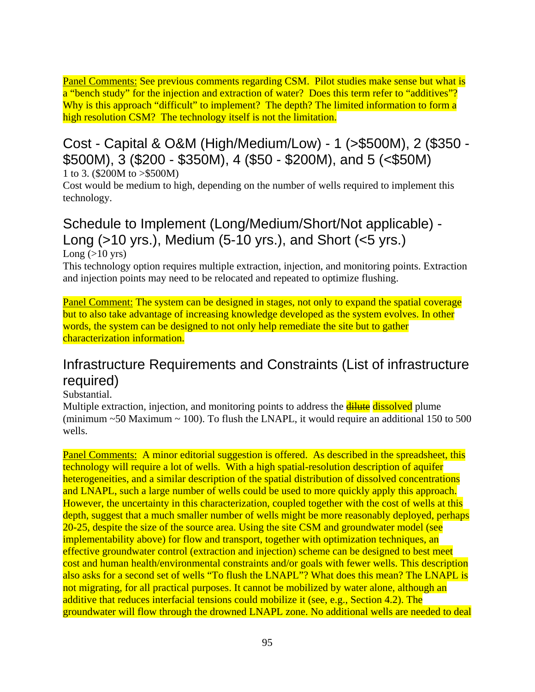Panel Comments: See previous comments regarding CSM. Pilot studies make sense but what is a "bench study" for the injection and extraction of water? Does this term refer to "additives"? Why is this approach "difficult" to implement? The depth? The limited information to form a high resolution CSM? The technology itself is not the limitation.

## Cost - Capital & O&M (High/Medium/Low) - 1 (>\$500M), 2 (\$350 - \$500M), 3 (\$200 - \$350M), 4 (\$50 - \$200M), and 5 (<\$50M) 1 to 3. (\$200M to >\$500M)

Cost would be medium to high, depending on the number of wells required to implement this technology.

# Schedule to Implement (Long/Medium/Short/Not applicable) - Long (>10 yrs.), Medium (5-10 yrs.), and Short (<5 yrs.)

Long  $(>10$  yrs)

This technology option requires multiple extraction, injection, and monitoring points. Extraction and injection points may need to be relocated and repeated to optimize flushing.

Panel Comment: The system can be designed in stages, not only to expand the spatial coverage but to also take advantage of increasing knowledge developed as the system evolves. In other words, the system can be designed to not only help remediate the site but to gather characterization information.

# Infrastructure Requirements and Constraints (List of infrastructure required)

Substantial.

Multiple extraction, injection, and monitoring points to address the **dilute dissolved** plume (minimum  $\sim$  50 Maximum  $\sim$  100). To flush the LNAPL, it would require an additional 150 to 500 wells.

Panel Comments: A minor editorial suggestion is offered. As described in the spreadsheet, this technology will require a lot of wells. With a high spatial-resolution description of aquifer heterogeneities, and a similar description of the spatial distribution of dissolved concentrations and LNAPL, such a large number of wells could be used to more quickly apply this approach. However, the uncertainty in this characterization, coupled together with the cost of wells at this depth, suggest that a much smaller number of wells might be more reasonably deployed, perhaps 20-25, despite the size of the source area. Using the site CSM and groundwater model (see implementability above) for flow and transport, together with optimization techniques, an effective groundwater control (extraction and injection) scheme can be designed to best meet cost and human health/environmental constraints and/or goals with fewer wells. This description also asks for a second set of wells "To flush the LNAPL"? What does this mean? The LNAPL is not migrating, for all practical purposes. It cannot be mobilized by water alone, although an additive that reduces interfacial tensions could mobilize it (see, e.g., Section 4.2). The groundwater will flow through the drowned LNAPL zone. No additional wells are needed to deal